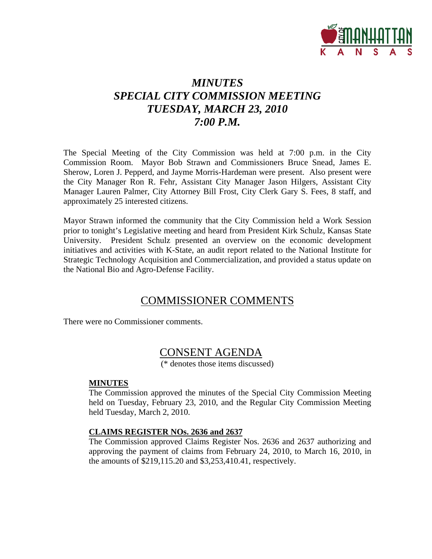

# *MINUTES SPECIAL CITY COMMISSION MEETING TUESDAY, MARCH 23, 2010 7:00 P.M.*

The Special Meeting of the City Commission was held at 7:00 p.m. in the City Commission Room. Mayor Bob Strawn and Commissioners Bruce Snead, James E. Sherow, Loren J. Pepperd, and Jayme Morris-Hardeman were present. Also present were the City Manager Ron R. Fehr, Assistant City Manager Jason Hilgers, Assistant City Manager Lauren Palmer, City Attorney Bill Frost, City Clerk Gary S. Fees, 8 staff, and approximately 25 interested citizens.

Mayor Strawn informed the community that the City Commission held a Work Session prior to tonight's Legislative meeting and heard from President Kirk Schulz, Kansas State University. President Schulz presented an overview on the economic development initiatives and activities with K-State, an audit report related to the National Institute for Strategic Technology Acquisition and Commercialization, and provided a status update on the National Bio and Agro-Defense Facility.

## COMMISSIONER COMMENTS

There were no Commissioner comments.

## CONSENT AGENDA

(\* denotes those items discussed)

#### **MINUTES**

The Commission approved the minutes of the Special City Commission Meeting held on Tuesday, February 23, 2010, and the Regular City Commission Meeting held Tuesday, March 2, 2010.

#### **CLAIMS REGISTER NOs. 2636 and 2637**

The Commission approved Claims Register Nos. 2636 and 2637 authorizing and approving the payment of claims from February 24, 2010, to March 16, 2010, in the amounts of \$219,115.20 and \$3,253,410.41, respectively.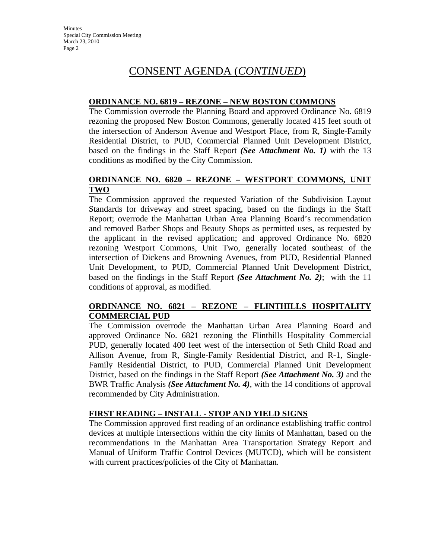# CONSENT AGENDA (*CONTINUED*)

#### **ORDINANCE NO. 6819 – REZONE – NEW BOSTON COMMONS**

The Commission overrode the Planning Board and approved Ordinance No. 6819 rezoning the proposed New Boston Commons, generally located 415 feet south of the intersection of Anderson Avenue and Westport Place, from R, Single-Family Residential District, to PUD, Commercial Planned Unit Development District, based on the findings in the Staff Report *(See Attachment No. 1)* with the 13 conditions as modified by the City Commission.

#### **ORDINANCE NO. 6820 – REZONE – WESTPORT COMMONS, UNIT TWO**

The Commission approved the requested Variation of the Subdivision Layout Standards for driveway and street spacing, based on the findings in the Staff Report; overrode the Manhattan Urban Area Planning Board's recommendation and removed Barber Shops and Beauty Shops as permitted uses, as requested by the applicant in the revised application; and approved Ordinance No. 6820 rezoning Westport Commons, Unit Two, generally located southeast of the intersection of Dickens and Browning Avenues, from PUD, Residential Planned Unit Development, to PUD, Commercial Planned Unit Development District, based on the findings in the Staff Report *(See Attachment No. 2)*; with the 11 conditions of approval, as modified.

#### **ORDINANCE NO. 6821 – REZONE – FLINTHILLS HOSPITALITY COMMERCIAL PUD**

The Commission overrode the Manhattan Urban Area Planning Board and approved Ordinance No. 6821 rezoning the Flinthills Hospitality Commercial PUD, generally located 400 feet west of the intersection of Seth Child Road and Allison Avenue, from R, Single-Family Residential District, and R-1, Single-Family Residential District, to PUD, Commercial Planned Unit Development District, based on the findings in the Staff Report *(See Attachment No. 3)* and the BWR Traffic Analysis *(See Attachment No. 4)*, with the 14 conditions of approval recommended by City Administration.

#### **FIRST READING – INSTALL - STOP AND YIELD SIGNS**

The Commission approved first reading of an ordinance establishing traffic control devices at multiple intersections within the city limits of Manhattan, based on the recommendations in the Manhattan Area Transportation Strategy Report and Manual of Uniform Traffic Control Devices (MUTCD), which will be consistent with current practices/policies of the City of Manhattan.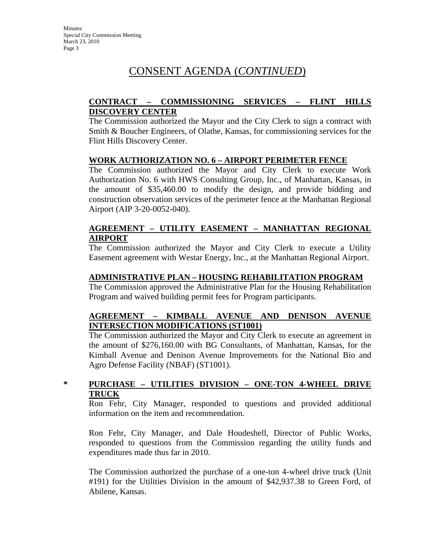# CONSENT AGENDA (*CONTINUED*)

### **CONTRACT – COMMISSIONING SERVICES – FLINT HILLS DISCOVERY CENTER**

The Commission authorized the Mayor and the City Clerk to sign a contract with Smith & Boucher Engineers, of Olathe, Kansas, for commissioning services for the Flint Hills Discovery Center.

#### **WORK AUTHORIZATION NO. 6 – AIRPORT PERIMETER FENCE**

The Commission authorized the Mayor and City Clerk to execute Work Authorization No. 6 with HWS Consulting Group, Inc., of Manhattan, Kansas, in the amount of \$35,460.00 to modify the design, and provide bidding and construction observation services of the perimeter fence at the Manhattan Regional Airport (AIP 3-20-0052-040).

#### **AGREEMENT – UTILITY EASEMENT – MANHATTAN REGIONAL AIRPORT**

The Commission authorized the Mayor and City Clerk to execute a Utility Easement agreement with Westar Energy, Inc., at the Manhattan Regional Airport.

#### **ADMINISTRATIVE PLAN – HOUSING REHABILITATION PROGRAM**

The Commission approved the Administrative Plan for the Housing Rehabilitation Program and waived building permit fees for Program participants.

#### **AGREEMENT – KIMBALL AVENUE AND DENISON AVENUE INTERSECTION MODIFICATIONS (ST1001)**

The Commission authorized the Mayor and City Clerk to execute an agreement in the amount of \$276,160.00 with BG Consultants, of Manhattan, Kansas, for the Kimball Avenue and Denison Avenue Improvements for the National Bio and Agro Defense Facility (NBAF) (ST1001).

#### **\* PURCHASE – UTILITIES DIVISION – ONE-TON 4-WHEEL DRIVE TRUCK**

Ron Fehr, City Manager, responded to questions and provided additional information on the item and recommendation.

Ron Fehr, City Manager, and Dale Houdeshell, Director of Public Works, responded to questions from the Commission regarding the utility funds and expenditures made thus far in 2010.

The Commission authorized the purchase of a one-ton 4-wheel drive truck (Unit #191) for the Utilities Division in the amount of \$42,937.38 to Green Ford, of Abilene, Kansas.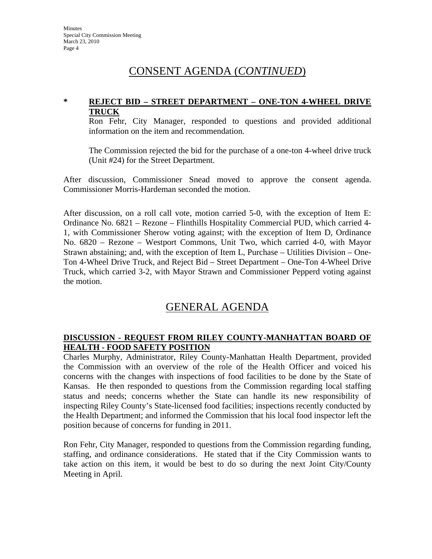## CONSENT AGENDA (*CONTINUED*)

### **\* REJECT BID – STREET DEPARTMENT – ONE-TON 4-WHEEL DRIVE TRUCK**

Ron Fehr, City Manager, responded to questions and provided additional information on the item and recommendation.

The Commission rejected the bid for the purchase of a one-ton 4-wheel drive truck (Unit #24) for the Street Department.

After discussion, Commissioner Snead moved to approve the consent agenda. Commissioner Morris-Hardeman seconded the motion.

After discussion, on a roll call vote, motion carried 5-0, with the exception of Item E: Ordinance No. 6821 – Rezone – Flinthills Hospitality Commercial PUD, which carried 4- 1, with Commissioner Sherow voting against; with the exception of Item D, Ordinance No. 6820 – Rezone – Westport Commons, Unit Two, which carried 4-0, with Mayor Strawn abstaining; and, with the exception of Item L, Purchase – Utilities Division – One-Ton 4-Wheel Drive Truck, and Reject Bid – Street Department – One-Ton 4-Wheel Drive Truck, which carried 3-2, with Mayor Strawn and Commissioner Pepperd voting against the motion.

## GENERAL AGENDA

## **DISCUSSION - REQUEST FROM RILEY COUNTY-MANHATTAN BOARD OF HEALTH - FOOD SAFETY POSITION**

Charles Murphy, Administrator, Riley County-Manhattan Health Department, provided the Commission with an overview of the role of the Health Officer and voiced his concerns with the changes with inspections of food facilities to be done by the State of Kansas. He then responded to questions from the Commission regarding local staffing status and needs; concerns whether the State can handle its new responsibility of inspecting Riley County's State-licensed food facilities; inspections recently conducted by the Health Department; and informed the Commission that his local food inspector left the position because of concerns for funding in 2011.

Ron Fehr, City Manager, responded to questions from the Commission regarding funding, staffing, and ordinance considerations. He stated that if the City Commission wants to take action on this item, it would be best to do so during the next Joint City/County Meeting in April.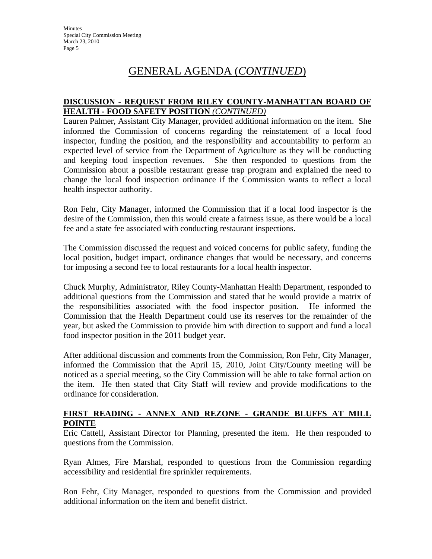#### **DISCUSSION - REQUEST FROM RILEY COUNTY-MANHATTAN BOARD OF HEALTH - FOOD SAFETY POSITION** *(CONTINUED)*

Lauren Palmer, Assistant City Manager, provided additional information on the item. She informed the Commission of concerns regarding the reinstatement of a local food inspector, funding the position, and the responsibility and accountability to perform an expected level of service from the Department of Agriculture as they will be conducting and keeping food inspection revenues. She then responded to questions from the Commission about a possible restaurant grease trap program and explained the need to change the local food inspection ordinance if the Commission wants to reflect a local health inspector authority.

Ron Fehr, City Manager, informed the Commission that if a local food inspector is the desire of the Commission, then this would create a fairness issue, as there would be a local fee and a state fee associated with conducting restaurant inspections.

The Commission discussed the request and voiced concerns for public safety, funding the local position, budget impact, ordinance changes that would be necessary, and concerns for imposing a second fee to local restaurants for a local health inspector.

Chuck Murphy, Administrator, Riley County-Manhattan Health Department, responded to additional questions from the Commission and stated that he would provide a matrix of the responsibilities associated with the food inspector position. He informed the Commission that the Health Department could use its reserves for the remainder of the year, but asked the Commission to provide him with direction to support and fund a local food inspector position in the 2011 budget year.

After additional discussion and comments from the Commission, Ron Fehr, City Manager, informed the Commission that the April 15, 2010, Joint City/County meeting will be noticed as a special meeting, so the City Commission will be able to take formal action on the item. He then stated that City Staff will review and provide modifications to the ordinance for consideration.

#### **FIRST READING - ANNEX AND REZONE - GRANDE BLUFFS AT MILL POINTE**

Eric Cattell, Assistant Director for Planning, presented the item. He then responded to questions from the Commission.

Ryan Almes, Fire Marshal, responded to questions from the Commission regarding accessibility and residential fire sprinkler requirements.

Ron Fehr, City Manager, responded to questions from the Commission and provided additional information on the item and benefit district.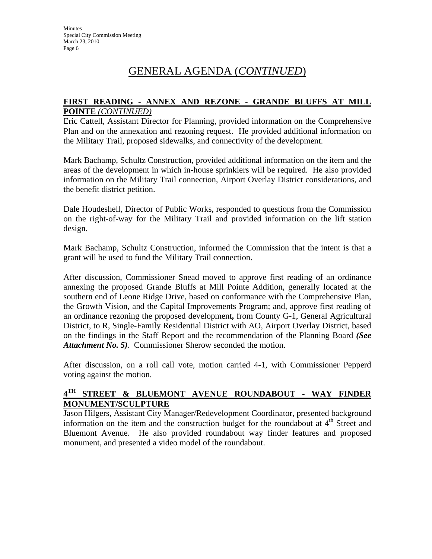#### **FIRST READING - ANNEX AND REZONE - GRANDE BLUFFS AT MILL POINTE** *(CONTINUED)*

Eric Cattell, Assistant Director for Planning, provided information on the Comprehensive Plan and on the annexation and rezoning request. He provided additional information on the Military Trail, proposed sidewalks, and connectivity of the development.

Mark Bachamp, Schultz Construction, provided additional information on the item and the areas of the development in which in-house sprinklers will be required. He also provided information on the Military Trail connection, Airport Overlay District considerations, and the benefit district petition.

Dale Houdeshell, Director of Public Works, responded to questions from the Commission on the right-of-way for the Military Trail and provided information on the lift station design.

Mark Bachamp, Schultz Construction, informed the Commission that the intent is that a grant will be used to fund the Military Trail connection.

After discussion, Commissioner Snead moved to approve first reading of an ordinance annexing the proposed Grande Bluffs at Mill Pointe Addition, generally located at the southern end of Leone Ridge Drive, based on conformance with the Comprehensive Plan, the Growth Vision, and the Capital Improvements Program; and, approve first reading of an ordinance rezoning the proposed development**,** from County G-1, General Agricultural District, to R, Single-Family Residential District with AO, Airport Overlay District, based on the findings in the Staff Report and the recommendation of the Planning Board *(See Attachment No. 5)*. Commissioner Sherow seconded the motion.

After discussion, on a roll call vote, motion carried 4-1, with Commissioner Pepperd voting against the motion.

## **4TH STREET & BLUEMONT AVENUE ROUNDABOUT - WAY FINDER MONUMENT/SCULPTURE**

Jason Hilgers, Assistant City Manager/Redevelopment Coordinator, presented background information on the item and the construction budget for the roundabout at  $4<sup>th</sup>$  Street and Bluemont Avenue. He also provided roundabout way finder features and proposed monument, and presented a video model of the roundabout.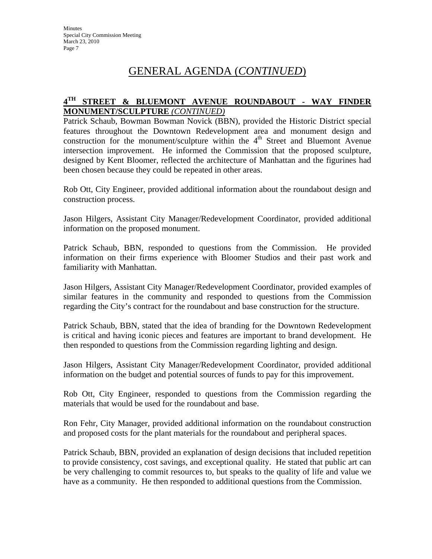## **4TH STREET & BLUEMONT AVENUE ROUNDABOUT - WAY FINDER MONUMENT/SCULPTURE** *(CONTINUED)*

Patrick Schaub, Bowman Bowman Novick (BBN), provided the Historic District special features throughout the Downtown Redevelopment area and monument design and construction for the monument/sculpture within the  $4<sup>th</sup>$  Street and Bluemont Avenue intersection improvement. He informed the Commission that the proposed sculpture, designed by Kent Bloomer, reflected the architecture of Manhattan and the figurines had been chosen because they could be repeated in other areas.

Rob Ott, City Engineer, provided additional information about the roundabout design and construction process.

Jason Hilgers, Assistant City Manager/Redevelopment Coordinator, provided additional information on the proposed monument.

Patrick Schaub, BBN, responded to questions from the Commission. He provided information on their firms experience with Bloomer Studios and their past work and familiarity with Manhattan.

Jason Hilgers, Assistant City Manager/Redevelopment Coordinator, provided examples of similar features in the community and responded to questions from the Commission regarding the City's contract for the roundabout and base construction for the structure.

Patrick Schaub, BBN, stated that the idea of branding for the Downtown Redevelopment is critical and having iconic pieces and features are important to brand development. He then responded to questions from the Commission regarding lighting and design.

Jason Hilgers, Assistant City Manager/Redevelopment Coordinator, provided additional information on the budget and potential sources of funds to pay for this improvement.

Rob Ott, City Engineer, responded to questions from the Commission regarding the materials that would be used for the roundabout and base.

Ron Fehr, City Manager, provided additional information on the roundabout construction and proposed costs for the plant materials for the roundabout and peripheral spaces.

Patrick Schaub, BBN, provided an explanation of design decisions that included repetition to provide consistency, cost savings, and exceptional quality. He stated that public art can be very challenging to commit resources to, but speaks to the quality of life and value we have as a community. He then responded to additional questions from the Commission.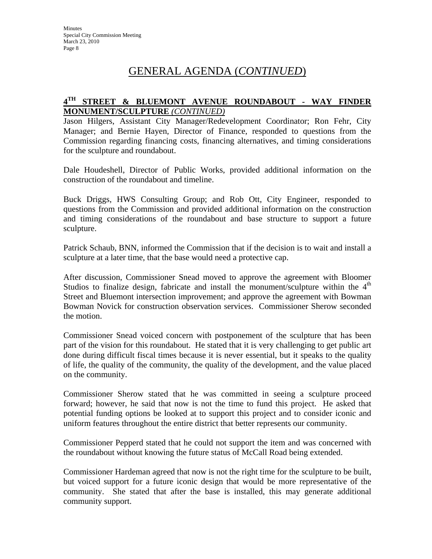## **4TH STREET & BLUEMONT AVENUE ROUNDABOUT - WAY FINDER MONUMENT/SCULPTURE** *(CONTINUED)*

Jason Hilgers, Assistant City Manager/Redevelopment Coordinator; Ron Fehr, City Manager; and Bernie Hayen, Director of Finance, responded to questions from the Commission regarding financing costs, financing alternatives, and timing considerations for the sculpture and roundabout.

Dale Houdeshell, Director of Public Works, provided additional information on the construction of the roundabout and timeline.

Buck Driggs, HWS Consulting Group; and Rob Ott, City Engineer, responded to questions from the Commission and provided additional information on the construction and timing considerations of the roundabout and base structure to support a future sculpture.

Patrick Schaub, BNN, informed the Commission that if the decision is to wait and install a sculpture at a later time, that the base would need a protective cap.

After discussion, Commissioner Snead moved to approve the agreement with Bloomer Studios to finalize design, fabricate and install the monument/sculpture within the  $4<sup>th</sup>$ Street and Bluemont intersection improvement; and approve the agreement with Bowman Bowman Novick for construction observation services. Commissioner Sherow seconded the motion.

Commissioner Snead voiced concern with postponement of the sculpture that has been part of the vision for this roundabout. He stated that it is very challenging to get public art done during difficult fiscal times because it is never essential, but it speaks to the quality of life, the quality of the community, the quality of the development, and the value placed on the community.

Commissioner Sherow stated that he was committed in seeing a sculpture proceed forward; however, he said that now is not the time to fund this project. He asked that potential funding options be looked at to support this project and to consider iconic and uniform features throughout the entire district that better represents our community.

Commissioner Pepperd stated that he could not support the item and was concerned with the roundabout without knowing the future status of McCall Road being extended.

Commissioner Hardeman agreed that now is not the right time for the sculpture to be built, but voiced support for a future iconic design that would be more representative of the community. She stated that after the base is installed, this may generate additional community support.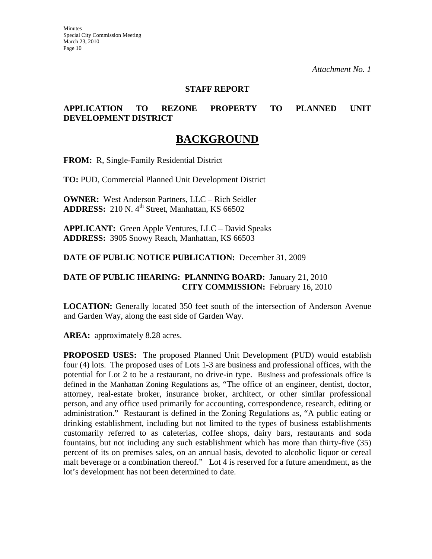#### **STAFF REPORT**

#### **APPLICATION TO REZONE PROPERTY TO PLANNED UNIT DEVELOPMENT DISTRICT**

## **BACKGROUND**

**FROM:** R, Single-Family Residential District

**TO:** PUD, Commercial Planned Unit Development District

**OWNER:** West Anderson Partners, LLC – Rich Seidler **ADDRESS:** 210 N. 4<sup>th</sup> Street, Manhattan, KS 66502

**APPLICANT:** Green Apple Ventures, LLC – David Speaks **ADDRESS:** 3905 Snowy Reach, Manhattan, KS 66503

**DATE OF PUBLIC NOTICE PUBLICATION:** December 31, 2009

#### **DATE OF PUBLIC HEARING: PLANNING BOARD:** January 21, 2010 **CITY COMMISSION:** February 16, 2010

**LOCATION:** Generally located 350 feet south of the intersection of Anderson Avenue and Garden Way, along the east side of Garden Way.

AREA: approximately 8.28 acres.

**PROPOSED USES:** The proposed Planned Unit Development (PUD) would establish four (4) lots. The proposed uses of Lots 1-3 are business and professional offices, with the potential for Lot 2 to be a restaurant, no drive-in type. Business and professionals office is defined in the Manhattan Zoning Regulations as, "The office of an engineer, dentist, doctor, attorney, real-estate broker, insurance broker, architect, or other similar professional person, and any office used primarily for accounting, correspondence, research, editing or administration." Restaurant is defined in the Zoning Regulations as, "A public eating or drinking establishment, including but not limited to the types of business establishments customarily referred to as cafeterias, coffee shops, dairy bars, restaurants and soda fountains, but not including any such establishment which has more than thirty-five (35) percent of its on premises sales, on an annual basis, devoted to alcoholic liquor or cereal malt beverage or a combination thereof." Lot 4 is reserved for a future amendment, as the lot's development has not been determined to date.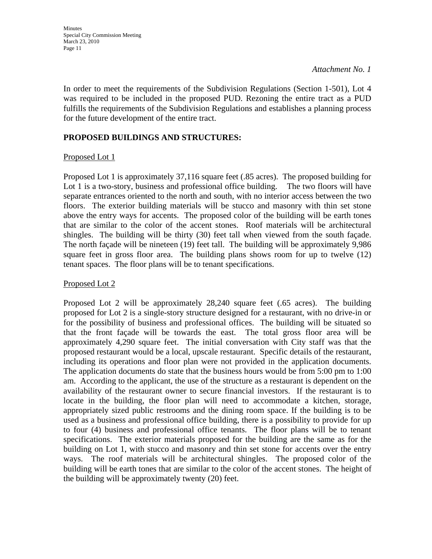In order to meet the requirements of the Subdivision Regulations (Section 1-501), Lot 4 was required to be included in the proposed PUD. Rezoning the entire tract as a PUD fulfills the requirements of the Subdivision Regulations and establishes a planning process for the future development of the entire tract.

### **PROPOSED BUILDINGS AND STRUCTURES:**

#### Proposed Lot 1

Proposed Lot 1 is approximately 37,116 square feet (.85 acres). The proposed building for Lot 1 is a two-story, business and professional office building. The two floors will have separate entrances oriented to the north and south, with no interior access between the two floors. The exterior building materials will be stucco and masonry with thin set stone above the entry ways for accents. The proposed color of the building will be earth tones that are similar to the color of the accent stones. Roof materials will be architectural shingles. The building will be thirty (30) feet tall when viewed from the south façade. The north façade will be nineteen (19) feet tall. The building will be approximately 9,986 square feet in gross floor area. The building plans shows room for up to twelve (12) tenant spaces. The floor plans will be to tenant specifications.

#### Proposed Lot 2

Proposed Lot 2 will be approximately 28,240 square feet (.65 acres). The building proposed for Lot 2 is a single-story structure designed for a restaurant, with no drive-in or for the possibility of business and professional offices. The building will be situated so that the front façade will be towards the east. The total gross floor area will be approximately 4,290 square feet. The initial conversation with City staff was that the proposed restaurant would be a local, upscale restaurant. Specific details of the restaurant, including its operations and floor plan were not provided in the application documents. The application documents do state that the business hours would be from 5:00 pm to 1:00 am. According to the applicant, the use of the structure as a restaurant is dependent on the availability of the restaurant owner to secure financial investors. If the restaurant is to locate in the building, the floor plan will need to accommodate a kitchen, storage, appropriately sized public restrooms and the dining room space. If the building is to be used as a business and professional office building, there is a possibility to provide for up to four (4) business and professional office tenants. The floor plans will be to tenant specifications. The exterior materials proposed for the building are the same as for the building on Lot 1, with stucco and masonry and thin set stone for accents over the entry ways. The roof materials will be architectural shingles. The proposed color of the building will be earth tones that are similar to the color of the accent stones. The height of the building will be approximately twenty (20) feet.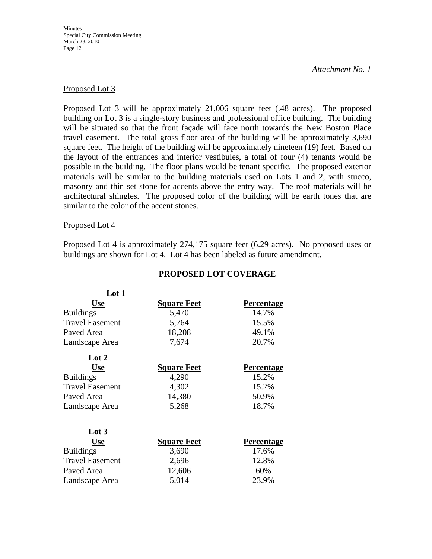**Minutes** Special City Commission Meeting March 23, 2010 Page 12

#### *Attachment No. 1*

#### Proposed Lot 3

Proposed Lot 3 will be approximately 21,006 square feet (.48 acres). The proposed building on Lot 3 is a single-story business and professional office building. The building will be situated so that the front façade will face north towards the New Boston Place travel easement. The total gross floor area of the building will be approximately 3,690 square feet. The height of the building will be approximately nineteen (19) feet. Based on the layout of the entrances and interior vestibules, a total of four (4) tenants would be possible in the building. The floor plans would be tenant specific. The proposed exterior materials will be similar to the building materials used on Lots 1 and 2, with stucco, masonry and thin set stone for accents above the entry way. The roof materials will be architectural shingles. The proposed color of the building will be earth tones that are similar to the color of the accent stones.

#### Proposed Lot 4

Proposed Lot 4 is approximately 274,175 square feet (6.29 acres). No proposed uses or buildings are shown for Lot 4. Lot 4 has been labeled as future amendment.

| Lot 1                  |                    |                   |  |
|------------------------|--------------------|-------------------|--|
| <b>Use</b>             | <b>Square Feet</b> | <b>Percentage</b> |  |
| <b>Buildings</b>       | 5,470              | 14.7%             |  |
| <b>Travel Easement</b> | 5,764              | 15.5%             |  |
| Paved Area             | 18,208             | 49.1%<br>20.7%    |  |
| Landscape Area         | 7,674              |                   |  |
| Lot 2                  |                    |                   |  |
| <b>Use</b>             | <b>Square Feet</b> | <b>Percentage</b> |  |
| <b>Buildings</b>       | 4,290              | 15.2%             |  |
| <b>Travel Easement</b> | 4,302              | 15.2%             |  |
| Paved Area             | 14,380             | 50.9%             |  |
| Landscape Area         | 5,268              | 18.7%             |  |
| Lot 3                  |                    |                   |  |
| <b>Use</b>             | <b>Square Feet</b> | Percentage        |  |
| <b>Buildings</b>       | 3,690              | 17.6%             |  |
| <b>Travel Easement</b> | 2,696              | 12.8%             |  |
| Paved Area             | 12,606             | 60%               |  |
| Landscape Area         | 5,014              | 23.9%             |  |

#### **PROPOSED LOT COVERAGE**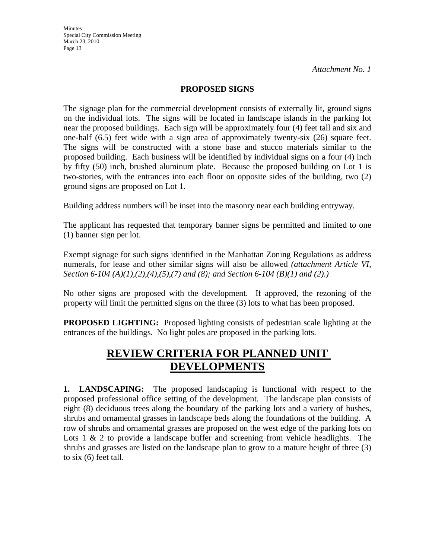#### **PROPOSED SIGNS**

The signage plan for the commercial development consists of externally lit, ground signs on the individual lots. The signs will be located in landscape islands in the parking lot near the proposed buildings. Each sign will be approximately four (4) feet tall and six and one-half (6.5) feet wide with a sign area of approximately twenty-six (26) square feet. The signs will be constructed with a stone base and stucco materials similar to the proposed building. Each business will be identified by individual signs on a four (4) inch by fifty (50) inch, brushed aluminum plate. Because the proposed building on Lot 1 is two-stories, with the entrances into each floor on opposite sides of the building, two (2) ground signs are proposed on Lot 1.

Building address numbers will be inset into the masonry near each building entryway.

The applicant has requested that temporary banner signs be permitted and limited to one (1) banner sign per lot.

Exempt signage for such signs identified in the Manhattan Zoning Regulations as address numerals, for lease and other similar signs will also be allowed *(attachment Article VI, Section 6-104 (A)(1),(2),(4),(5),(7) and (8); and Section 6-104 (B)(1) and (2).)*

No other signs are proposed with the development. If approved, the rezoning of the property will limit the permitted signs on the three (3) lots to what has been proposed.

**PROPOSED LIGHTING:** Proposed lighting consists of pedestrian scale lighting at the entrances of the buildings. No light poles are proposed in the parking lots.

## **REVIEW CRITERIA FOR PLANNED UNIT DEVELOPMENTS**

**1. LANDSCAPING:** The proposed landscaping is functional with respect to the proposed professional office setting of the development. The landscape plan consists of eight (8) deciduous trees along the boundary of the parking lots and a variety of bushes, shrubs and ornamental grasses in landscape beds along the foundations of the building. A row of shrubs and ornamental grasses are proposed on the west edge of the parking lots on Lots  $1 \& 2$  to provide a landscape buffer and screening from vehicle headlights. The shrubs and grasses are listed on the landscape plan to grow to a mature height of three (3) to six (6) feet tall.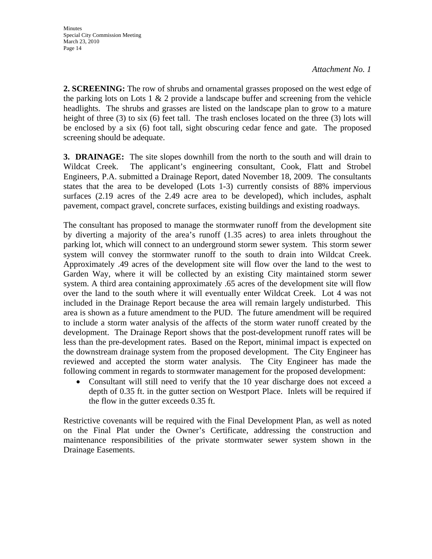**2. SCREENING:** The row of shrubs and ornamental grasses proposed on the west edge of the parking lots on Lots 1  $\&$  2 provide a landscape buffer and screening from the vehicle headlights. The shrubs and grasses are listed on the landscape plan to grow to a mature height of three (3) to six (6) feet tall. The trash encloses located on the three (3) lots will be enclosed by a six (6) foot tall, sight obscuring cedar fence and gate. The proposed screening should be adequate.

**3. DRAINAGE:** The site slopes downhill from the north to the south and will drain to Wildcat Creek. The applicant's engineering consultant, Cook, Flatt and Strobel Engineers, P.A. submitted a Drainage Report, dated November 18, 2009. The consultants states that the area to be developed (Lots 1-3) currently consists of 88% impervious surfaces (2.19 acres of the 2.49 acre area to be developed), which includes, asphalt pavement, compact gravel, concrete surfaces, existing buildings and existing roadways.

The consultant has proposed to manage the stormwater runoff from the development site by diverting a majority of the area's runoff (1.35 acres) to area inlets throughout the parking lot, which will connect to an underground storm sewer system. This storm sewer system will convey the stormwater runoff to the south to drain into Wildcat Creek. Approximately .49 acres of the development site will flow over the land to the west to Garden Way, where it will be collected by an existing City maintained storm sewer system. A third area containing approximately .65 acres of the development site will flow over the land to the south where it will eventually enter Wildcat Creek. Lot 4 was not included in the Drainage Report because the area will remain largely undisturbed. This area is shown as a future amendment to the PUD. The future amendment will be required to include a storm water analysis of the affects of the storm water runoff created by the development. The Drainage Report shows that the post-development runoff rates will be less than the pre-development rates. Based on the Report, minimal impact is expected on the downstream drainage system from the proposed development. The City Engineer has reviewed and accepted the storm water analysis. The City Engineer has made the following comment in regards to stormwater management for the proposed development:

• Consultant will still need to verify that the 10 year discharge does not exceed a depth of 0.35 ft. in the gutter section on Westport Place. Inlets will be required if the flow in the gutter exceeds 0.35 ft.

Restrictive covenants will be required with the Final Development Plan, as well as noted on the Final Plat under the Owner's Certificate, addressing the construction and maintenance responsibilities of the private stormwater sewer system shown in the Drainage Easements.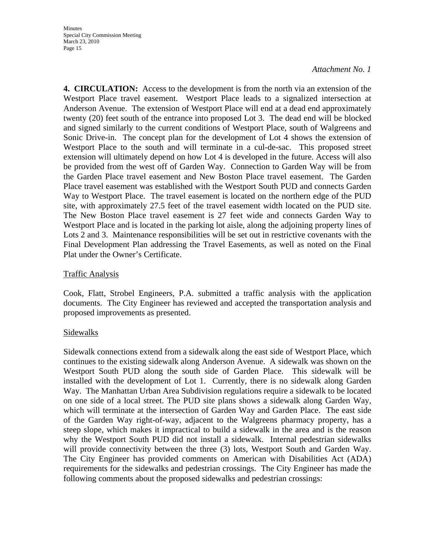**4. CIRCULATION:** Access to the development is from the north via an extension of the Westport Place travel easement. Westport Place leads to a signalized intersection at Anderson Avenue. The extension of Westport Place will end at a dead end approximately twenty (20) feet south of the entrance into proposed Lot 3. The dead end will be blocked and signed similarly to the current conditions of Westport Place, south of Walgreens and Sonic Drive-in. The concept plan for the development of Lot 4 shows the extension of Westport Place to the south and will terminate in a cul-de-sac. This proposed street extension will ultimately depend on how Lot 4 is developed in the future. Access will also be provided from the west off of Garden Way. Connection to Garden Way will be from the Garden Place travel easement and New Boston Place travel easement. The Garden Place travel easement was established with the Westport South PUD and connects Garden Way to Westport Place. The travel easement is located on the northern edge of the PUD site, with approximately 27.5 feet of the travel easement width located on the PUD site. The New Boston Place travel easement is 27 feet wide and connects Garden Way to Westport Place and is located in the parking lot aisle, along the adjoining property lines of Lots 2 and 3. Maintenance responsibilities will be set out in restrictive covenants with the Final Development Plan addressing the Travel Easements, as well as noted on the Final Plat under the Owner's Certificate.

#### Traffic Analysis

Cook, Flatt, Strobel Engineers, P.A. submitted a traffic analysis with the application documents. The City Engineer has reviewed and accepted the transportation analysis and proposed improvements as presented.

#### Sidewalks

Sidewalk connections extend from a sidewalk along the east side of Westport Place, which continues to the existing sidewalk along Anderson Avenue. A sidewalk was shown on the Westport South PUD along the south side of Garden Place. This sidewalk will be installed with the development of Lot 1. Currently, there is no sidewalk along Garden Way. The Manhattan Urban Area Subdivision regulations require a sidewalk to be located on one side of a local street. The PUD site plans shows a sidewalk along Garden Way, which will terminate at the intersection of Garden Way and Garden Place. The east side of the Garden Way right-of-way, adjacent to the Walgreens pharmacy property, has a steep slope, which makes it impractical to build a sidewalk in the area and is the reason why the Westport South PUD did not install a sidewalk. Internal pedestrian sidewalks will provide connectivity between the three (3) lots, Westport South and Garden Way. The City Engineer has provided comments on American with Disabilities Act (ADA) requirements for the sidewalks and pedestrian crossings. The City Engineer has made the following comments about the proposed sidewalks and pedestrian crossings: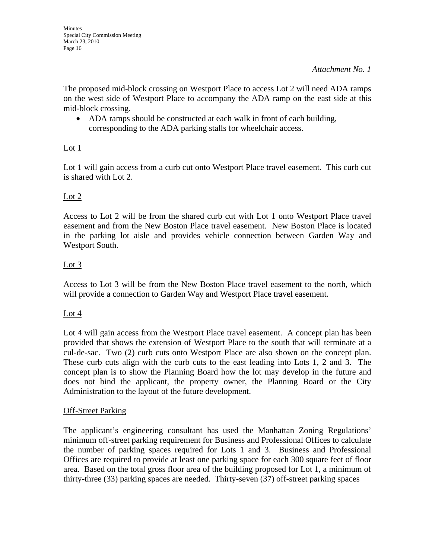The proposed mid-block crossing on Westport Place to access Lot 2 will need ADA ramps on the west side of Westport Place to accompany the ADA ramp on the east side at this mid-block crossing.

• ADA ramps should be constructed at each walk in front of each building, corresponding to the ADA parking stalls for wheelchair access.

## Lot 1

Lot 1 will gain access from a curb cut onto Westport Place travel easement. This curb cut is shared with Lot 2.

## Lot 2

Access to Lot 2 will be from the shared curb cut with Lot 1 onto Westport Place travel easement and from the New Boston Place travel easement. New Boston Place is located in the parking lot aisle and provides vehicle connection between Garden Way and Westport South.

## Lot 3

Access to Lot 3 will be from the New Boston Place travel easement to the north, which will provide a connection to Garden Way and Westport Place travel easement.

#### Lot 4

Lot 4 will gain access from the Westport Place travel easement. A concept plan has been provided that shows the extension of Westport Place to the south that will terminate at a cul-de-sac. Two (2) curb cuts onto Westport Place are also shown on the concept plan. These curb cuts align with the curb cuts to the east leading into Lots 1, 2 and 3. The concept plan is to show the Planning Board how the lot may develop in the future and does not bind the applicant, the property owner, the Planning Board or the City Administration to the layout of the future development.

#### Off-Street Parking

The applicant's engineering consultant has used the Manhattan Zoning Regulations' minimum off-street parking requirement for Business and Professional Offices to calculate the number of parking spaces required for Lots 1 and 3. Business and Professional Offices are required to provide at least one parking space for each 300 square feet of floor area. Based on the total gross floor area of the building proposed for Lot 1, a minimum of thirty-three (33) parking spaces are needed. Thirty-seven (37) off-street parking spaces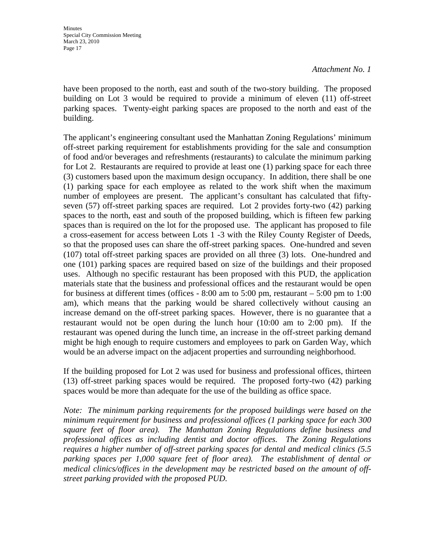have been proposed to the north, east and south of the two-story building. The proposed building on Lot 3 would be required to provide a minimum of eleven (11) off-street parking spaces. Twenty-eight parking spaces are proposed to the north and east of the building.

The applicant's engineering consultant used the Manhattan Zoning Regulations' minimum off-street parking requirement for establishments providing for the sale and consumption of food and/or beverages and refreshments (restaurants) to calculate the minimum parking for Lot 2. Restaurants are required to provide at least one (1) parking space for each three (3) customers based upon the maximum design occupancy. In addition, there shall be one (1) parking space for each employee as related to the work shift when the maximum number of employees are present. The applicant's consultant has calculated that fiftyseven (57) off-street parking spaces are required. Lot 2 provides forty-two (42) parking spaces to the north, east and south of the proposed building, which is fifteen few parking spaces than is required on the lot for the proposed use. The applicant has proposed to file a cross-easement for access between Lots 1 -3 with the Riley County Register of Deeds, so that the proposed uses can share the off-street parking spaces. One-hundred and seven (107) total off-street parking spaces are provided on all three (3) lots. One-hundred and one (101) parking spaces are required based on size of the buildings and their proposed uses. Although no specific restaurant has been proposed with this PUD, the application materials state that the business and professional offices and the restaurant would be open for business at different times (offices - 8:00 am to 5:00 pm, restaurant – 5:00 pm to 1:00 am), which means that the parking would be shared collectively without causing an increase demand on the off-street parking spaces. However, there is no guarantee that a restaurant would not be open during the lunch hour (10:00 am to 2:00 pm). If the restaurant was opened during the lunch time, an increase in the off-street parking demand might be high enough to require customers and employees to park on Garden Way, which would be an adverse impact on the adjacent properties and surrounding neighborhood.

If the building proposed for Lot 2 was used for business and professional offices, thirteen (13) off-street parking spaces would be required. The proposed forty-two (42) parking spaces would be more than adequate for the use of the building as office space.

*Note: The minimum parking requirements for the proposed buildings were based on the minimum requirement for business and professional offices (1 parking space for each 300 square feet of floor area). The Manhattan Zoning Regulations define business and professional offices as including dentist and doctor offices. The Zoning Regulations requires a higher number of off-street parking spaces for dental and medical clinics (5.5*  parking spaces per 1,000 square feet of floor area). The establishment of dental or *medical clinics/offices in the development may be restricted based on the amount of offstreet parking provided with the proposed PUD.*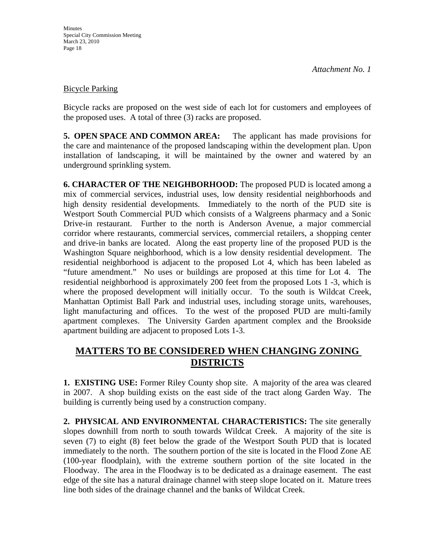#### Bicycle Parking

Bicycle racks are proposed on the west side of each lot for customers and employees of the proposed uses. A total of three (3) racks are proposed.

**5. OPEN SPACE AND COMMON AREA:** The applicant has made provisions for the care and maintenance of the proposed landscaping within the development plan. Upon installation of landscaping, it will be maintained by the owner and watered by an underground sprinkling system.

**6. CHARACTER OF THE NEIGHBORHOOD:** The proposed PUD is located among a mix of commercial services, industrial uses, low density residential neighborhoods and high density residential developments. Immediately to the north of the PUD site is Westport South Commercial PUD which consists of a Walgreens pharmacy and a Sonic Drive-in restaurant. Further to the north is Anderson Avenue, a major commercial corridor where restaurants, commercial services, commercial retailers, a shopping center and drive-in banks are located. Along the east property line of the proposed PUD is the Washington Square neighborhood, which is a low density residential development. The residential neighborhood is adjacent to the proposed Lot 4, which has been labeled as "future amendment." No uses or buildings are proposed at this time for Lot 4. The residential neighborhood is approximately 200 feet from the proposed Lots 1 -3, which is where the proposed development will initially occur. To the south is Wildcat Creek, Manhattan Optimist Ball Park and industrial uses, including storage units, warehouses, light manufacturing and offices. To the west of the proposed PUD are multi-family apartment complexes. The University Garden apartment complex and the Brookside apartment building are adjacent to proposed Lots 1-3.

## **MATTERS TO BE CONSIDERED WHEN CHANGING ZONING DISTRICTS**

**1. EXISTING USE:** Former Riley County shop site. A majority of the area was cleared in 2007. A shop building exists on the east side of the tract along Garden Way. The building is currently being used by a construction company.

**2. PHYSICAL AND ENVIRONMENTAL CHARACTERISTICS:** The site generally slopes downhill from north to south towards Wildcat Creek. A majority of the site is seven (7) to eight (8) feet below the grade of the Westport South PUD that is located immediately to the north. The southern portion of the site is located in the Flood Zone AE (100-year floodplain), with the extreme southern portion of the site located in the Floodway. The area in the Floodway is to be dedicated as a drainage easement. The east edge of the site has a natural drainage channel with steep slope located on it. Mature trees line both sides of the drainage channel and the banks of Wildcat Creek.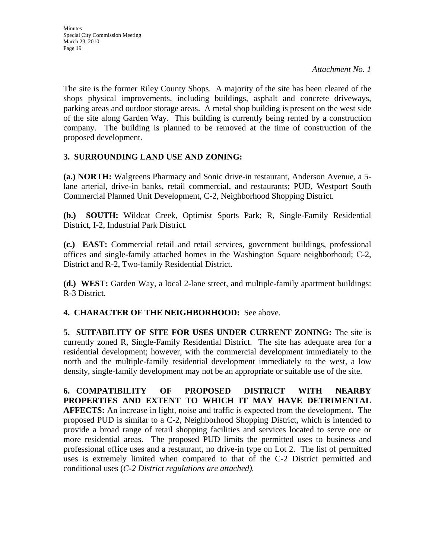The site is the former Riley County Shops. A majority of the site has been cleared of the shops physical improvements, including buildings, asphalt and concrete driveways, parking areas and outdoor storage areas. A metal shop building is present on the west side of the site along Garden Way. This building is currently being rented by a construction company. The building is planned to be removed at the time of construction of the proposed development.

## **3. SURROUNDING LAND USE AND ZONING:**

**(a.) NORTH:** Walgreens Pharmacy and Sonic drive-in restaurant, Anderson Avenue, a 5 lane arterial, drive-in banks, retail commercial, and restaurants; PUD, Westport South Commercial Planned Unit Development, C-2, Neighborhood Shopping District.

**(b.) SOUTH:** Wildcat Creek, Optimist Sports Park; R, Single-Family Residential District, I-2, Industrial Park District.

**(c.) EAST:** Commercial retail and retail services, government buildings, professional offices and single-family attached homes in the Washington Square neighborhood; C-2, District and R-2, Two-family Residential District.

**(d.) WEST:** Garden Way, a local 2-lane street, and multiple-family apartment buildings: R-3 District.

**4. CHARACTER OF THE NEIGHBORHOOD:** See above.

**5. SUITABILITY OF SITE FOR USES UNDER CURRENT ZONING:** The site is currently zoned R, Single-Family Residential District. The site has adequate area for a residential development; however, with the commercial development immediately to the north and the multiple-family residential development immediately to the west, a low density, single-family development may not be an appropriate or suitable use of the site.

**6. COMPATIBILITY OF PROPOSED DISTRICT WITH NEARBY PROPERTIES AND EXTENT TO WHICH IT MAY HAVE DETRIMENTAL AFFECTS:** An increase in light, noise and traffic is expected from the development. The proposed PUD is similar to a C-2, Neighborhood Shopping District, which is intended to provide a broad range of retail shopping facilities and services located to serve one or more residential areas. The proposed PUD limits the permitted uses to business and professional office uses and a restaurant, no drive-in type on Lot 2. The list of permitted uses is extremely limited when compared to that of the C-2 District permitted and conditional uses (*C-2 District regulations are attached).*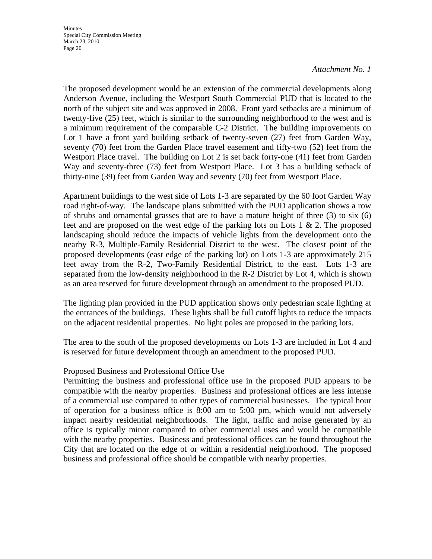The proposed development would be an extension of the commercial developments along Anderson Avenue, including the Westport South Commercial PUD that is located to the north of the subject site and was approved in 2008. Front yard setbacks are a minimum of twenty-five (25) feet, which is similar to the surrounding neighborhood to the west and is a minimum requirement of the comparable C-2 District. The building improvements on Lot 1 have a front yard building setback of twenty-seven (27) feet from Garden Way, seventy (70) feet from the Garden Place travel easement and fifty-two (52) feet from the Westport Place travel. The building on Lot 2 is set back forty-one (41) feet from Garden Way and seventy-three (73) feet from Westport Place. Lot 3 has a building setback of thirty-nine (39) feet from Garden Way and seventy (70) feet from Westport Place.

Apartment buildings to the west side of Lots 1-3 are separated by the 60 foot Garden Way road right-of-way. The landscape plans submitted with the PUD application shows a row of shrubs and ornamental grasses that are to have a mature height of three (3) to six (6) feet and are proposed on the west edge of the parking lots on Lots  $1 \& 2$ . The proposed landscaping should reduce the impacts of vehicle lights from the development onto the nearby R-3, Multiple-Family Residential District to the west. The closest point of the proposed developments (east edge of the parking lot) on Lots 1-3 are approximately 215 feet away from the R-2, Two-Family Residential District, to the east. Lots 1-3 are separated from the low-density neighborhood in the R-2 District by Lot 4, which is shown as an area reserved for future development through an amendment to the proposed PUD.

The lighting plan provided in the PUD application shows only pedestrian scale lighting at the entrances of the buildings. These lights shall be full cutoff lights to reduce the impacts on the adjacent residential properties. No light poles are proposed in the parking lots.

The area to the south of the proposed developments on Lots 1-3 are included in Lot 4 and is reserved for future development through an amendment to the proposed PUD.

#### Proposed Business and Professional Office Use

Permitting the business and professional office use in the proposed PUD appears to be compatible with the nearby properties. Business and professional offices are less intense of a commercial use compared to other types of commercial businesses. The typical hour of operation for a business office is 8:00 am to 5:00 pm, which would not adversely impact nearby residential neighborhoods. The light, traffic and noise generated by an office is typically minor compared to other commercial uses and would be compatible with the nearby properties. Business and professional offices can be found throughout the City that are located on the edge of or within a residential neighborhood. The proposed business and professional office should be compatible with nearby properties.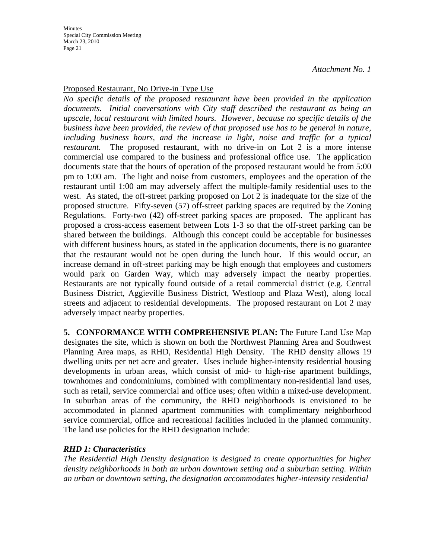### Proposed Restaurant, No Drive-in Type Use

*No specific details of the proposed restaurant have been provided in the application documents. Initial conversations with City staff described the restaurant as being an upscale, local restaurant with limited hours. However, because no specific details of the business have been provided, the review of that proposed use has to be general in nature, including business hours, and the increase in light, noise and traffic for a typical restaurant.* The proposed restaurant, with no drive-in on Lot 2 is a more intense commercial use compared to the business and professional office use. The application documents state that the hours of operation of the proposed restaurant would be from 5:00 pm to 1:00 am. The light and noise from customers, employees and the operation of the restaurant until 1:00 am may adversely affect the multiple-family residential uses to the west. As stated, the off-street parking proposed on Lot 2 is inadequate for the size of the proposed structure. Fifty-seven (57) off-street parking spaces are required by the Zoning Regulations. Forty-two (42) off-street parking spaces are proposed. The applicant has proposed a cross-access easement between Lots 1-3 so that the off-street parking can be shared between the buildings. Although this concept could be acceptable for businesses with different business hours, as stated in the application documents, there is no guarantee that the restaurant would not be open during the lunch hour. If this would occur, an increase demand in off-street parking may be high enough that employees and customers would park on Garden Way, which may adversely impact the nearby properties. Restaurants are not typically found outside of a retail commercial district (e.g. Central Business District, Aggieville Business District, Westloop and Plaza West), along local streets and adjacent to residential developments. The proposed restaurant on Lot 2 may adversely impact nearby properties.

**5. CONFORMANCE WITH COMPREHENSIVE PLAN:** The Future Land Use Map designates the site, which is shown on both the Northwest Planning Area and Southwest Planning Area maps, as RHD, Residential High Density. The RHD density allows 19 dwelling units per net acre and greater. Uses include higher-intensity residential housing developments in urban areas, which consist of mid- to high-rise apartment buildings, townhomes and condominiums, combined with complimentary non-residential land uses, such as retail, service commercial and office uses; often within a mixed-use development. In suburban areas of the community, the RHD neighborhoods is envisioned to be accommodated in planned apartment communities with complimentary neighborhood service commercial, office and recreational facilities included in the planned community. The land use policies for the RHD designation include:

#### *RHD 1: Characteristics*

*The Residential High Density designation is designed to create opportunities for higher density neighborhoods in both an urban downtown setting and a suburban setting. Within an urban or downtown setting, the designation accommodates higher-intensity residential*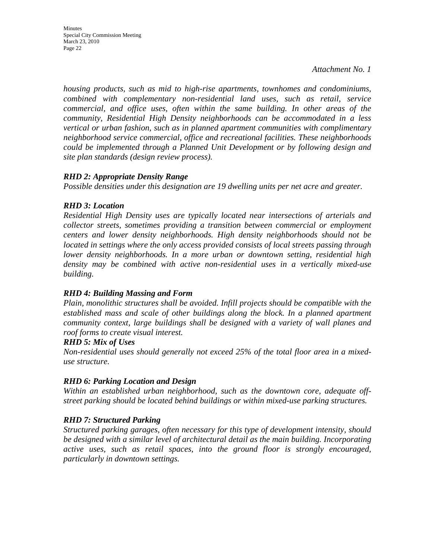**Minutes** Special City Commission Meeting March 23, 2010 Page 22

*Attachment No. 1*

*housing products, such as mid to high-rise apartments, townhomes and condominiums, combined with complementary non-residential land uses, such as retail, service commercial, and office uses, often within the same building. In other areas of the community, Residential High Density neighborhoods can be accommodated in a less vertical or urban fashion, such as in planned apartment communities with complimentary neighborhood service commercial, office and recreational facilities. These neighborhoods could be implemented through a Planned Unit Development or by following design and site plan standards (design review process).* 

## *RHD 2: Appropriate Density Range*

*Possible densities under this designation are 19 dwelling units per net acre and greater.* 

## *RHD 3: Location*

*Residential High Density uses are typically located near intersections of arterials and collector streets, sometimes providing a transition between commercial or employment centers and lower density neighborhoods. High density neighborhoods should not be located in settings where the only access provided consists of local streets passing through lower density neighborhoods. In a more urban or downtown setting, residential high density may be combined with active non-residential uses in a vertically mixed-use building.* 

#### *RHD 4: Building Massing and Form*

*Plain, monolithic structures shall be avoided. Infill projects should be compatible with the established mass and scale of other buildings along the block. In a planned apartment community context, large buildings shall be designed with a variety of wall planes and roof forms to create visual interest.* 

#### *RHD 5: Mix of Uses*

*Non-residential uses should generally not exceed 25% of the total floor area in a mixeduse structure.* 

## *RHD 6: Parking Location and Design*

*Within an established urban neighborhood, such as the downtown core, adequate offstreet parking should be located behind buildings or within mixed-use parking structures.* 

## *RHD 7: Structured Parking*

*Structured parking garages, often necessary for this type of development intensity, should be designed with a similar level of architectural detail as the main building. Incorporating active uses, such as retail spaces, into the ground floor is strongly encouraged, particularly in downtown settings.*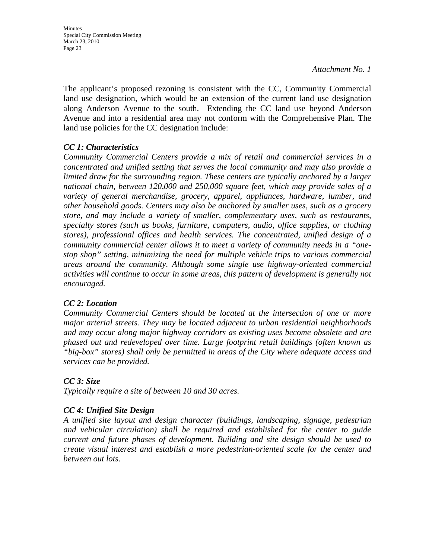The applicant's proposed rezoning is consistent with the CC, Community Commercial land use designation, which would be an extension of the current land use designation along Anderson Avenue to the south. Extending the CC land use beyond Anderson Avenue and into a residential area may not conform with the Comprehensive Plan. The land use policies for the CC designation include:

## *CC 1: Characteristics*

*Community Commercial Centers provide a mix of retail and commercial services in a concentrated and unified setting that serves the local community and may also provide a limited draw for the surrounding region. These centers are typically anchored by a larger national chain, between 120,000 and 250,000 square feet, which may provide sales of a variety of general merchandise, grocery, apparel, appliances, hardware, lumber, and other household goods. Centers may also be anchored by smaller uses, such as a grocery store, and may include a variety of smaller, complementary uses, such as restaurants, specialty stores (such as books, furniture, computers, audio, office supplies, or clothing stores), professional offices and health services. The concentrated, unified design of a community commercial center allows it to meet a variety of community needs in a "onestop shop" setting, minimizing the need for multiple vehicle trips to various commercial areas around the community. Although some single use highway-oriented commercial activities will continue to occur in some areas, this pattern of development is generally not encouraged.* 

#### *CC 2: Location*

*Community Commercial Centers should be located at the intersection of one or more major arterial streets. They may be located adjacent to urban residential neighborhoods and may occur along major highway corridors as existing uses become obsolete and are phased out and redeveloped over time. Large footprint retail buildings (often known as "big-box" stores) shall only be permitted in areas of the City where adequate access and services can be provided.* 

## *CC 3: Size*

*Typically require a site of between 10 and 30 acres.* 

## *CC 4: Unified Site Design*

*A unified site layout and design character (buildings, landscaping, signage, pedestrian and vehicular circulation) shall be required and established for the center to guide current and future phases of development. Building and site design should be used to create visual interest and establish a more pedestrian-oriented scale for the center and between out lots.*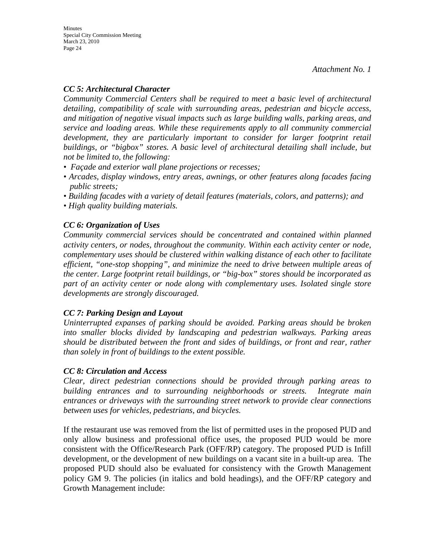## *CC 5: Architectural Character*

*Community Commercial Centers shall be required to meet a basic level of architectural detailing, compatibility of scale with surrounding areas, pedestrian and bicycle access, and mitigation of negative visual impacts such as large building walls, parking areas, and service and loading areas. While these requirements apply to all community commercial*  development, they are particularly important to consider for larger footprint retail *buildings, or "bigbox" stores. A basic level of architectural detailing shall include, but not be limited to, the following:* 

- *Façade and exterior wall plane projections or recesses;*
- *Arcades, display windows, entry areas, awnings, or other features along facades facing public streets;*
- Building facades with a variety of detail features (materials, colors, and patterns); and
- *High quality building materials.*

## *CC 6: Organization of Uses*

*Community commercial services should be concentrated and contained within planned activity centers, or nodes, throughout the community. Within each activity center or node, complementary uses should be clustered within walking distance of each other to facilitate efficient, "one-stop shopping", and minimize the need to drive between multiple areas of the center. Large footprint retail buildings, or "big-box" stores should be incorporated as part of an activity center or node along with complementary uses. Isolated single store developments are strongly discouraged.* 

#### *CC 7: Parking Design and Layout*

*Uninterrupted expanses of parking should be avoided. Parking areas should be broken into smaller blocks divided by landscaping and pedestrian walkways. Parking areas should be distributed between the front and sides of buildings, or front and rear, rather than solely in front of buildings to the extent possible.* 

#### *CC 8: Circulation and Access*

*Clear, direct pedestrian connections should be provided through parking areas to building entrances and to surrounding neighborhoods or streets. Integrate main entrances or driveways with the surrounding street network to provide clear connections between uses for vehicles, pedestrians, and bicycles.* 

If the restaurant use was removed from the list of permitted uses in the proposed PUD and only allow business and professional office uses, the proposed PUD would be more consistent with the Office/Research Park (OFF/RP) category. The proposed PUD is Infill development, or the development of new buildings on a vacant site in a built-up area. The proposed PUD should also be evaluated for consistency with the Growth Management policy GM 9. The policies (in italics and bold headings), and the OFF/RP category and Growth Management include: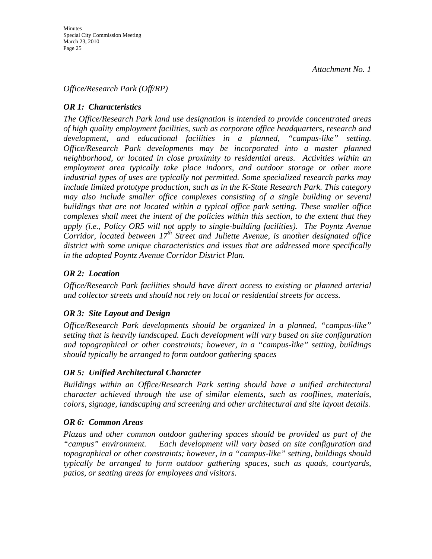### *Office/Research Park (Off/RP)*

## *OR 1: Characteristics*

*The Office/Research Park land use designation is intended to provide concentrated areas of high quality employment facilities, such as corporate office headquarters, research and development, and educational facilities in a planned, "campus-like" setting. Office/Research Park developments may be incorporated into a master planned neighborhood, or located in close proximity to residential areas. Activities within an employment area typically take place indoors, and outdoor storage or other more industrial types of uses are typically not permitted. Some specialized research parks may include limited prototype production, such as in the K-State Research Park. This category may also include smaller office complexes consisting of a single building or several buildings that are not located within a typical office park setting. These smaller office complexes shall meet the intent of the policies within this section, to the extent that they apply (i.e., Policy OR5 will not apply to single-building facilities). The Poyntz Avenue Corridor, located between 17th Street and Juliette Avenue, is another designated office district with some unique characteristics and issues that are addressed more specifically in the adopted Poyntz Avenue Corridor District Plan.* 

## *OR 2: Location*

*Office/Research Park facilities should have direct access to existing or planned arterial and collector streets and should not rely on local or residential streets for access.* 

#### *OR 3: Site Layout and Design*

*Office/Research Park developments should be organized in a planned, "campus-like" setting that is heavily landscaped. Each development will vary based on site configuration and topographical or other constraints; however, in a "campus-like" setting, buildings should typically be arranged to form outdoor gathering spaces* 

#### *OR 5: Unified Architectural Character*

*Buildings within an Office/Research Park setting should have a unified architectural character achieved through the use of similar elements, such as rooflines, materials, colors, signage, landscaping and screening and other architectural and site layout details.* 

#### *OR 6: Common Areas*

*Plazas and other common outdoor gathering spaces should be provided as part of the "campus" environment. Each development will vary based on site configuration and topographical or other constraints; however, in a "campus-like" setting, buildings should typically be arranged to form outdoor gathering spaces, such as quads, courtyards, patios, or seating areas for employees and visitors.*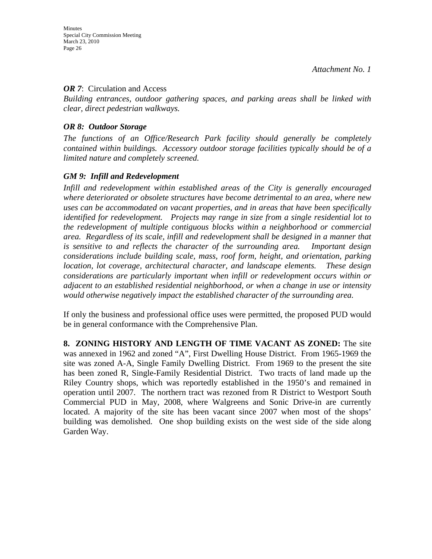#### *OR 7*: Circulation and Access

*Building entrances, outdoor gathering spaces, and parking areas shall be linked with clear, direct pedestrian walkways.* 

#### *OR 8: Outdoor Storage*

*The functions of an Office/Research Park facility should generally be completely contained within buildings. Accessory outdoor storage facilities typically should be of a limited nature and completely screened.* 

#### *GM 9: Infill and Redevelopment*

*Infill and redevelopment within established areas of the City is generally encouraged where deteriorated or obsolete structures have become detrimental to an area, where new uses can be accommodated on vacant properties, and in areas that have been specifically identified for redevelopment. Projects may range in size from a single residential lot to the redevelopment of multiple contiguous blocks within a neighborhood or commercial area. Regardless of its scale, infill and redevelopment shall be designed in a manner that is sensitive to and reflects the character of the surrounding area. Important design considerations include building scale, mass, roof form, height, and orientation, parking location, lot coverage, architectural character, and landscape elements. These design considerations are particularly important when infill or redevelopment occurs within or adjacent to an established residential neighborhood, or when a change in use or intensity would otherwise negatively impact the established character of the surrounding area.* 

If only the business and professional office uses were permitted, the proposed PUD would be in general conformance with the Comprehensive Plan.

**8. ZONING HISTORY AND LENGTH OF TIME VACANT AS ZONED:** The site was annexed in 1962 and zoned "A", First Dwelling House District. From 1965-1969 the site was zoned A-A, Single Family Dwelling District. From 1969 to the present the site has been zoned R, Single-Family Residential District. Two tracts of land made up the Riley Country shops, which was reportedly established in the 1950's and remained in operation until 2007. The northern tract was rezoned from R District to Westport South Commercial PUD in May, 2008, where Walgreens and Sonic Drive-in are currently located. A majority of the site has been vacant since 2007 when most of the shops' building was demolished. One shop building exists on the west side of the side along Garden Way.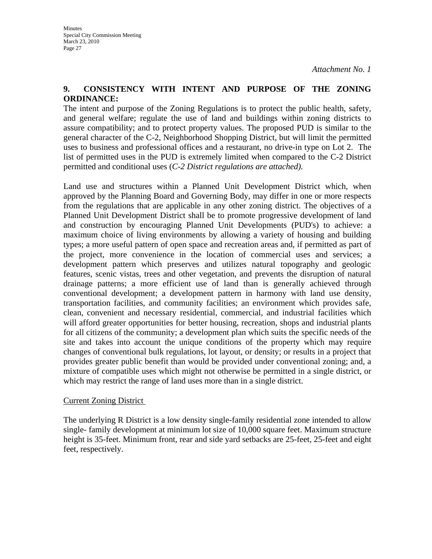### **9. CONSISTENCY WITH INTENT AND PURPOSE OF THE ZONING ORDINANCE:**

The intent and purpose of the Zoning Regulations is to protect the public health, safety, and general welfare; regulate the use of land and buildings within zoning districts to assure compatibility; and to protect property values. The proposed PUD is similar to the general character of the C-2, Neighborhood Shopping District, but will limit the permitted uses to business and professional offices and a restaurant, no drive-in type on Lot 2. The list of permitted uses in the PUD is extremely limited when compared to the C-2 District permitted and conditional uses (*C-2 District regulations are attached).* 

Land use and structures within a Planned Unit Development District which, when approved by the Planning Board and Governing Body, may differ in one or more respects from the regulations that are applicable in any other zoning district. The objectives of a Planned Unit Development District shall be to promote progressive development of land and construction by encouraging Planned Unit Developments (PUD's) to achieve: a maximum choice of living environments by allowing a variety of housing and building types; a more useful pattern of open space and recreation areas and, if permitted as part of the project, more convenience in the location of commercial uses and services; a development pattern which preserves and utilizes natural topography and geologic features, scenic vistas, trees and other vegetation, and prevents the disruption of natural drainage patterns; a more efficient use of land than is generally achieved through conventional development; a development pattern in harmony with land use density, transportation facilities, and community facilities; an environment which provides safe, clean, convenient and necessary residential, commercial, and industrial facilities which will afford greater opportunities for better housing, recreation, shops and industrial plants for all citizens of the community; a development plan which suits the specific needs of the site and takes into account the unique conditions of the property which may require changes of conventional bulk regulations, lot layout, or density; or results in a project that provides greater public benefit than would be provided under conventional zoning; and, a mixture of compatible uses which might not otherwise be permitted in a single district, or which may restrict the range of land uses more than in a single district.

#### Current Zoning District

The underlying R District is a low density single-family residential zone intended to allow single- family development at minimum lot size of 10,000 square feet. Maximum structure height is 35-feet. Minimum front, rear and side yard setbacks are 25-feet, 25-feet and eight feet, respectively.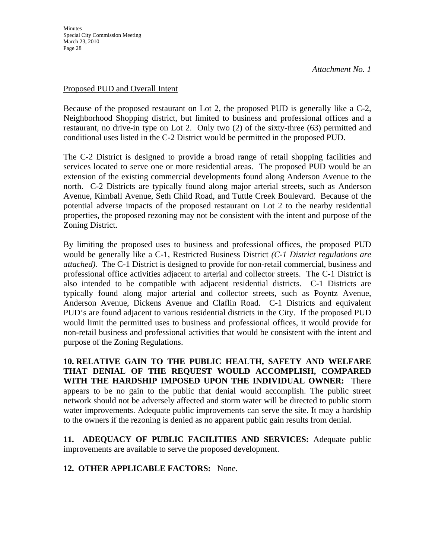#### Proposed PUD and Overall Intent

Because of the proposed restaurant on Lot 2, the proposed PUD is generally like a C-2, Neighborhood Shopping district, but limited to business and professional offices and a restaurant, no drive-in type on Lot 2. Only two (2) of the sixty-three (63) permitted and conditional uses listed in the C-2 District would be permitted in the proposed PUD.

The C-2 District is designed to provide a broad range of retail shopping facilities and services located to serve one or more residential areas. The proposed PUD would be an extension of the existing commercial developments found along Anderson Avenue to the north. C-2 Districts are typically found along major arterial streets, such as Anderson Avenue, Kimball Avenue, Seth Child Road, and Tuttle Creek Boulevard. Because of the potential adverse impacts of the proposed restaurant on Lot 2 to the nearby residential properties, the proposed rezoning may not be consistent with the intent and purpose of the Zoning District.

By limiting the proposed uses to business and professional offices, the proposed PUD would be generally like a C-1, Restricted Business District *(C-1 District regulations are attached).* The C-1 District is designed to provide for non-retail commercial, business and professional office activities adjacent to arterial and collector streets. The C-1 District is also intended to be compatible with adjacent residential districts. C-1 Districts are typically found along major arterial and collector streets, such as Poyntz Avenue, Anderson Avenue, Dickens Avenue and Claflin Road. C-1 Districts and equivalent PUD's are found adjacent to various residential districts in the City. If the proposed PUD would limit the permitted uses to business and professional offices, it would provide for non-retail business and professional activities that would be consistent with the intent and purpose of the Zoning Regulations.

**10. RELATIVE GAIN TO THE PUBLIC HEALTH, SAFETY AND WELFARE THAT DENIAL OF THE REQUEST WOULD ACCOMPLISH, COMPARED WITH THE HARDSHIP IMPOSED UPON THE INDIVIDUAL OWNER:** There appears to be no gain to the public that denial would accomplish. The public street network should not be adversely affected and storm water will be directed to public storm water improvements. Adequate public improvements can serve the site. It may a hardship to the owners if the rezoning is denied as no apparent public gain results from denial.

**11. ADEQUACY OF PUBLIC FACILITIES AND SERVICES:** Adequate public improvements are available to serve the proposed development.

**12. OTHER APPLICABLE FACTORS:** None.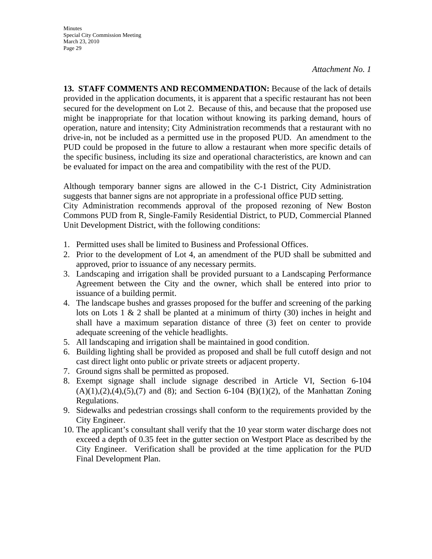**13. STAFF COMMENTS AND RECOMMENDATION:** Because of the lack of details provided in the application documents, it is apparent that a specific restaurant has not been secured for the development on Lot 2. Because of this, and because that the proposed use might be inappropriate for that location without knowing its parking demand, hours of operation, nature and intensity; City Administration recommends that a restaurant with no drive-in, not be included as a permitted use in the proposed PUD. An amendment to the PUD could be proposed in the future to allow a restaurant when more specific details of the specific business, including its size and operational characteristics, are known and can be evaluated for impact on the area and compatibility with the rest of the PUD.

Although temporary banner signs are allowed in the C-1 District, City Administration suggests that banner signs are not appropriate in a professional office PUD setting.

City Administration recommends approval of the proposed rezoning of New Boston Commons PUD from R, Single-Family Residential District, to PUD, Commercial Planned Unit Development District, with the following conditions:

- 1. Permitted uses shall be limited to Business and Professional Offices.
- 2. Prior to the development of Lot 4, an amendment of the PUD shall be submitted and approved, prior to issuance of any necessary permits.
- 3. Landscaping and irrigation shall be provided pursuant to a Landscaping Performance Agreement between the City and the owner, which shall be entered into prior to issuance of a building permit.
- 4. The landscape bushes and grasses proposed for the buffer and screening of the parking lots on Lots 1  $\&$  2 shall be planted at a minimum of thirty (30) inches in height and shall have a maximum separation distance of three (3) feet on center to provide adequate screening of the vehicle headlights.
- 5. All landscaping and irrigation shall be maintained in good condition.
- 6. Building lighting shall be provided as proposed and shall be full cutoff design and not cast direct light onto public or private streets or adjacent property.
- 7. Ground signs shall be permitted as proposed.
- 8. Exempt signage shall include signage described in Article VI, Section 6-104  $(A)(1),(2),(4),(5),(7)$  and  $(8)$ ; and Section 6-104  $(B)(1)(2)$ , of the Manhattan Zoning Regulations.
- 9. Sidewalks and pedestrian crossings shall conform to the requirements provided by the City Engineer.
- 10. The applicant's consultant shall verify that the 10 year storm water discharge does not exceed a depth of 0.35 feet in the gutter section on Westport Place as described by the City Engineer. Verification shall be provided at the time application for the PUD Final Development Plan.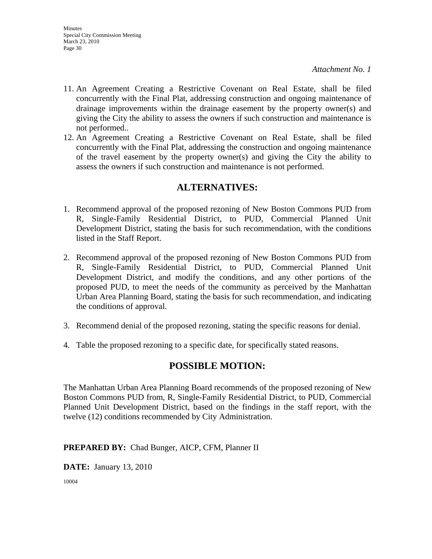- 11. An Agreement Creating a Restrictive Covenant on Real Estate, shall be filed concurrently with the Final Plat, addressing construction and ongoing maintenance of drainage improvements within the drainage easement by the property owner(s) and giving the City the ability to assess the owners if such construction and maintenance is not performed..
- 12. An Agreement Creating a Restrictive Covenant on Real Estate, shall be filed concurrently with the Final Plat, addressing the construction and ongoing maintenance of the travel easement by the property owner(s) and giving the City the ability to assess the owners if such construction and maintenance is not performed.

## **ALTERNATIVES:**

- 1. Recommend approval of the proposed rezoning of New Boston Commons PUD from R, Single-Family Residential District, to PUD, Commercial Planned Unit Development District, stating the basis for such recommendation, with the conditions listed in the Staff Report.
- 2. Recommend approval of the proposed rezoning of New Boston Commons PUD from R, Single-Family Residential District, to PUD, Commercial Planned Unit Development District, and modify the conditions, and any other portions of the proposed PUD, to meet the needs of the community as perceived by the Manhattan Urban Area Planning Board, stating the basis for such recommendation, and indicating the conditions of approval.
- 3. Recommend denial of the proposed rezoning, stating the specific reasons for denial.
- 4. Table the proposed rezoning to a specific date, for specifically stated reasons.

## **POSSIBLE MOTION:**

The Manhattan Urban Area Planning Board recommends of the proposed rezoning of New Boston Commons PUD from, R, Single-Family Residential District, to PUD, Commercial Planned Unit Development District, based on the findings in the staff report, with the twelve (12) conditions recommended by City Administration.

**PREPARED BY:** Chad Bunger, AICP, CFM, Planner II

**DATE:** January 13, 2010

10004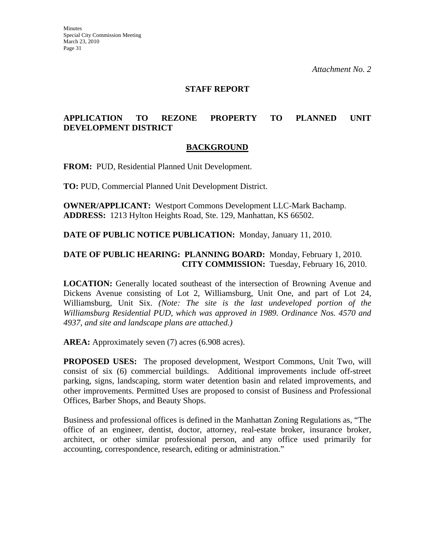#### **STAFF REPORT**

## **APPLICATION TO REZONE PROPERTY TO PLANNED UNIT DEVELOPMENT DISTRICT**

#### **BACKGROUND**

**FROM:** PUD, Residential Planned Unit Development.

**TO:** PUD, Commercial Planned Unit Development District.

**OWNER/APPLICANT:** Westport Commons Development LLC-Mark Bachamp. **ADDRESS:** 1213 Hylton Heights Road, Ste. 129, Manhattan, KS 66502.

**DATE OF PUBLIC NOTICE PUBLICATION:** Monday, January 11, 2010.

#### **DATE OF PUBLIC HEARING: PLANNING BOARD:** Monday, February 1, 2010. **CITY COMMISSION:** Tuesday, February 16, 2010.

**LOCATION:** Generally located southeast of the intersection of Browning Avenue and Dickens Avenue consisting of Lot 2, Williamsburg, Unit One, and part of Lot 24, Williamsburg, Unit Six. *(Note: The site is the last undeveloped portion of the Williamsburg Residential PUD, which was approved in 1989. Ordinance Nos. 4570 and 4937, and site and landscape plans are attached.)*

**AREA:** Approximately seven (7) acres (6.908 acres).

**PROPOSED USES:** The proposed development, Westport Commons, Unit Two, will consist of six (6) commercial buildings. Additional improvements include off-street parking, signs, landscaping, storm water detention basin and related improvements, and other improvements. Permitted Uses are proposed to consist of Business and Professional Offices, Barber Shops, and Beauty Shops.

Business and professional offices is defined in the Manhattan Zoning Regulations as, "The office of an engineer, dentist, doctor, attorney, real-estate broker, insurance broker, architect, or other similar professional person, and any office used primarily for accounting, correspondence, research, editing or administration."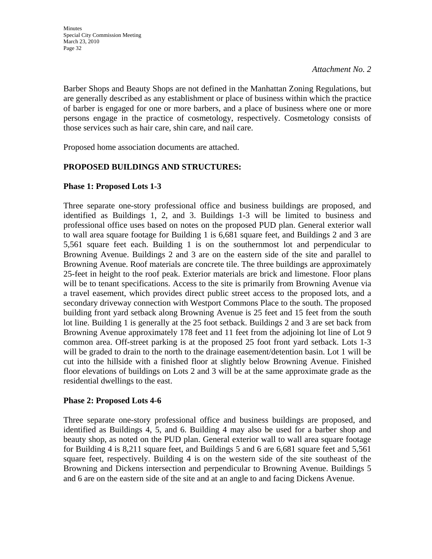Barber Shops and Beauty Shops are not defined in the Manhattan Zoning Regulations, but are generally described as any establishment or place of business within which the practice of barber is engaged for one or more barbers, and a place of business where one or more persons engage in the practice of cosmetology, respectively. Cosmetology consists of those services such as hair care, shin care, and nail care.

Proposed home association documents are attached.

#### **PROPOSED BUILDINGS AND STRUCTURES:**

#### **Phase 1: Proposed Lots 1-3**

Three separate one-story professional office and business buildings are proposed, and identified as Buildings 1, 2, and 3. Buildings 1-3 will be limited to business and professional office uses based on notes on the proposed PUD plan. General exterior wall to wall area square footage for Building 1 is 6,681 square feet, and Buildings 2 and 3 are 5,561 square feet each. Building 1 is on the southernmost lot and perpendicular to Browning Avenue. Buildings 2 and 3 are on the eastern side of the site and parallel to Browning Avenue. Roof materials are concrete tile. The three buildings are approximately 25-feet in height to the roof peak. Exterior materials are brick and limestone. Floor plans will be to tenant specifications. Access to the site is primarily from Browning Avenue via a travel easement, which provides direct public street access to the proposed lots, and a secondary driveway connection with Westport Commons Place to the south. The proposed building front yard setback along Browning Avenue is 25 feet and 15 feet from the south lot line. Building 1 is generally at the 25 foot setback. Buildings 2 and 3 are set back from Browning Avenue approximately 178 feet and 11 feet from the adjoining lot line of Lot 9 common area. Off-street parking is at the proposed 25 foot front yard setback. Lots 1-3 will be graded to drain to the north to the drainage easement/detention basin. Lot 1 will be cut into the hillside with a finished floor at slightly below Browning Avenue. Finished floor elevations of buildings on Lots 2 and 3 will be at the same approximate grade as the residential dwellings to the east.

#### **Phase 2: Proposed Lots 4-6**

Three separate one-story professional office and business buildings are proposed, and identified as Buildings 4, 5, and 6. Building 4 may also be used for a barber shop and beauty shop, as noted on the PUD plan. General exterior wall to wall area square footage for Building 4 is 8,211 square feet, and Buildings 5 and 6 are 6,681 square feet and 5,561 square feet, respectively. Building 4 is on the western side of the site southeast of the Browning and Dickens intersection and perpendicular to Browning Avenue. Buildings 5 and 6 are on the eastern side of the site and at an angle to and facing Dickens Avenue.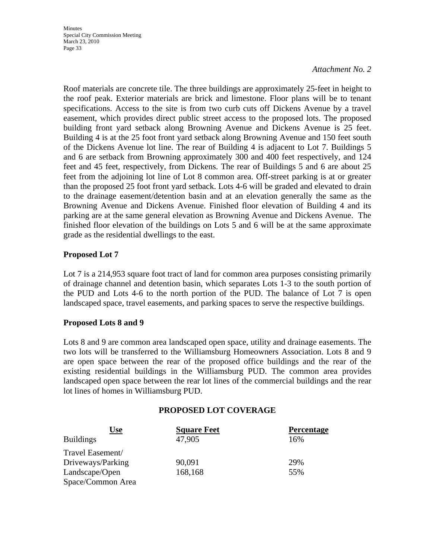**Minutes** Special City Commission Meeting March 23, 2010 Page 33

#### *Attachment No. 2*

Roof materials are concrete tile. The three buildings are approximately 25-feet in height to the roof peak. Exterior materials are brick and limestone. Floor plans will be to tenant specifications. Access to the site is from two curb cuts off Dickens Avenue by a travel easement, which provides direct public street access to the proposed lots. The proposed building front yard setback along Browning Avenue and Dickens Avenue is 25 feet. Building 4 is at the 25 foot front yard setback along Browning Avenue and 150 feet south of the Dickens Avenue lot line. The rear of Building 4 is adjacent to Lot 7. Buildings 5 and 6 are setback from Browning approximately 300 and 400 feet respectively, and 124 feet and 45 feet, respectively, from Dickens. The rear of Buildings 5 and 6 are about 25 feet from the adjoining lot line of Lot 8 common area. Off-street parking is at or greater than the proposed 25 foot front yard setback. Lots 4-6 will be graded and elevated to drain to the drainage easement/detention basin and at an elevation generally the same as the Browning Avenue and Dickens Avenue. Finished floor elevation of Building 4 and its parking are at the same general elevation as Browning Avenue and Dickens Avenue. The finished floor elevation of the buildings on Lots 5 and 6 will be at the same approximate grade as the residential dwellings to the east.

#### **Proposed Lot 7**

Lot 7 is a 214,953 square foot tract of land for common area purposes consisting primarily of drainage channel and detention basin, which separates Lots 1-3 to the south portion of the PUD and Lots 4-6 to the north portion of the PUD. The balance of Lot 7 is open landscaped space, travel easements, and parking spaces to serve the respective buildings.

#### **Proposed Lots 8 and 9**

Lots 8 and 9 are common area landscaped open space, utility and drainage easements. The two lots will be transferred to the Williamsburg Homeowners Association. Lots 8 and 9 are open space between the rear of the proposed office buildings and the rear of the existing residential buildings in the Williamsburg PUD. The common area provides landscaped open space between the rear lot lines of the commercial buildings and the rear lot lines of homes in Williamsburg PUD.

#### **PROPOSED LOT COVERAGE**

| <u>Use</u>        | <b>Square Feet</b> | <b>Percentage</b> |
|-------------------|--------------------|-------------------|
| <b>Buildings</b>  | 47,905             | 16%               |
| Travel Easement/  |                    |                   |
| Driveways/Parking | 90,091             | 29%               |
| Landscape/Open    | 168,168            | 55%               |
| Space/Common Area |                    |                   |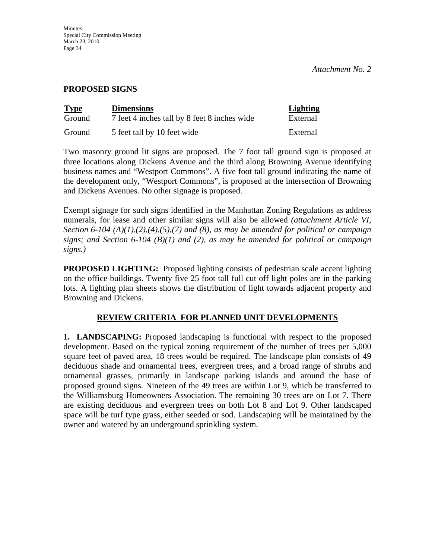#### **PROPOSED SIGNS**

| <b>Type</b> | <b>Dimensions</b>                            | <b>Lighting</b> |
|-------------|----------------------------------------------|-----------------|
| Ground      | 7 feet 4 inches tall by 8 feet 8 inches wide | External        |
| Ground      | 5 feet tall by 10 feet wide                  | External        |

Two masonry ground lit signs are proposed. The 7 foot tall ground sign is proposed at three locations along Dickens Avenue and the third along Browning Avenue identifying business names and "Westport Commons". A five foot tall ground indicating the name of the development only, "Westport Commons", is proposed at the intersection of Browning and Dickens Avenues. No other signage is proposed.

Exempt signage for such signs identified in the Manhattan Zoning Regulations as address numerals, for lease and other similar signs will also be allowed *(attachment Article VI, Section 6-104 (A)(1),(2),(4),(5),(7) and (8), as may be amended for political or campaign signs; and Section 6-104 (B)(1) and (2), as may be amended for political or campaign signs.)*

**PROPOSED LIGHTING:** Proposed lighting consists of pedestrian scale accent lighting on the office buildings. Twenty five 25 foot tall full cut off light poles are in the parking lots. A lighting plan sheets shows the distribution of light towards adjacent property and Browning and Dickens.

## **REVIEW CRITERIA FOR PLANNED UNIT DEVELOPMENTS**

**1. LANDSCAPING:** Proposed landscaping is functional with respect to the proposed development. Based on the typical zoning requirement of the number of trees per 5,000 square feet of paved area, 18 trees would be required. The landscape plan consists of 49 deciduous shade and ornamental trees, evergreen trees, and a broad range of shrubs and ornamental grasses, primarily in landscape parking islands and around the base of proposed ground signs. Nineteen of the 49 trees are within Lot 9, which be transferred to the Williamsburg Homeowners Association. The remaining 30 trees are on Lot 7. There are existing deciduous and evergreen trees on both Lot 8 and Lot 9. Other landscaped space will be turf type grass, either seeded or sod. Landscaping will be maintained by the owner and watered by an underground sprinkling system.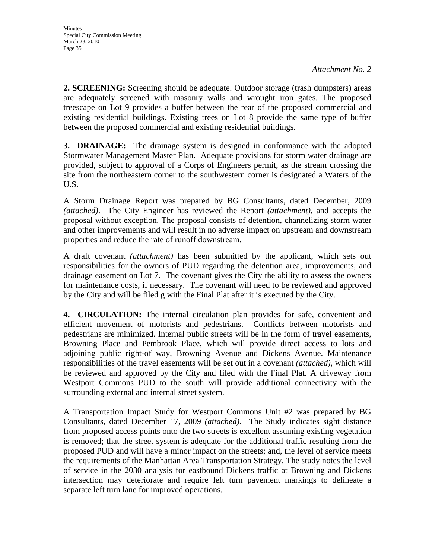**2. SCREENING:** Screening should be adequate. Outdoor storage (trash dumpsters) areas are adequately screened with masonry walls and wrought iron gates. The proposed treescape on Lot 9 provides a buffer between the rear of the proposed commercial and existing residential buildings. Existing trees on Lot 8 provide the same type of buffer between the proposed commercial and existing residential buildings.

**3. DRAINAGE:** The drainage system is designed in conformance with the adopted Stormwater Management Master Plan. Adequate provisions for storm water drainage are provided, subject to approval of a Corps of Engineers permit, as the stream crossing the site from the northeastern corner to the southwestern corner is designated a Waters of the U.S.

A Storm Drainage Report was prepared by BG Consultants, dated December, 2009 *(attached)*. The City Engineer has reviewed the Report *(attachment)*, and accepts the proposal without exception. The proposal consists of detention, channelizing storm water and other improvements and will result in no adverse impact on upstream and downstream properties and reduce the rate of runoff downstream.

A draft covenant *(attachment)* has been submitted by the applicant, which sets out responsibilities for the owners of PUD regarding the detention area, improvements, and drainage easement on Lot 7. The covenant gives the City the ability to assess the owners for maintenance costs, if necessary. The covenant will need to be reviewed and approved by the City and will be filed g with the Final Plat after it is executed by the City.

**4. CIRCULATION:** The internal circulation plan provides for safe, convenient and efficient movement of motorists and pedestrians. Conflicts between motorists and pedestrians are minimized. Internal public streets will be in the form of travel easements, Browning Place and Pembrook Place, which will provide direct access to lots and adjoining public right-of way, Browning Avenue and Dickens Avenue. Maintenance responsibilities of the travel easements will be set out in a covenant *(attached)*, which will be reviewed and approved by the City and filed with the Final Plat. A driveway from Westport Commons PUD to the south will provide additional connectivity with the surrounding external and internal street system.

A Transportation Impact Study for Westport Commons Unit #2 was prepared by BG Consultants, dated December 17, 2009 *(attached)*. The Study indicates sight distance from proposed access points onto the two streets is excellent assuming existing vegetation is removed; that the street system is adequate for the additional traffic resulting from the proposed PUD and will have a minor impact on the streets; and, the level of service meets the requirements of the Manhattan Area Transportation Strategy. The study notes the level of service in the 2030 analysis for eastbound Dickens traffic at Browning and Dickens intersection may deteriorate and require left turn pavement markings to delineate a separate left turn lane for improved operations.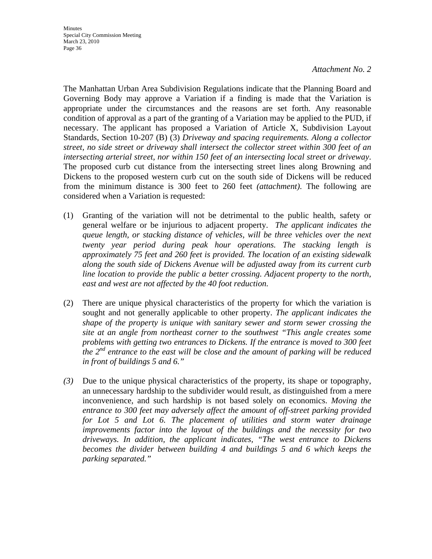The Manhattan Urban Area Subdivision Regulations indicate that the Planning Board and Governing Body may approve a Variation if a finding is made that the Variation is appropriate under the circumstances and the reasons are set forth. Any reasonable condition of approval as a part of the granting of a Variation may be applied to the PUD, if necessary. The applicant has proposed a Variation of Article X, Subdivision Layout Standards, Section 10-207 (B) (3) *Driveway and spacing requirements. Along a collector street, no side street or driveway shall intersect the collector street within 300 feet of an intersecting arterial street, nor within 150 feet of an intersecting local street or driveway*. The proposed curb cut distance from the intersecting street lines along Browning and Dickens to the proposed western curb cut on the south side of Dickens will be reduced from the minimum distance is 300 feet to 260 feet *(attachment)*. The following are considered when a Variation is requested:

- (1) Granting of the variation will not be detrimental to the public health, safety or general welfare or be injurious to adjacent property. *The applicant indicates the queue length, or stacking distance of vehicles, will be three vehicles over the next twenty year period during peak hour operations. The stacking length is approximately 75 feet and 260 feet is provided. The location of an existing sidewalk along the south side of Dickens Avenue will be adjusted away from its current curb line location to provide the public a better crossing. Adjacent property to the north, east and west are not affected by the 40 foot reduction.*
- (2) There are unique physical characteristics of the property for which the variation is sought and not generally applicable to other property. *The applicant indicates the shape of the property is unique with sanitary sewer and storm sewer crossing the site at an angle from northeast corner to the southwest "This angle creates some problems with getting two entrances to Dickens. If the entrance is moved to 300 feet the 2nd entrance to the east will be close and the amount of parking will be reduced in front of buildings 5 and 6."*
- *(3)* Due to the unique physical characteristics of the property, its shape or topography, an unnecessary hardship to the subdivider would result, as distinguished from a mere inconvenience, and such hardship is not based solely on economics. *Moving the entrance to 300 feet may adversely affect the amount of off-street parking provided for Lot 5 and Lot 6. The placement of utilities and storm water drainage improvements factor into the layout of the buildings and the necessity for two driveways. In addition, the applicant indicates, "The west entrance to Dickens becomes the divider between building 4 and buildings 5 and 6 which keeps the parking separated."*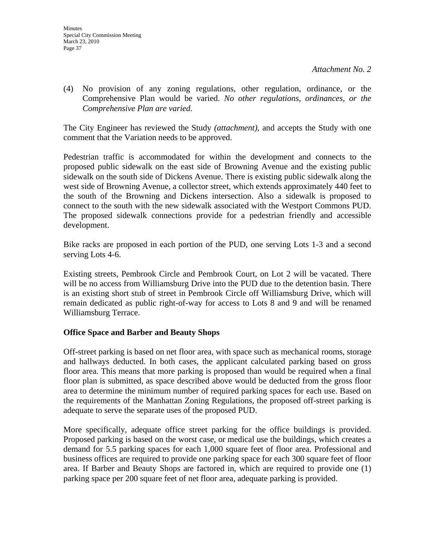(4) No provision of any zoning regulations, other regulation, ordinance, or the Comprehensive Plan would be varied. *No other regulations, ordinances, or the Comprehensive Plan are varied.*

The City Engineer has reviewed the Study *(attachment)*, and accepts the Study with one comment that the Variation needs to be approved.

Pedestrian traffic is accommodated for within the development and connects to the proposed public sidewalk on the east side of Browning Avenue and the existing public sidewalk on the south side of Dickens Avenue. There is existing public sidewalk along the west side of Browning Avenue, a collector street, which extends approximately 440 feet to the south of the Browning and Dickens intersection. Also a sidewalk is proposed to connect to the south with the new sidewalk associated with the Westport Commons PUD. The proposed sidewalk connections provide for a pedestrian friendly and accessible development.

Bike racks are proposed in each portion of the PUD, one serving Lots 1-3 and a second serving Lots 4-6.

Existing streets, Pembrook Circle and Pembrook Court, on Lot 2 will be vacated. There will be no access from Williamsburg Drive into the PUD due to the detention basin. There is an existing short stub of street in Pembrook Circle off Williamsburg Drive, which will remain dedicated as public right-of-way for access to Lots 8 and 9 and will be renamed Williamsburg Terrace.

### **Office Space and Barber and Beauty Shops**

Off-street parking is based on net floor area, with space such as mechanical rooms, storage and hallways deducted. In both cases, the applicant calculated parking based on gross floor area. This means that more parking is proposed than would be required when a final floor plan is submitted, as space described above would be deducted from the gross floor area to determine the minimum number of required parking spaces for each use. Based on the requirements of the Manhattan Zoning Regulations, the proposed off-street parking is adequate to serve the separate uses of the proposed PUD.

More specifically, adequate office street parking for the office buildings is provided. Proposed parking is based on the worst case, or medical use the buildings, which creates a demand for 5.5 parking spaces for each 1,000 square feet of floor area. Professional and business offices are required to provide one parking space for each 300 square feet of floor area. If Barber and Beauty Shops are factored in, which are required to provide one (1) parking space per 200 square feet of net floor area, adequate parking is provided.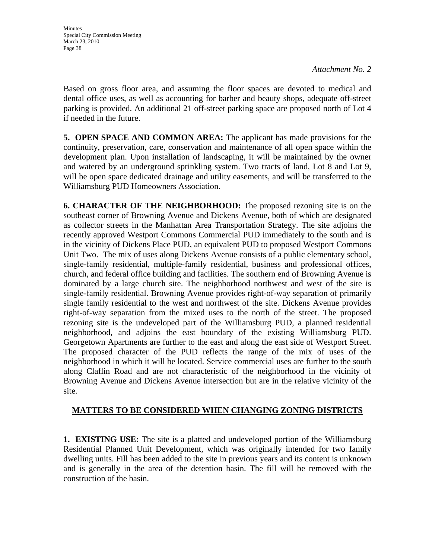Based on gross floor area, and assuming the floor spaces are devoted to medical and dental office uses, as well as accounting for barber and beauty shops, adequate off-street parking is provided. An additional 21 off-street parking space are proposed north of Lot 4 if needed in the future.

**5. OPEN SPACE AND COMMON AREA:** The applicant has made provisions for the continuity, preservation, care, conservation and maintenance of all open space within the development plan. Upon installation of landscaping, it will be maintained by the owner and watered by an underground sprinkling system. Two tracts of land, Lot 8 and Lot 9, will be open space dedicated drainage and utility easements, and will be transferred to the Williamsburg PUD Homeowners Association.

**6. CHARACTER OF THE NEIGHBORHOOD:** The proposed rezoning site is on the southeast corner of Browning Avenue and Dickens Avenue, both of which are designated as collector streets in the Manhattan Area Transportation Strategy. The site adjoins the recently approved Westport Commons Commercial PUD immediately to the south and is in the vicinity of Dickens Place PUD, an equivalent PUD to proposed Westport Commons Unit Two. The mix of uses along Dickens Avenue consists of a public elementary school, single-family residential, multiple-family residential, business and professional offices, church, and federal office building and facilities. The southern end of Browning Avenue is dominated by a large church site. The neighborhood northwest and west of the site is single-family residential. Browning Avenue provides right-of-way separation of primarily single family residential to the west and northwest of the site. Dickens Avenue provides right-of-way separation from the mixed uses to the north of the street. The proposed rezoning site is the undeveloped part of the Williamsburg PUD, a planned residential neighborhood, and adjoins the east boundary of the existing Williamsburg PUD. Georgetown Apartments are further to the east and along the east side of Westport Street. The proposed character of the PUD reflects the range of the mix of uses of the neighborhood in which it will be located. Service commercial uses are further to the south along Claflin Road and are not characteristic of the neighborhood in the vicinity of Browning Avenue and Dickens Avenue intersection but are in the relative vicinity of the site.

### **MATTERS TO BE CONSIDERED WHEN CHANGING ZONING DISTRICTS**

**1. EXISTING USE:** The site is a platted and undeveloped portion of the Williamsburg Residential Planned Unit Development, which was originally intended for two family dwelling units. Fill has been added to the site in previous years and its content is unknown and is generally in the area of the detention basin. The fill will be removed with the construction of the basin.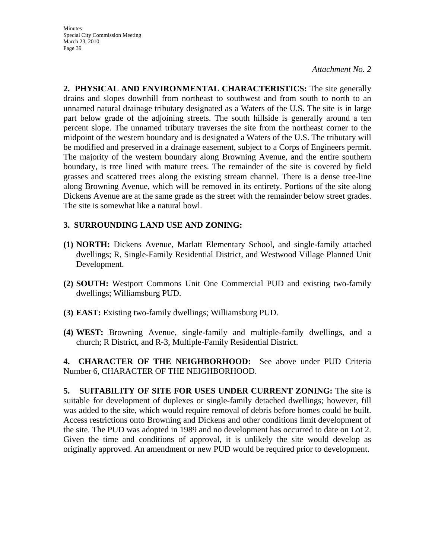**2. PHYSICAL AND ENVIRONMENTAL CHARACTERISTICS:** The site generally drains and slopes downhill from northeast to southwest and from south to north to an unnamed natural drainage tributary designated as a Waters of the U.S. The site is in large part below grade of the adjoining streets. The south hillside is generally around a ten percent slope. The unnamed tributary traverses the site from the northeast corner to the midpoint of the western boundary and is designated a Waters of the U.S. The tributary will be modified and preserved in a drainage easement, subject to a Corps of Engineers permit. The majority of the western boundary along Browning Avenue, and the entire southern boundary, is tree lined with mature trees. The remainder of the site is covered by field grasses and scattered trees along the existing stream channel. There is a dense tree-line along Browning Avenue, which will be removed in its entirety. Portions of the site along Dickens Avenue are at the same grade as the street with the remainder below street grades. The site is somewhat like a natural bowl.

### **3. SURROUNDING LAND USE AND ZONING:**

- **(1) NORTH:** Dickens Avenue, Marlatt Elementary School, and single-family attached dwellings; R, Single-Family Residential District, and Westwood Village Planned Unit Development.
- **(2) SOUTH:** Westport Commons Unit One Commercial PUD and existing two-family dwellings; Williamsburg PUD.
- **(3) EAST:** Existing two-family dwellings; Williamsburg PUD.
- **(4) WEST:** Browning Avenue, single-family and multiple-family dwellings, and a church; R District, and R-3, Multiple-Family Residential District.

**4. CHARACTER OF THE NEIGHBORHOOD:** See above under PUD Criteria Number 6, CHARACTER OF THE NEIGHBORHOOD.

**5. SUITABILITY OF SITE FOR USES UNDER CURRENT ZONING:** The site is suitable for development of duplexes or single-family detached dwellings; however, fill was added to the site, which would require removal of debris before homes could be built. Access restrictions onto Browning and Dickens and other conditions limit development of the site. The PUD was adopted in 1989 and no development has occurred to date on Lot 2. Given the time and conditions of approval, it is unlikely the site would develop as originally approved. An amendment or new PUD would be required prior to development.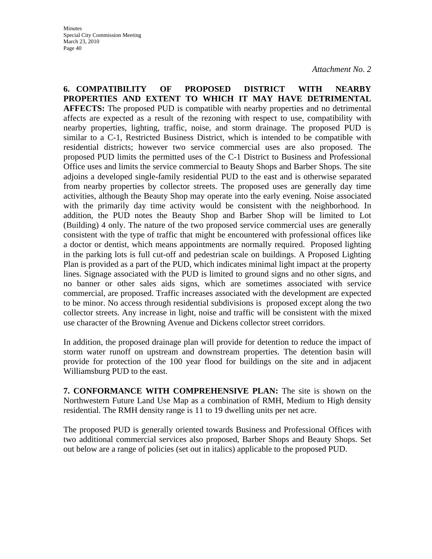**6. COMPATIBILITY OF PROPOSED DISTRICT WITH NEARBY PROPERTIES AND EXTENT TO WHICH IT MAY HAVE DETRIMENTAL AFFECTS:** The proposed PUD is compatible with nearby properties and no detrimental affects are expected as a result of the rezoning with respect to use, compatibility with nearby properties, lighting, traffic, noise, and storm drainage. The proposed PUD is similar to a C-1, Restricted Business District, which is intended to be compatible with residential districts; however two service commercial uses are also proposed. The proposed PUD limits the permitted uses of the C-1 District to Business and Professional Office uses and limits the service commercial to Beauty Shops and Barber Shops. The site adjoins a developed single-family residential PUD to the east and is otherwise separated from nearby properties by collector streets. The proposed uses are generally day time activities, although the Beauty Shop may operate into the early evening. Noise associated with the primarily day time activity would be consistent with the neighborhood. In addition, the PUD notes the Beauty Shop and Barber Shop will be limited to Lot (Building) 4 only. The nature of the two proposed service commercial uses are generally consistent with the type of traffic that might be encountered with professional offices like a doctor or dentist, which means appointments are normally required. Proposed lighting in the parking lots is full cut-off and pedestrian scale on buildings. A Proposed Lighting Plan is provided as a part of the PUD, which indicates minimal light impact at the property lines. Signage associated with the PUD is limited to ground signs and no other signs, and no banner or other sales aids signs, which are sometimes associated with service commercial, are proposed. Traffic increases associated with the development are expected to be minor. No access through residential subdivisions is proposed except along the two collector streets. Any increase in light, noise and traffic will be consistent with the mixed use character of the Browning Avenue and Dickens collector street corridors.

In addition, the proposed drainage plan will provide for detention to reduce the impact of storm water runoff on upstream and downstream properties. The detention basin will provide for protection of the 100 year flood for buildings on the site and in adjacent Williamsburg PUD to the east.

**7. CONFORMANCE WITH COMPREHENSIVE PLAN:** The site is shown on the Northwestern Future Land Use Map as a combination of RMH, Medium to High density residential. The RMH density range is 11 to 19 dwelling units per net acre.

The proposed PUD is generally oriented towards Business and Professional Offices with two additional commercial services also proposed, Barber Shops and Beauty Shops. Set out below are a range of policies (set out in italics) applicable to the proposed PUD.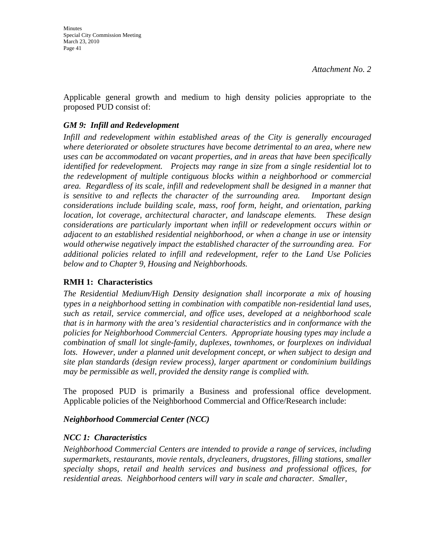Applicable general growth and medium to high density policies appropriate to the proposed PUD consist of:

### *GM 9: Infill and Redevelopment*

*Infill and redevelopment within established areas of the City is generally encouraged where deteriorated or obsolete structures have become detrimental to an area, where new uses can be accommodated on vacant properties, and in areas that have been specifically identified for redevelopment. Projects may range in size from a single residential lot to the redevelopment of multiple contiguous blocks within a neighborhood or commercial area. Regardless of its scale, infill and redevelopment shall be designed in a manner that is sensitive to and reflects the character of the surrounding area. Important design considerations include building scale, mass, roof form, height, and orientation, parking location, lot coverage, architectural character, and landscape elements. These design considerations are particularly important when infill or redevelopment occurs within or adjacent to an established residential neighborhood, or when a change in use or intensity would otherwise negatively impact the established character of the surrounding area. For additional policies related to infill and redevelopment, refer to the Land Use Policies below and to Chapter 9, Housing and Neighborhoods.* 

### **RMH 1: Characteristics**

*The Residential Medium/High Density designation shall incorporate a mix of housing types in a neighborhood setting in combination with compatible non-residential land uses, such as retail, service commercial, and office uses, developed at a neighborhood scale that is in harmony with the area's residential characteristics and in conformance with the policies for Neighborhood Commercial Centers. Appropriate housing types may include a combination of small lot single-family, duplexes, townhomes, or fourplexes on individual lots. However, under a planned unit development concept, or when subject to design and site plan standards (design review process), larger apartment or condominium buildings may be permissible as well, provided the density range is complied with.* 

The proposed PUD is primarily a Business and professional office development. Applicable policies of the Neighborhood Commercial and Office/Research include:

### *Neighborhood Commercial Center (NCC)*

### *NCC 1: Characteristics*

*Neighborhood Commercial Centers are intended to provide a range of services, including supermarkets, restaurants, movie rentals, drycleaners, drugstores, filling stations, smaller specialty shops, retail and health services and business and professional offices, for residential areas. Neighborhood centers will vary in scale and character. Smaller,*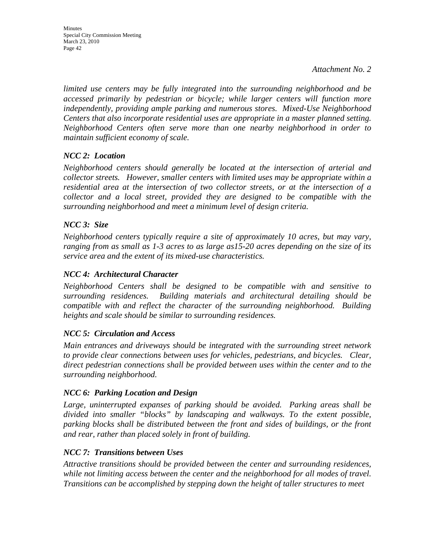*limited use centers may be fully integrated into the surrounding neighborhood and be accessed primarily by pedestrian or bicycle; while larger centers will function more independently, providing ample parking and numerous stores. Mixed-Use Neighborhood Centers that also incorporate residential uses are appropriate in a master planned setting. Neighborhood Centers often serve more than one nearby neighborhood in order to maintain sufficient economy of scale.* 

### *NCC 2: Location*

*Neighborhood centers should generally be located at the intersection of arterial and collector streets. However, smaller centers with limited uses may be appropriate within a residential area at the intersection of two collector streets, or at the intersection of a collector and a local street, provided they are designed to be compatible with the surrounding neighborhood and meet a minimum level of design criteria.* 

### *NCC 3: Size*

*Neighborhood centers typically require a site of approximately 10 acres, but may vary, ranging from as small as 1-3 acres to as large as15-20 acres depending on the size of its service area and the extent of its mixed-use characteristics.* 

#### *NCC 4: Architectural Character*

*Neighborhood Centers shall be designed to be compatible with and sensitive to surrounding residences. Building materials and architectural detailing should be compatible with and reflect the character of the surrounding neighborhood. Building heights and scale should be similar to surrounding residences.* 

### *NCC 5: Circulation and Access*

*Main entrances and driveways should be integrated with the surrounding street network to provide clear connections between uses for vehicles, pedestrians, and bicycles. Clear, direct pedestrian connections shall be provided between uses within the center and to the surrounding neighborhood.* 

### *NCC 6: Parking Location and Design*

*Large, uninterrupted expanses of parking should be avoided. Parking areas shall be divided into smaller "blocks" by landscaping and walkways. To the extent possible, parking blocks shall be distributed between the front and sides of buildings, or the front and rear, rather than placed solely in front of building.* 

### *NCC 7: Transitions between Uses*

*Attractive transitions should be provided between the center and surrounding residences, while not limiting access between the center and the neighborhood for all modes of travel. Transitions can be accomplished by stepping down the height of taller structures to meet*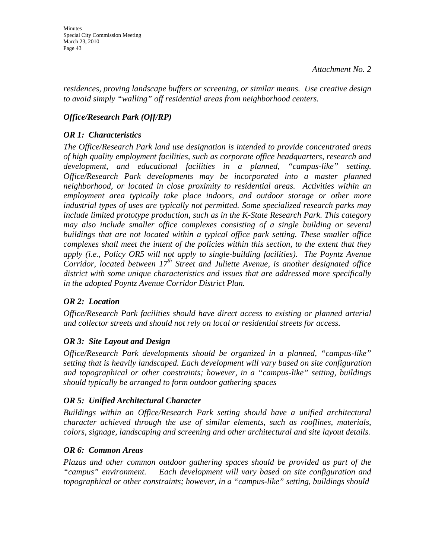*residences, proving landscape buffers or screening, or similar means. Use creative design to avoid simply "walling" off residential areas from neighborhood centers.* 

### *Office/Research Park (Off/RP)*

### *OR 1: Characteristics*

*The Office/Research Park land use designation is intended to provide concentrated areas of high quality employment facilities, such as corporate office headquarters, research and development, and educational facilities in a planned, "campus-like" setting. Office/Research Park developments may be incorporated into a master planned neighborhood, or located in close proximity to residential areas. Activities within an employment area typically take place indoors, and outdoor storage or other more industrial types of uses are typically not permitted. Some specialized research parks may include limited prototype production, such as in the K-State Research Park. This category may also include smaller office complexes consisting of a single building or several buildings that are not located within a typical office park setting. These smaller office complexes shall meet the intent of the policies within this section, to the extent that they apply (i.e., Policy OR5 will not apply to single-building facilities). The Poyntz Avenue Corridor, located between 17<sup>th</sup> Street and Juliette Avenue, is another designated office district with some unique characteristics and issues that are addressed more specifically in the adopted Poyntz Avenue Corridor District Plan.* 

### *OR 2: Location*

*Office/Research Park facilities should have direct access to existing or planned arterial and collector streets and should not rely on local or residential streets for access.* 

### *OR 3: Site Layout and Design*

*Office/Research Park developments should be organized in a planned, "campus-like" setting that is heavily landscaped. Each development will vary based on site configuration and topographical or other constraints; however, in a "campus-like" setting, buildings should typically be arranged to form outdoor gathering spaces* 

### *OR 5: Unified Architectural Character*

*Buildings within an Office/Research Park setting should have a unified architectural character achieved through the use of similar elements, such as rooflines, materials, colors, signage, landscaping and screening and other architectural and site layout details.* 

### *OR 6: Common Areas*

*Plazas and other common outdoor gathering spaces should be provided as part of the "campus" environment. Each development will vary based on site configuration and topographical or other constraints; however, in a "campus-like" setting, buildings should*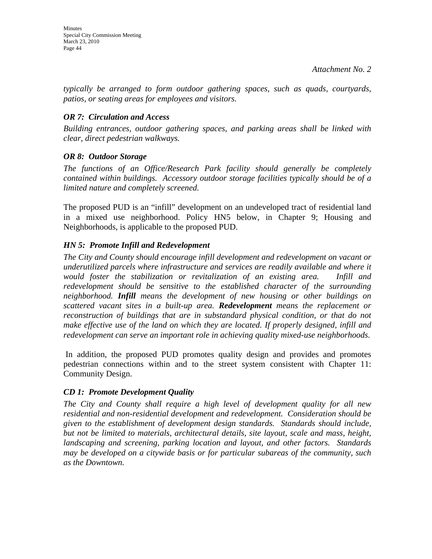*typically be arranged to form outdoor gathering spaces, such as quads, courtyards, patios, or seating areas for employees and visitors.* 

### *OR 7: Circulation and Access*

*Building entrances, outdoor gathering spaces, and parking areas shall be linked with clear, direct pedestrian walkways.* 

### *OR 8: Outdoor Storage*

*The functions of an Office/Research Park facility should generally be completely contained within buildings. Accessory outdoor storage facilities typically should be of a limited nature and completely screened.* 

The proposed PUD is an "infill" development on an undeveloped tract of residential land in a mixed use neighborhood. Policy HN5 below, in Chapter 9; Housing and Neighborhoods, is applicable to the proposed PUD.

### *HN 5: Promote Infill and Redevelopment*

*The City and County should encourage infill development and redevelopment on vacant or underutilized parcels where infrastructure and services are readily available and where it would foster the stabilization or revitalization of an existing area. Infill and redevelopment should be sensitive to the established character of the surrounding neighborhood. Infill means the development of new housing or other buildings on scattered vacant sites in a built-up area. Redevelopment means the replacement or reconstruction of buildings that are in substandard physical condition, or that do not make effective use of the land on which they are located. If properly designed, infill and redevelopment can serve an important role in achieving quality mixed-use neighborhoods.* 

 In addition, the proposed PUD promotes quality design and provides and promotes pedestrian connections within and to the street system consistent with Chapter 11: Community Design.

### *CD 1: Promote Development Quality*

*The City and County shall require a high level of development quality for all new residential and non-residential development and redevelopment. Consideration should be given to the establishment of development design standards. Standards should include, but not be limited to materials, architectural details, site layout, scale and mass, height, landscaping and screening, parking location and layout, and other factors. Standards may be developed on a citywide basis or for particular subareas of the community, such as the Downtown.*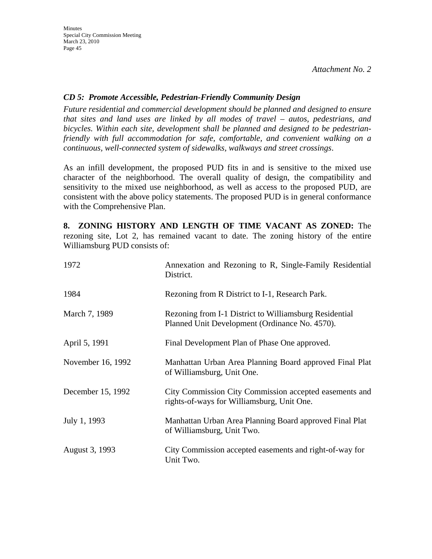### *CD 5: Promote Accessible, Pedestrian-Friendly Community Design*

*Future residential and commercial development should be planned and designed to ensure that sites and land uses are linked by all modes of travel – autos, pedestrians, and bicycles. Within each site, development shall be planned and designed to be pedestrianfriendly with full accommodation for safe, comfortable, and convenient walking on a continuous, well-connected system of sidewalks, walkways and street crossings*.

As an infill development, the proposed PUD fits in and is sensitive to the mixed use character of the neighborhood. The overall quality of design, the compatibility and sensitivity to the mixed use neighborhood, as well as access to the proposed PUD, are consistent with the above policy statements. The proposed PUD is in general conformance with the Comprehensive Plan.

**8. ZONING HISTORY AND LENGTH OF TIME VACANT AS ZONED:** The rezoning site, Lot 2, has remained vacant to date. The zoning history of the entire Williamsburg PUD consists of:

| 1972              | Annexation and Rezoning to R, Single-Family Residential<br>District.                                     |  |  |
|-------------------|----------------------------------------------------------------------------------------------------------|--|--|
| 1984              | Rezoning from R District to I-1, Research Park.                                                          |  |  |
| March 7, 1989     | Rezoning from I-1 District to Williamsburg Residential<br>Planned Unit Development (Ordinance No. 4570). |  |  |
| April 5, 1991     | Final Development Plan of Phase One approved.                                                            |  |  |
| November 16, 1992 | Manhattan Urban Area Planning Board approved Final Plat<br>of Williamsburg, Unit One.                    |  |  |
| December 15, 1992 | City Commission City Commission accepted easements and<br>rights-of-ways for Williamsburg, Unit One.     |  |  |
| July 1, 1993      | Manhattan Urban Area Planning Board approved Final Plat<br>of Williamsburg, Unit Two.                    |  |  |
| August 3, 1993    | City Commission accepted easements and right-of-way for<br>Unit Two.                                     |  |  |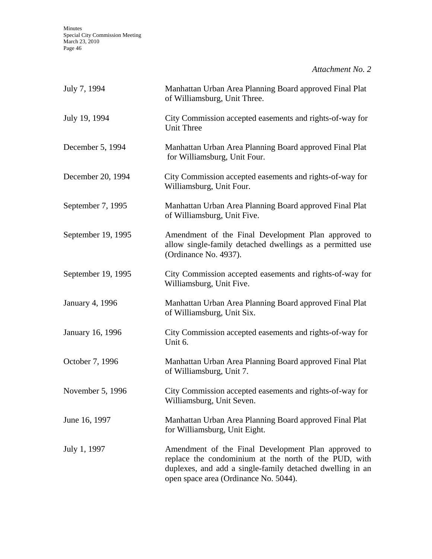| July 7, 1994       | Manhattan Urban Area Planning Board approved Final Plat<br>of Williamsburg, Unit Three.                                                                                                                            |
|--------------------|--------------------------------------------------------------------------------------------------------------------------------------------------------------------------------------------------------------------|
| July 19, 1994      | City Commission accepted easements and rights-of-way for<br><b>Unit Three</b>                                                                                                                                      |
| December 5, 1994   | Manhattan Urban Area Planning Board approved Final Plat<br>for Williamsburg, Unit Four.                                                                                                                            |
| December 20, 1994  | City Commission accepted easements and rights-of-way for<br>Williamsburg, Unit Four.                                                                                                                               |
| September 7, 1995  | Manhattan Urban Area Planning Board approved Final Plat<br>of Williamsburg, Unit Five.                                                                                                                             |
| September 19, 1995 | Amendment of the Final Development Plan approved to<br>allow single-family detached dwellings as a permitted use<br>(Ordinance No. 4937).                                                                          |
| September 19, 1995 | City Commission accepted easements and rights-of-way for<br>Williamsburg, Unit Five.                                                                                                                               |
| January 4, 1996    | Manhattan Urban Area Planning Board approved Final Plat<br>of Williamsburg, Unit Six.                                                                                                                              |
| January 16, 1996   | City Commission accepted easements and rights-of-way for<br>Unit 6.                                                                                                                                                |
| October 7, 1996    | Manhattan Urban Area Planning Board approved Final Plat<br>of Williamsburg, Unit 7.                                                                                                                                |
| November 5, 1996   | City Commission accepted easements and rights-of-way for<br>Williamsburg, Unit Seven.                                                                                                                              |
| June 16, 1997      | Manhattan Urban Area Planning Board approved Final Plat<br>for Williamsburg, Unit Eight.                                                                                                                           |
| July 1, 1997       | Amendment of the Final Development Plan approved to<br>replace the condominium at the north of the PUD, with<br>duplexes, and add a single-family detached dwelling in an<br>open space area (Ordinance No. 5044). |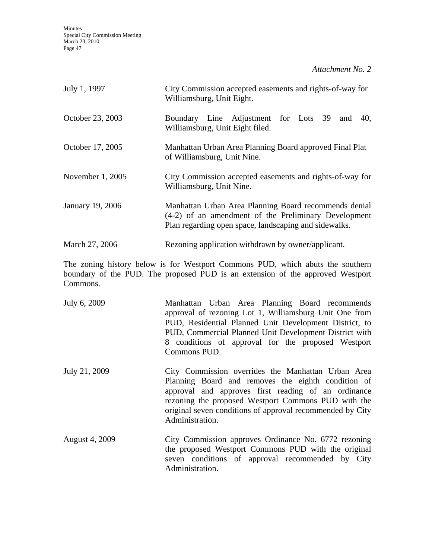| July 1, 1997     | City Commission accepted easements and rights-of-way for<br>Williamsburg, Unit Eight.                                                                                  |  |  |  |
|------------------|------------------------------------------------------------------------------------------------------------------------------------------------------------------------|--|--|--|
| October 23, 2003 | Boundary Line Adjustment for Lots 39<br>40.<br>and<br>Williamsburg, Unit Eight filed.                                                                                  |  |  |  |
| October 17, 2005 | Manhattan Urban Area Planning Board approved Final Plat<br>of Williamsburg, Unit Nine.                                                                                 |  |  |  |
| November 1, 2005 | City Commission accepted easements and rights-of-way for<br>Williamsburg, Unit Nine.                                                                                   |  |  |  |
| January 19, 2006 | Manhattan Urban Area Planning Board recommends denial<br>(4-2) of an amendment of the Preliminary Development<br>Plan regarding open space, landscaping and sidewalks. |  |  |  |
| March 27, 2006   | Rezoning application withdrawn by owner/applicant.                                                                                                                     |  |  |  |

The zoning history below is for Westport Commons PUD, which abuts the southern boundary of the PUD. The proposed PUD is an extension of the approved Westport Commons.

| July 6, 2009          | Manhattan Urban Area Planning Board recommends<br>approval of rezoning Lot 1, Williamsburg Unit One from<br>PUD, Residential Planned Unit Development District, to<br>PUD, Commercial Planned Unit Development District with<br>8 conditions of approval for the proposed Westport<br>Commons PUD.     |
|-----------------------|--------------------------------------------------------------------------------------------------------------------------------------------------------------------------------------------------------------------------------------------------------------------------------------------------------|
| July 21, 2009         | City Commission overrides the Manhattan Urban Area<br>Planning Board and removes the eighth condition of<br>approval and approves first reading of an ordinance<br>rezoning the proposed Westport Commons PUD with the<br>original seven conditions of approval recommended by City<br>Administration. |
| <b>August 4, 2009</b> | City Commission approves Ordinance No. 6772 rezoning<br>the proposed Westport Commons PUD with the original<br>seven conditions of approval recommended by City                                                                                                                                        |

Administration.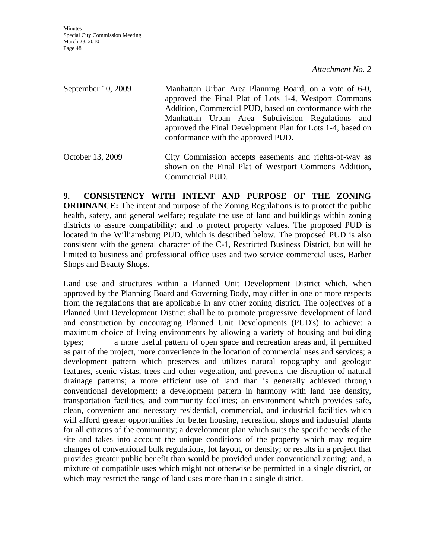September 10, 2009 Manhattan Urban Area Planning Board, on a vote of 6-0, approved the Final Plat of Lots 1-4, Westport Commons Addition, Commercial PUD, based on conformance with the Manhattan Urban Area Subdivision Regulations and approved the Final Development Plan for Lots 1-4, based on conformance with the approved PUD.

October 13, 2009 City Commission accepts easements and rights-of-way as shown on the Final Plat of Westport Commons Addition, Commercial PUD.

**9. CONSISTENCY WITH INTENT AND PURPOSE OF THE ZONING ORDINANCE:** The intent and purpose of the Zoning Regulations is to protect the public health, safety, and general welfare; regulate the use of land and buildings within zoning districts to assure compatibility; and to protect property values. The proposed PUD is located in the Williamsburg PUD, which is described below. The proposed PUD is also consistent with the general character of the C-1, Restricted Business District, but will be limited to business and professional office uses and two service commercial uses, Barber Shops and Beauty Shops.

Land use and structures within a Planned Unit Development District which, when approved by the Planning Board and Governing Body, may differ in one or more respects from the regulations that are applicable in any other zoning district. The objectives of a Planned Unit Development District shall be to promote progressive development of land and construction by encouraging Planned Unit Developments (PUD's) to achieve: a maximum choice of living environments by allowing a variety of housing and building types; a more useful pattern of open space and recreation areas and, if permitted as part of the project, more convenience in the location of commercial uses and services; a development pattern which preserves and utilizes natural topography and geologic features, scenic vistas, trees and other vegetation, and prevents the disruption of natural drainage patterns; a more efficient use of land than is generally achieved through conventional development; a development pattern in harmony with land use density, transportation facilities, and community facilities; an environment which provides safe, clean, convenient and necessary residential, commercial, and industrial facilities which will afford greater opportunities for better housing, recreation, shops and industrial plants for all citizens of the community; a development plan which suits the specific needs of the site and takes into account the unique conditions of the property which may require changes of conventional bulk regulations, lot layout, or density; or results in a project that provides greater public benefit than would be provided under conventional zoning; and, a mixture of compatible uses which might not otherwise be permitted in a single district, or which may restrict the range of land uses more than in a single district.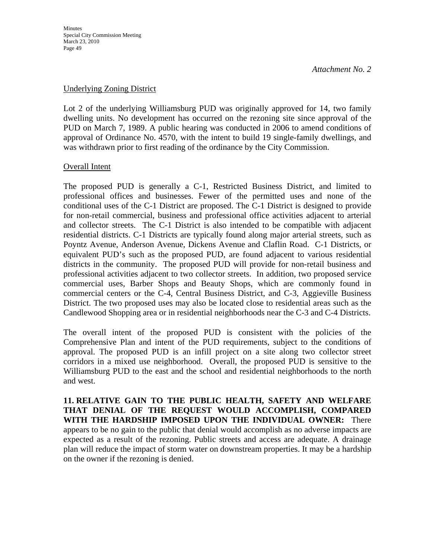#### Underlying Zoning District

Lot 2 of the underlying Williamsburg PUD was originally approved for 14, two family dwelling units. No development has occurred on the rezoning site since approval of the PUD on March 7, 1989. A public hearing was conducted in 2006 to amend conditions of approval of Ordinance No. 4570, with the intent to build 19 single-family dwellings, and was withdrawn prior to first reading of the ordinance by the City Commission.

#### Overall Intent

The proposed PUD is generally a C-1, Restricted Business District, and limited to professional offices and businesses. Fewer of the permitted uses and none of the conditional uses of the C-1 District are proposed. The C-1 District is designed to provide for non-retail commercial, business and professional office activities adjacent to arterial and collector streets. The C-1 District is also intended to be compatible with adjacent residential districts. C-1 Districts are typically found along major arterial streets, such as Poyntz Avenue, Anderson Avenue, Dickens Avenue and Claflin Road. C-1 Districts, or equivalent PUD's such as the proposed PUD, are found adjacent to various residential districts in the community. The proposed PUD will provide for non-retail business and professional activities adjacent to two collector streets. In addition, two proposed service commercial uses, Barber Shops and Beauty Shops, which are commonly found in commercial centers or the C-4, Central Business District, and C-3, Aggieville Business District. The two proposed uses may also be located close to residential areas such as the Candlewood Shopping area or in residential neighborhoods near the C-3 and C-4 Districts.

The overall intent of the proposed PUD is consistent with the policies of the Comprehensive Plan and intent of the PUD requirements, subject to the conditions of approval. The proposed PUD is an infill project on a site along two collector street corridors in a mixed use neighborhood. Overall, the proposed PUD is sensitive to the Williamsburg PUD to the east and the school and residential neighborhoods to the north and west.

**11. RELATIVE GAIN TO THE PUBLIC HEALTH, SAFETY AND WELFARE THAT DENIAL OF THE REQUEST WOULD ACCOMPLISH, COMPARED WITH THE HARDSHIP IMPOSED UPON THE INDIVIDUAL OWNER:** There appears to be no gain to the public that denial would accomplish as no adverse impacts are expected as a result of the rezoning. Public streets and access are adequate. A drainage plan will reduce the impact of storm water on downstream properties. It may be a hardship on the owner if the rezoning is denied.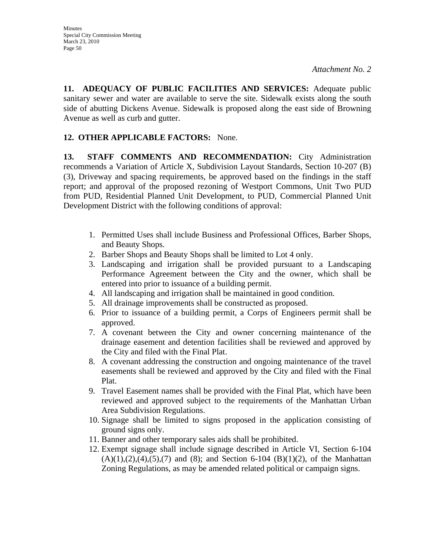**11. ADEQUACY OF PUBLIC FACILITIES AND SERVICES:** Adequate public sanitary sewer and water are available to serve the site. Sidewalk exists along the south side of abutting Dickens Avenue. Sidewalk is proposed along the east side of Browning Avenue as well as curb and gutter.

### **12. OTHER APPLICABLE FACTORS:** None.

**13. STAFF COMMENTS AND RECOMMENDATION:** City Administration recommends a Variation of Article X, Subdivision Layout Standards, Section 10-207 (B) (3), Driveway and spacing requirements, be approved based on the findings in the staff report; and approval of the proposed rezoning of Westport Commons, Unit Two PUD from PUD, Residential Planned Unit Development, to PUD, Commercial Planned Unit Development District with the following conditions of approval:

- 1. Permitted Uses shall include Business and Professional Offices, Barber Shops, and Beauty Shops.
- 2. Barber Shops and Beauty Shops shall be limited to Lot 4 only.
- 3. Landscaping and irrigation shall be provided pursuant to a Landscaping Performance Agreement between the City and the owner, which shall be entered into prior to issuance of a building permit.
- 4. All landscaping and irrigation shall be maintained in good condition.
- 5. All drainage improvements shall be constructed as proposed.
- 6. Prior to issuance of a building permit, a Corps of Engineers permit shall be approved.
- 7. A covenant between the City and owner concerning maintenance of the drainage easement and detention facilities shall be reviewed and approved by the City and filed with the Final Plat.
- 8. A covenant addressing the construction and ongoing maintenance of the travel easements shall be reviewed and approved by the City and filed with the Final Plat.
- 9. Travel Easement names shall be provided with the Final Plat, which have been reviewed and approved subject to the requirements of the Manhattan Urban Area Subdivision Regulations.
- 10. Signage shall be limited to signs proposed in the application consisting of ground signs only.
- 11. Banner and other temporary sales aids shall be prohibited.
- 12. Exempt signage shall include signage described in Article VI, Section 6-104  $(A)(1), (2), (4), (5), (7)$  and  $(8)$ ; and Section 6-104  $(B)(1)(2)$ , of the Manhattan Zoning Regulations, as may be amended related political or campaign signs.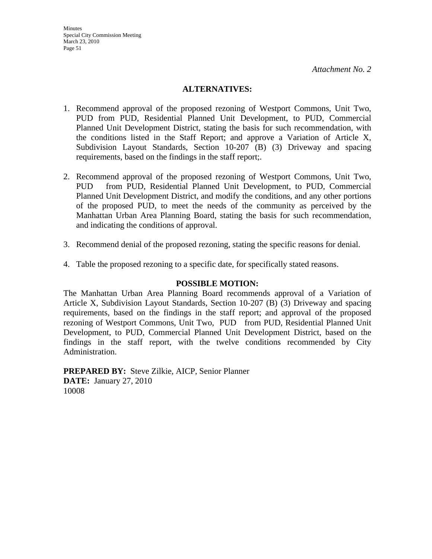#### **ALTERNATIVES:**

- 1. Recommend approval of the proposed rezoning of Westport Commons, Unit Two, PUD from PUD, Residential Planned Unit Development, to PUD, Commercial Planned Unit Development District, stating the basis for such recommendation, with the conditions listed in the Staff Report; and approve a Variation of Article X, Subdivision Layout Standards, Section 10-207 (B) (3) Driveway and spacing requirements, based on the findings in the staff report;.
- 2. Recommend approval of the proposed rezoning of Westport Commons, Unit Two, PUD from PUD, Residential Planned Unit Development, to PUD, Commercial Planned Unit Development District, and modify the conditions, and any other portions of the proposed PUD, to meet the needs of the community as perceived by the Manhattan Urban Area Planning Board, stating the basis for such recommendation, and indicating the conditions of approval.
- 3. Recommend denial of the proposed rezoning, stating the specific reasons for denial.
- 4. Table the proposed rezoning to a specific date, for specifically stated reasons.

#### **POSSIBLE MOTION:**

The Manhattan Urban Area Planning Board recommends approval of a Variation of Article X, Subdivision Layout Standards, Section 10-207 (B) (3) Driveway and spacing requirements, based on the findings in the staff report; and approval of the proposed rezoning of Westport Commons, Unit Two, PUD from PUD, Residential Planned Unit Development, to PUD, Commercial Planned Unit Development District, based on the findings in the staff report, with the twelve conditions recommended by City Administration.

**PREPARED BY:** Steve Zilkie, AICP, Senior Planner **DATE:** January 27, 2010 10008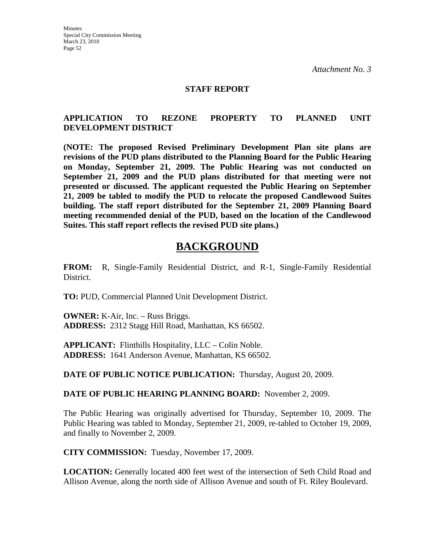#### **STAFF REPORT**

### **APPLICATION TO REZONE PROPERTY TO PLANNED UNIT DEVELOPMENT DISTRICT**

**(NOTE: The proposed Revised Preliminary Development Plan site plans are revisions of the PUD plans distributed to the Planning Board for the Public Hearing on Monday, September 21, 2009. The Public Hearing was not conducted on September 21, 2009 and the PUD plans distributed for that meeting were not presented or discussed. The applicant requested the Public Hearing on September 21, 2009 be tabled to modify the PUD to relocate the proposed Candlewood Suites building. The staff report distributed for the September 21, 2009 Planning Board meeting recommended denial of the PUD, based on the location of the Candlewood Suites. This staff report reflects the revised PUD site plans.)** 

## **BACKGROUND**

**FROM:** R, Single-Family Residential District, and R-1, Single-Family Residential District.

**TO:** PUD, Commercial Planned Unit Development District.

**OWNER:** K-Air, Inc. – Russ Briggs. **ADDRESS:** 2312 Stagg Hill Road, Manhattan, KS 66502.

**APPLICANT:** Flinthills Hospitality, LLC – Colin Noble. **ADDRESS:** 1641 Anderson Avenue, Manhattan, KS 66502.

**DATE OF PUBLIC NOTICE PUBLICATION:** Thursday, August 20, 2009.

**DATE OF PUBLIC HEARING PLANNING BOARD:** November 2, 2009.

The Public Hearing was originally advertised for Thursday, September 10, 2009. The Public Hearing was tabled to Monday, September 21, 2009, re-tabled to October 19, 2009, and finally to November 2, 2009.

**CITY COMMISSION:** Tuesday, November 17, 2009.

**LOCATION:** Generally located 400 feet west of the intersection of Seth Child Road and Allison Avenue, along the north side of Allison Avenue and south of Ft. Riley Boulevard.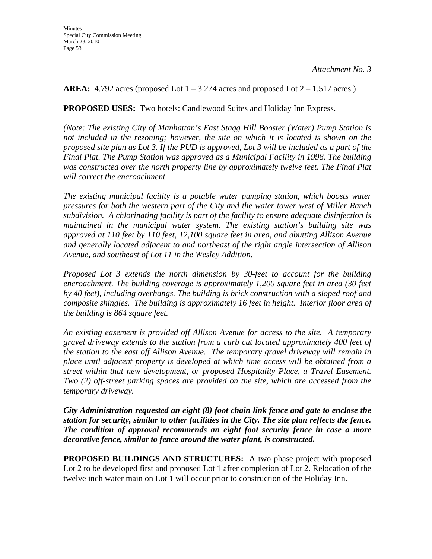**AREA:** 4.792 acres (proposed Lot  $1 - 3.274$  acres and proposed Lot  $2 - 1.517$  acres.)

**PROPOSED USES:** Two hotels: Candlewood Suites and Holiday Inn Express.

*(Note: The existing City of Manhattan's East Stagg Hill Booster (Water) Pump Station is not included in the rezoning; however, the site on which it is located is shown on the proposed site plan as Lot 3. If the PUD is approved, Lot 3 will be included as a part of the Final Plat. The Pump Station was approved as a Municipal Facility in 1998. The building was constructed over the north property line by approximately twelve feet. The Final Plat will correct the encroachment.* 

*The existing municipal facility is a potable water pumping station, which boosts water pressures for both the western part of the City and the water tower west of Miller Ranch subdivision. A chlorinating facility is part of the facility to ensure adequate disinfection is maintained in the municipal water system. The existing station's building site was approved at 110 feet by 110 feet, 12,100 square feet in area, and abutting Allison Avenue and generally located adjacent to and northeast of the right angle intersection of Allison Avenue, and southeast of Lot 11 in the Wesley Addition.* 

*Proposed Lot 3 extends the north dimension by 30-feet to account for the building encroachment. The building coverage is approximately 1,200 square feet in area (30 feet by 40 feet), including overhangs. The building is brick construction with a sloped roof and composite shingles. The building is approximately 16 feet in height. Interior floor area of the building is 864 square feet.* 

*An existing easement is provided off Allison Avenue for access to the site. A temporary gravel driveway extends to the station from a curb cut located approximately 400 feet of the station to the east off Allison Avenue. The temporary gravel driveway will remain in place until adjacent property is developed at which time access will be obtained from a street within that new development, or proposed Hospitality Place, a Travel Easement. Two (2) off-street parking spaces are provided on the site, which are accessed from the temporary driveway.* 

*City Administration requested an eight (8) foot chain link fence and gate to enclose the station for security, similar to other facilities in the City. The site plan reflects the fence. The condition of approval recommends an eight foot security fence in case a more decorative fence, similar to fence around the water plant, is constructed.* 

**PROPOSED BUILDINGS AND STRUCTURES:** A two phase project with proposed Lot 2 to be developed first and proposed Lot 1 after completion of Lot 2. Relocation of the twelve inch water main on Lot 1 will occur prior to construction of the Holiday Inn.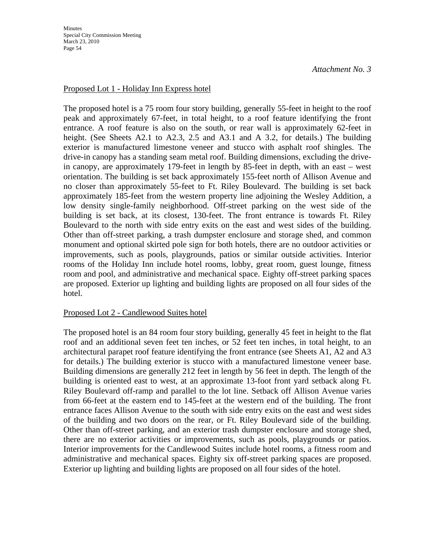### Proposed Lot 1 - Holiday Inn Express hotel

The proposed hotel is a 75 room four story building, generally 55-feet in height to the roof peak and approximately 67-feet, in total height, to a roof feature identifying the front entrance. A roof feature is also on the south, or rear wall is approximately 62-feet in height. (See Sheets A2.1 to A2.3, 2.5 and A3.1 and A 3.2, for details.) The building exterior is manufactured limestone veneer and stucco with asphalt roof shingles. The drive-in canopy has a standing seam metal roof. Building dimensions, excluding the drivein canopy, are approximately 179-feet in length by 85-feet in depth, with an east – west orientation. The building is set back approximately 155-feet north of Allison Avenue and no closer than approximately 55-feet to Ft. Riley Boulevard. The building is set back approximately 185-feet from the western property line adjoining the Wesley Addition, a low density single-family neighborhood. Off-street parking on the west side of the building is set back, at its closest, 130-feet. The front entrance is towards Ft. Riley Boulevard to the north with side entry exits on the east and west sides of the building. Other than off-street parking, a trash dumpster enclosure and storage shed, and common monument and optional skirted pole sign for both hotels, there are no outdoor activities or improvements, such as pools, playgrounds, patios or similar outside activities. Interior rooms of the Holiday Inn include hotel rooms, lobby, great room, guest lounge, fitness room and pool, and administrative and mechanical space. Eighty off-street parking spaces are proposed. Exterior up lighting and building lights are proposed on all four sides of the hotel.

### Proposed Lot 2 - Candlewood Suites hotel

The proposed hotel is an 84 room four story building, generally 45 feet in height to the flat roof and an additional seven feet ten inches, or 52 feet ten inches, in total height, to an architectural parapet roof feature identifying the front entrance (see Sheets A1, A2 and A3 for details.) The building exterior is stucco with a manufactured limestone veneer base. Building dimensions are generally 212 feet in length by 56 feet in depth. The length of the building is oriented east to west, at an approximate 13-foot front yard setback along Ft. Riley Boulevard off-ramp and parallel to the lot line. Setback off Allison Avenue varies from 66-feet at the eastern end to 145-feet at the western end of the building. The front entrance faces Allison Avenue to the south with side entry exits on the east and west sides of the building and two doors on the rear, or Ft. Riley Boulevard side of the building. Other than off-street parking, and an exterior trash dumpster enclosure and storage shed, there are no exterior activities or improvements, such as pools, playgrounds or patios. Interior improvements for the Candlewood Suites include hotel rooms, a fitness room and administrative and mechanical spaces. Eighty six off-street parking spaces are proposed. Exterior up lighting and building lights are proposed on all four sides of the hotel.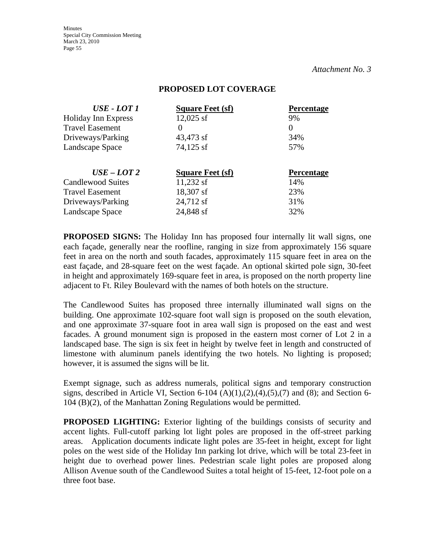**Minutes** Special City Commission Meeting March 23, 2010 Page 55

*Attachment No. 3*

#### **PROPOSED LOT COVERAGE**

| <b>Percentage</b> |
|-------------------|
| 9%                |
| $\theta$          |
| 34%               |
| 57%               |
| <b>Percentage</b> |
| 14%               |
|                   |
| 23%               |
| 31%               |
|                   |

**PROPOSED SIGNS:** The Holiday Inn has proposed four internally lit wall signs, one each façade, generally near the roofline, ranging in size from approximately 156 square feet in area on the north and south facades, approximately 115 square feet in area on the east façade, and 28-square feet on the west façade. An optional skirted pole sign, 30-feet in height and approximately 169-square feet in area, is proposed on the north property line adjacent to Ft. Riley Boulevard with the names of both hotels on the structure.

The Candlewood Suites has proposed three internally illuminated wall signs on the building. One approximate 102-square foot wall sign is proposed on the south elevation, and one approximate 37-square foot in area wall sign is proposed on the east and west facades. A ground monument sign is proposed in the eastern most corner of Lot 2 in a landscaped base. The sign is six feet in height by twelve feet in length and constructed of limestone with aluminum panels identifying the two hotels. No lighting is proposed; however, it is assumed the signs will be lit.

Exempt signage, such as address numerals, political signs and temporary construction signs, described in Article VI, Section 6-104  $(A)(1),(2),(4),(5),(7)$  and  $(8)$ ; and Section 6-104 (B)(2), of the Manhattan Zoning Regulations would be permitted.

**PROPOSED LIGHTING:** Exterior lighting of the buildings consists of security and accent lights. Full-cutoff parking lot light poles are proposed in the off-street parking areas. Application documents indicate light poles are 35-feet in height, except for light poles on the west side of the Holiday Inn parking lot drive, which will be total 23-feet in height due to overhead power lines. Pedestrian scale light poles are proposed along Allison Avenue south of the Candlewood Suites a total height of 15-feet, 12-foot pole on a three foot base.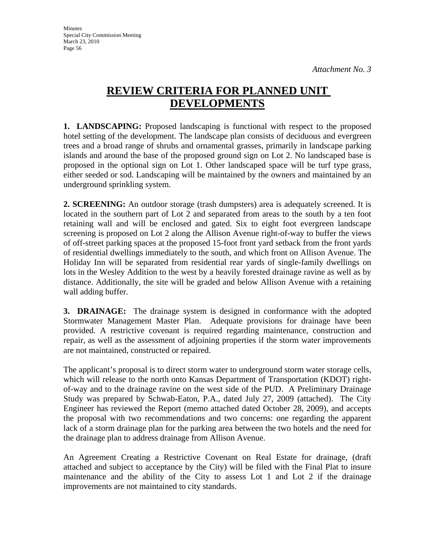# **REVIEW CRITERIA FOR PLANNED UNIT DEVELOPMENTS**

**1. LANDSCAPING:** Proposed landscaping is functional with respect to the proposed hotel setting of the development. The landscape plan consists of deciduous and evergreen trees and a broad range of shrubs and ornamental grasses, primarily in landscape parking islands and around the base of the proposed ground sign on Lot 2. No landscaped base is proposed in the optional sign on Lot 1. Other landscaped space will be turf type grass, either seeded or sod. Landscaping will be maintained by the owners and maintained by an underground sprinkling system.

**2. SCREENING:** An outdoor storage (trash dumpsters) area is adequately screened. It is located in the southern part of Lot 2 and separated from areas to the south by a ten foot retaining wall and will be enclosed and gated. Six to eight foot evergreen landscape screening is proposed on Lot 2 along the Allison Avenue right-of-way to buffer the views of off-street parking spaces at the proposed 15-foot front yard setback from the front yards of residential dwellings immediately to the south, and which front on Allison Avenue. The Holiday Inn will be separated from residential rear yards of single-family dwellings on lots in the Wesley Addition to the west by a heavily forested drainage ravine as well as by distance. Additionally, the site will be graded and below Allison Avenue with a retaining wall adding buffer.

**3. DRAINAGE:** The drainage system is designed in conformance with the adopted Stormwater Management Master Plan. Adequate provisions for drainage have been provided. A restrictive covenant is required regarding maintenance, construction and repair, as well as the assessment of adjoining properties if the storm water improvements are not maintained, constructed or repaired.

The applicant's proposal is to direct storm water to underground storm water storage cells, which will release to the north onto Kansas Department of Transportation (KDOT) rightof-way and to the drainage ravine on the west side of the PUD. A Preliminary Drainage Study was prepared by Schwab-Eaton, P.A., dated July 27, 2009 (attached). The City Engineer has reviewed the Report (memo attached dated October 28, 2009), and accepts the proposal with two recommendations and two concerns: one regarding the apparent lack of a storm drainage plan for the parking area between the two hotels and the need for the drainage plan to address drainage from Allison Avenue.

An Agreement Creating a Restrictive Covenant on Real Estate for drainage, (draft attached and subject to acceptance by the City) will be filed with the Final Plat to insure maintenance and the ability of the City to assess Lot 1 and Lot 2 if the drainage improvements are not maintained to city standards.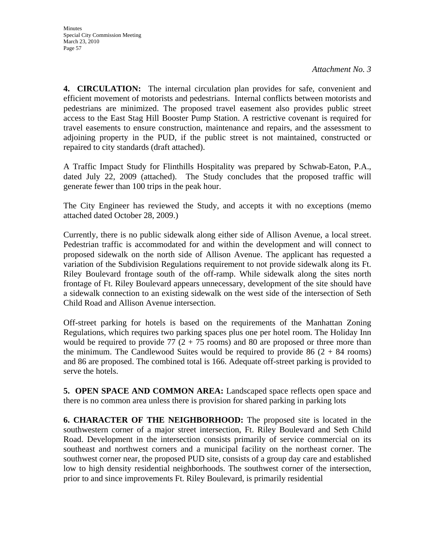**4. CIRCULATION:** The internal circulation plan provides for safe, convenient and efficient movement of motorists and pedestrians. Internal conflicts between motorists and pedestrians are minimized. The proposed travel easement also provides public street access to the East Stag Hill Booster Pump Station. A restrictive covenant is required for travel easements to ensure construction, maintenance and repairs, and the assessment to adjoining property in the PUD, if the public street is not maintained, constructed or repaired to city standards (draft attached).

A Traffic Impact Study for Flinthills Hospitality was prepared by Schwab-Eaton, P.A., dated July 22, 2009 (attached). The Study concludes that the proposed traffic will generate fewer than 100 trips in the peak hour.

The City Engineer has reviewed the Study, and accepts it with no exceptions (memo attached dated October 28, 2009.)

Currently, there is no public sidewalk along either side of Allison Avenue, a local street. Pedestrian traffic is accommodated for and within the development and will connect to proposed sidewalk on the north side of Allison Avenue. The applicant has requested a variation of the Subdivision Regulations requirement to not provide sidewalk along its Ft. Riley Boulevard frontage south of the off-ramp. While sidewalk along the sites north frontage of Ft. Riley Boulevard appears unnecessary, development of the site should have a sidewalk connection to an existing sidewalk on the west side of the intersection of Seth Child Road and Allison Avenue intersection.

Off-street parking for hotels is based on the requirements of the Manhattan Zoning Regulations, which requires two parking spaces plus one per hotel room. The Holiday Inn would be required to provide 77  $(2 + 75 \text{ rooms})$  and 80 are proposed or three more than the minimum. The Candlewood Suites would be required to provide  $86 (2 + 84$  rooms) and 86 are proposed. The combined total is 166. Adequate off-street parking is provided to serve the hotels.

**5. OPEN SPACE AND COMMON AREA:** Landscaped space reflects open space and there is no common area unless there is provision for shared parking in parking lots

**6. CHARACTER OF THE NEIGHBORHOOD:** The proposed site is located in the southwestern corner of a major street intersection, Ft. Riley Boulevard and Seth Child Road. Development in the intersection consists primarily of service commercial on its southeast and northwest corners and a municipal facility on the northeast corner. The southwest corner near, the proposed PUD site, consists of a group day care and established low to high density residential neighborhoods. The southwest corner of the intersection, prior to and since improvements Ft. Riley Boulevard, is primarily residential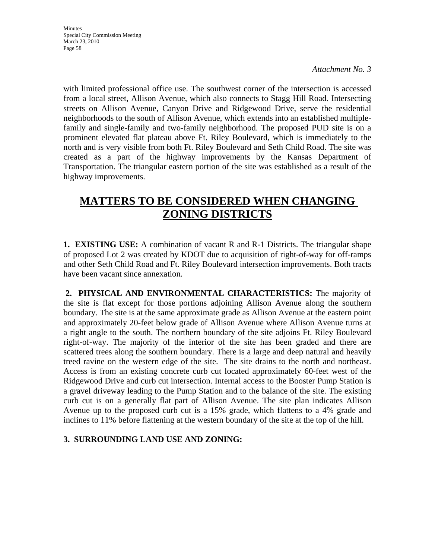with limited professional office use. The southwest corner of the intersection is accessed from a local street, Allison Avenue, which also connects to Stagg Hill Road. Intersecting streets on Allison Avenue, Canyon Drive and Ridgewood Drive, serve the residential neighborhoods to the south of Allison Avenue, which extends into an established multiplefamily and single-family and two-family neighborhood. The proposed PUD site is on a prominent elevated flat plateau above Ft. Riley Boulevard, which is immediately to the north and is very visible from both Ft. Riley Boulevard and Seth Child Road. The site was created as a part of the highway improvements by the Kansas Department of Transportation. The triangular eastern portion of the site was established as a result of the highway improvements.

# **MATTERS TO BE CONSIDERED WHEN CHANGING ZONING DISTRICTS**

**1. EXISTING USE:** A combination of vacant R and R-1 Districts. The triangular shape of proposed Lot 2 was created by KDOT due to acquisition of right-of-way for off-ramps and other Seth Child Road and Ft. Riley Boulevard intersection improvements. Both tracts have been vacant since annexation.

**2. PHYSICAL AND ENVIRONMENTAL CHARACTERISTICS:** The majority of the site is flat except for those portions adjoining Allison Avenue along the southern boundary. The site is at the same approximate grade as Allison Avenue at the eastern point and approximately 20-feet below grade of Allison Avenue where Allison Avenue turns at a right angle to the south. The northern boundary of the site adjoins Ft. Riley Boulevard right-of-way. The majority of the interior of the site has been graded and there are scattered trees along the southern boundary. There is a large and deep natural and heavily treed ravine on the western edge of the site. The site drains to the north and northeast. Access is from an existing concrete curb cut located approximately 60-feet west of the Ridgewood Drive and curb cut intersection. Internal access to the Booster Pump Station is a gravel driveway leading to the Pump Station and to the balance of the site. The existing curb cut is on a generally flat part of Allison Avenue. The site plan indicates Allison Avenue up to the proposed curb cut is a 15% grade, which flattens to a 4% grade and inclines to 11% before flattening at the western boundary of the site at the top of the hill.

### **3. SURROUNDING LAND USE AND ZONING:**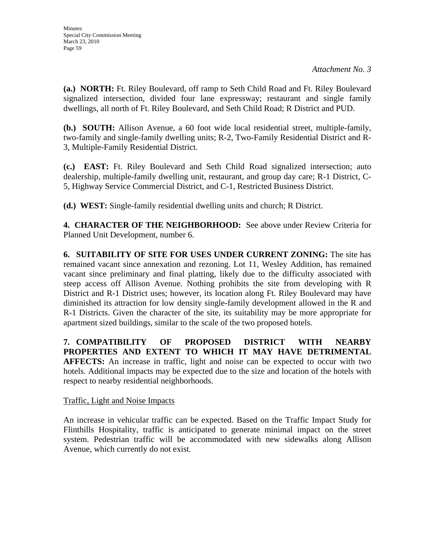**(a.) NORTH:** Ft. Riley Boulevard, off ramp to Seth Child Road and Ft. Riley Boulevard signalized intersection, divided four lane expressway; restaurant and single family dwellings, all north of Ft. Riley Boulevard, and Seth Child Road; R District and PUD.

**(b.) SOUTH:** Allison Avenue, a 60 foot wide local residential street, multiple-family, two-family and single-family dwelling units; R-2, Two-Family Residential District and R-3, Multiple-Family Residential District.

**(c.) EAST:** Ft. Riley Boulevard and Seth Child Road signalized intersection; auto dealership, multiple-family dwelling unit, restaurant, and group day care; R-1 District, C-5, Highway Service Commercial District, and C-1, Restricted Business District.

**(d.) WEST:** Single-family residential dwelling units and church; R District.

**4. CHARACTER OF THE NEIGHBORHOOD:** See above under Review Criteria for Planned Unit Development, number 6.

**6. SUITABILITY OF SITE FOR USES UNDER CURRENT ZONING:** The site has remained vacant since annexation and rezoning. Lot 11, Wesley Addition, has remained vacant since preliminary and final platting, likely due to the difficulty associated with steep access off Allison Avenue. Nothing prohibits the site from developing with R District and R-1 District uses; however, its location along Ft. Riley Boulevard may have diminished its attraction for low density single-family development allowed in the R and R-1 Districts. Given the character of the site, its suitability may be more appropriate for apartment sized buildings, similar to the scale of the two proposed hotels.

**7. COMPATIBILITY OF PROPOSED DISTRICT WITH NEARBY PROPERTIES AND EXTENT TO WHICH IT MAY HAVE DETRIMENTAL AFFECTS:** An increase in traffic, light and noise can be expected to occur with two hotels. Additional impacts may be expected due to the size and location of the hotels with respect to nearby residential neighborhoods.

### Traffic, Light and Noise Impacts

An increase in vehicular traffic can be expected. Based on the Traffic Impact Study for Flinthills Hospitality, traffic is anticipated to generate minimal impact on the street system. Pedestrian traffic will be accommodated with new sidewalks along Allison Avenue, which currently do not exist.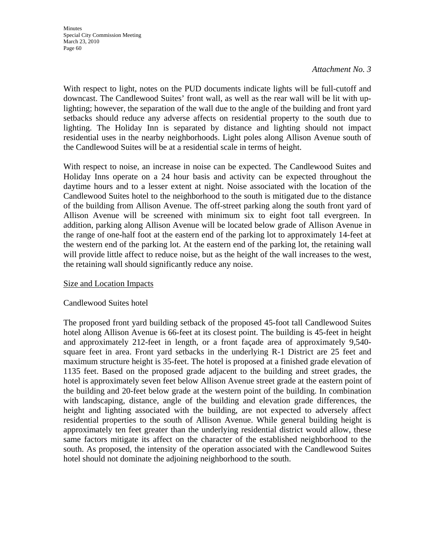With respect to light, notes on the PUD documents indicate lights will be full-cutoff and downcast. The Candlewood Suites' front wall, as well as the rear wall will be lit with uplighting; however, the separation of the wall due to the angle of the building and front yard setbacks should reduce any adverse affects on residential property to the south due to lighting. The Holiday Inn is separated by distance and lighting should not impact residential uses in the nearby neighborhoods. Light poles along Allison Avenue south of the Candlewood Suites will be at a residential scale in terms of height.

With respect to noise, an increase in noise can be expected. The Candlewood Suites and Holiday Inns operate on a 24 hour basis and activity can be expected throughout the daytime hours and to a lesser extent at night. Noise associated with the location of the Candlewood Suites hotel to the neighborhood to the south is mitigated due to the distance of the building from Allison Avenue. The off-street parking along the south front yard of Allison Avenue will be screened with minimum six to eight foot tall evergreen. In addition, parking along Allison Avenue will be located below grade of Allison Avenue in the range of one-half foot at the eastern end of the parking lot to approximately 14-feet at the western end of the parking lot. At the eastern end of the parking lot, the retaining wall will provide little affect to reduce noise, but as the height of the wall increases to the west, the retaining wall should significantly reduce any noise.

#### Size and Location Impacts

### Candlewood Suites hotel

The proposed front yard building setback of the proposed 45-foot tall Candlewood Suites hotel along Allison Avenue is 66-feet at its closest point. The building is 45-feet in height and approximately 212-feet in length, or a front façade area of approximately 9,540 square feet in area. Front yard setbacks in the underlying R-1 District are 25 feet and maximum structure height is 35-feet. The hotel is proposed at a finished grade elevation of 1135 feet. Based on the proposed grade adjacent to the building and street grades, the hotel is approximately seven feet below Allison Avenue street grade at the eastern point of the building and 20-feet below grade at the western point of the building. In combination with landscaping, distance, angle of the building and elevation grade differences, the height and lighting associated with the building, are not expected to adversely affect residential properties to the south of Allison Avenue. While general building height is approximately ten feet greater than the underlying residential district would allow, these same factors mitigate its affect on the character of the established neighborhood to the south. As proposed, the intensity of the operation associated with the Candlewood Suites hotel should not dominate the adjoining neighborhood to the south.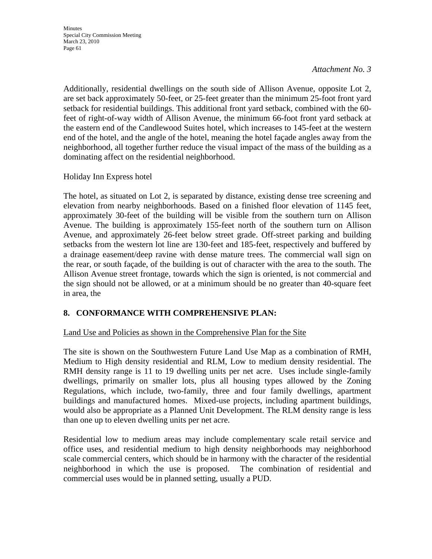Additionally, residential dwellings on the south side of Allison Avenue, opposite Lot 2, are set back approximately 50-feet, or 25-feet greater than the minimum 25-foot front yard setback for residential buildings. This additional front yard setback, combined with the 60 feet of right-of-way width of Allison Avenue, the minimum 66-foot front yard setback at the eastern end of the Candlewood Suites hotel, which increases to 145-feet at the western end of the hotel, and the angle of the hotel, meaning the hotel façade angles away from the neighborhood, all together further reduce the visual impact of the mass of the building as a dominating affect on the residential neighborhood.

Holiday Inn Express hotel

The hotel, as situated on Lot 2, is separated by distance, existing dense tree screening and elevation from nearby neighborhoods. Based on a finished floor elevation of 1145 feet, approximately 30-feet of the building will be visible from the southern turn on Allison Avenue. The building is approximately 155-feet north of the southern turn on Allison Avenue, and approximately 26-feet below street grade. Off-street parking and building setbacks from the western lot line are 130-feet and 185-feet, respectively and buffered by a drainage easement/deep ravine with dense mature trees. The commercial wall sign on the rear, or south façade, of the building is out of character with the area to the south. The Allison Avenue street frontage, towards which the sign is oriented, is not commercial and the sign should not be allowed, or at a minimum should be no greater than 40-square feet in area, the

### **8. CONFORMANCE WITH COMPREHENSIVE PLAN:**

### Land Use and Policies as shown in the Comprehensive Plan for the Site

The site is shown on the Southwestern Future Land Use Map as a combination of RMH, Medium to High density residential and RLM, Low to medium density residential. The RMH density range is 11 to 19 dwelling units per net acre. Uses include single-family dwellings, primarily on smaller lots, plus all housing types allowed by the Zoning Regulations, which include, two-family, three and four family dwellings, apartment buildings and manufactured homes. Mixed-use projects, including apartment buildings, would also be appropriate as a Planned Unit Development. The RLM density range is less than one up to eleven dwelling units per net acre.

Residential low to medium areas may include complementary scale retail service and office uses, and residential medium to high density neighborhoods may neighborhood scale commercial centers, which should be in harmony with the character of the residential neighborhood in which the use is proposed. The combination of residential and commercial uses would be in planned setting, usually a PUD.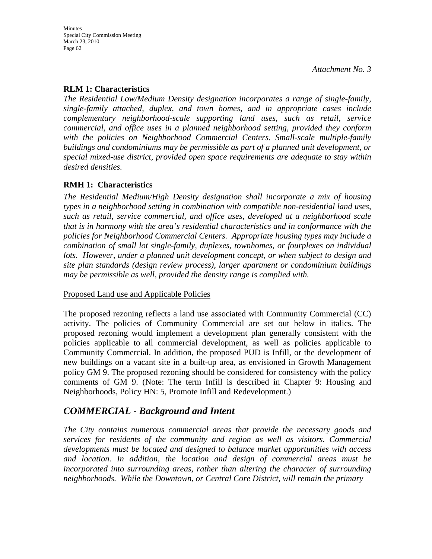### **RLM 1: Characteristics**

*The Residential Low/Medium Density designation incorporates a range of single-family, single-family attached, duplex, and town homes, and in appropriate cases include complementary neighborhood-scale supporting land uses, such as retail, service commercial, and office uses in a planned neighborhood setting, provided they conform with the policies on Neighborhood Commercial Centers. Small-scale multiple-family buildings and condominiums may be permissible as part of a planned unit development, or special mixed-use district, provided open space requirements are adequate to stay within desired densities.* 

#### **RMH 1: Characteristics**

*The Residential Medium/High Density designation shall incorporate a mix of housing types in a neighborhood setting in combination with compatible non-residential land uses, such as retail, service commercial, and office uses, developed at a neighborhood scale that is in harmony with the area's residential characteristics and in conformance with the policies for Neighborhood Commercial Centers. Appropriate housing types may include a combination of small lot single-family, duplexes, townhomes, or fourplexes on individual lots. However, under a planned unit development concept, or when subject to design and site plan standards (design review process), larger apartment or condominium buildings may be permissible as well, provided the density range is complied with.* 

#### Proposed Land use and Applicable Policies

The proposed rezoning reflects a land use associated with Community Commercial (CC) activity. The policies of Community Commercial are set out below in italics. The proposed rezoning would implement a development plan generally consistent with the policies applicable to all commercial development, as well as policies applicable to Community Commercial. In addition, the proposed PUD is Infill, or the development of new buildings on a vacant site in a built-up area, as envisioned in Growth Management policy GM 9. The proposed rezoning should be considered for consistency with the policy comments of GM 9. (Note: The term Infill is described in Chapter 9: Housing and Neighborhoods, Policy HN: 5, Promote Infill and Redevelopment.)

## *COMMERCIAL - Background and Intent*

*The City contains numerous commercial areas that provide the necessary goods and services for residents of the community and region as well as visitors. Commercial developments must be located and designed to balance market opportunities with access and location. In addition, the location and design of commercial areas must be incorporated into surrounding areas, rather than altering the character of surrounding neighborhoods. While the Downtown, or Central Core District, will remain the primary*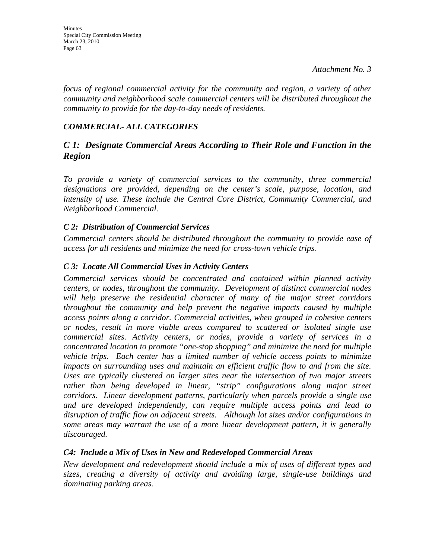*focus of regional commercial activity for the community and region, a variety of other community and neighborhood scale commercial centers will be distributed throughout the community to provide for the day-to-day needs of residents.* 

### *COMMERCIAL- ALL CATEGORIES*

### *C 1: Designate Commercial Areas According to Their Role and Function in the Region*

*To provide a variety of commercial services to the community, three commercial designations are provided, depending on the center's scale, purpose, location, and intensity of use. These include the Central Core District, Community Commercial, and Neighborhood Commercial.* 

### *C 2: Distribution of Commercial Services*

*Commercial centers should be distributed throughout the community to provide ease of access for all residents and minimize the need for cross-town vehicle trips.* 

### *C 3: Locate All Commercial Uses in Activity Centers*

*Commercial services should be concentrated and contained within planned activity centers, or nodes, throughout the community. Development of distinct commercial nodes will help preserve the residential character of many of the major street corridors throughout the community and help prevent the negative impacts caused by multiple access points along a corridor. Commercial activities, when grouped in cohesive centers or nodes, result in more viable areas compared to scattered or isolated single use commercial sites. Activity centers, or nodes, provide a variety of services in a concentrated location to promote "one-stop shopping" and minimize the need for multiple vehicle trips. Each center has a limited number of vehicle access points to minimize impacts on surrounding uses and maintain an efficient traffic flow to and from the site. Uses are typically clustered on larger sites near the intersection of two major streets*  rather than being developed in linear, "strip" configurations along major street *corridors. Linear development patterns, particularly when parcels provide a single use and are developed independently, can require multiple access points and lead to disruption of traffic flow on adjacent streets. Although lot sizes and/or configurations in some areas may warrant the use of a more linear development pattern, it is generally discouraged.* 

### *C4: Include a Mix of Uses in New and Redeveloped Commercial Areas*

*New development and redevelopment should include a mix of uses of different types and sizes, creating a diversity of activity and avoiding large, single-use buildings and dominating parking areas.*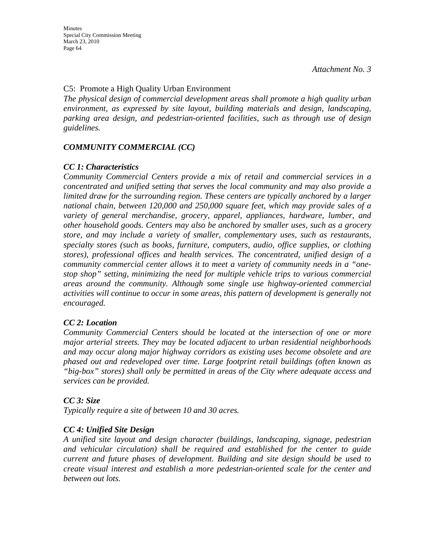### C5: Promote a High Quality Urban Environment

*The physical design of commercial development areas shall promote a high quality urban environment, as expressed by site layout, building materials and design, landscaping, parking area design, and pedestrian-oriented facilities, such as through use of design guidelines.* 

### *COMMUNITY COMMERCIAL (CC)*

### *CC 1: Characteristics*

*Community Commercial Centers provide a mix of retail and commercial services in a concentrated and unified setting that serves the local community and may also provide a limited draw for the surrounding region. These centers are typically anchored by a larger national chain, between 120,000 and 250,000 square feet, which may provide sales of a variety of general merchandise, grocery, apparel, appliances, hardware, lumber, and other household goods. Centers may also be anchored by smaller uses, such as a grocery store, and may include a variety of smaller, complementary uses, such as restaurants, specialty stores (such as books, furniture, computers, audio, office supplies, or clothing stores), professional offices and health services. The concentrated, unified design of a community commercial center allows it to meet a variety of community needs in a "onestop shop" setting, minimizing the need for multiple vehicle trips to various commercial areas around the community. Although some single use highway-oriented commercial activities will continue to occur in some areas, this pattern of development is generally not encouraged.* 

### *CC 2: Location*

*Community Commercial Centers should be located at the intersection of one or more major arterial streets. They may be located adjacent to urban residential neighborhoods and may occur along major highway corridors as existing uses become obsolete and are phased out and redeveloped over time. Large footprint retail buildings (often known as "big-box" stores) shall only be permitted in areas of the City where adequate access and services can be provided.* 

### *CC 3: Size*

*Typically require a site of between 10 and 30 acres.* 

### *CC 4: Unified Site Design*

*A unified site layout and design character (buildings, landscaping, signage, pedestrian and vehicular circulation) shall be required and established for the center to guide current and future phases of development. Building and site design should be used to create visual interest and establish a more pedestrian-oriented scale for the center and between out lots.*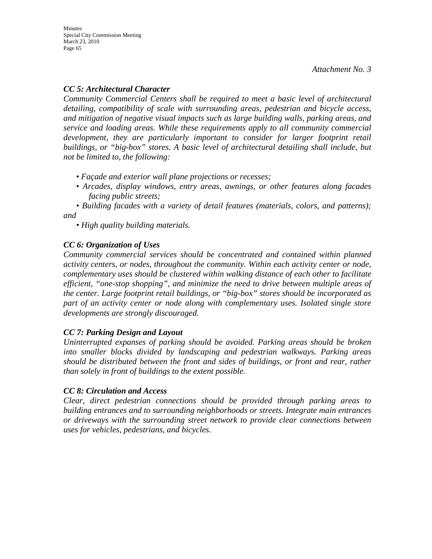### *CC 5: Architectural Character*

*Community Commercial Centers shall be required to meet a basic level of architectural detailing, compatibility of scale with surrounding areas, pedestrian and bicycle access, and mitigation of negative visual impacts such as large building walls, parking areas, and service and loading areas. While these requirements apply to all community commercial*  development, they are particularly important to consider for larger footprint retail *buildings, or "big-box" stores. A basic level of architectural detailing shall include, but not be limited to, the following:* 

- *Façade and exterior wall plane projections or recesses;*
- *Arcades, display windows, entry areas, awnings, or other features along facades facing public streets;*

*• Building facades with a variety of detail features (materials, colors, and patterns); and* 

*• High quality building materials.* 

### *CC 6: Organization of Uses*

*Community commercial services should be concentrated and contained within planned activity centers, or nodes, throughout the community. Within each activity center or node, complementary uses should be clustered within walking distance of each other to facilitate efficient, "one-stop shopping", and minimize the need to drive between multiple areas of the center. Large footprint retail buildings, or "big-box" stores should be incorporated as part of an activity center or node along with complementary uses. Isolated single store developments are strongly discouraged.* 

### *CC 7: Parking Design and Layout*

*Uninterrupted expanses of parking should be avoided. Parking areas should be broken into smaller blocks divided by landscaping and pedestrian walkways. Parking areas should be distributed between the front and sides of buildings, or front and rear, rather than solely in front of buildings to the extent possible.* 

### *CC 8: Circulation and Access*

*Clear, direct pedestrian connections should be provided through parking areas to building entrances and to surrounding neighborhoods or streets. Integrate main entrances or driveways with the surrounding street network to provide clear connections between uses for vehicles, pedestrians, and bicycles.*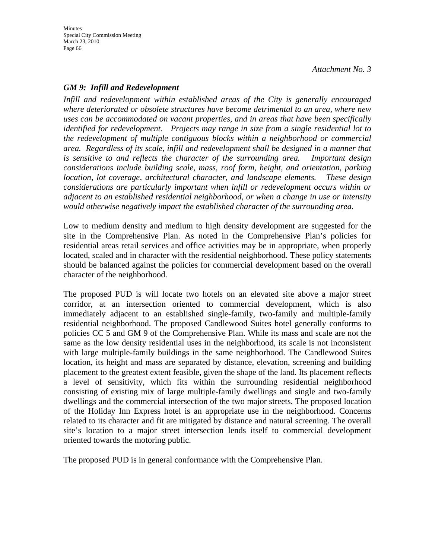### *GM 9: Infill and Redevelopment*

*Infill and redevelopment within established areas of the City is generally encouraged where deteriorated or obsolete structures have become detrimental to an area, where new uses can be accommodated on vacant properties, and in areas that have been specifically identified for redevelopment. Projects may range in size from a single residential lot to the redevelopment of multiple contiguous blocks within a neighborhood or commercial area. Regardless of its scale, infill and redevelopment shall be designed in a manner that is sensitive to and reflects the character of the surrounding area. Important design considerations include building scale, mass, roof form, height, and orientation, parking location, lot coverage, architectural character, and landscape elements. These design considerations are particularly important when infill or redevelopment occurs within or adjacent to an established residential neighborhood, or when a change in use or intensity would otherwise negatively impact the established character of the surrounding area.* 

Low to medium density and medium to high density development are suggested for the site in the Comprehensive Plan. As noted in the Comprehensive Plan's policies for residential areas retail services and office activities may be in appropriate, when properly located, scaled and in character with the residential neighborhood. These policy statements should be balanced against the policies for commercial development based on the overall character of the neighborhood.

The proposed PUD is will locate two hotels on an elevated site above a major street corridor, at an intersection oriented to commercial development, which is also immediately adjacent to an established single-family, two-family and multiple-family residential neighborhood. The proposed Candlewood Suites hotel generally conforms to policies CC 5 and GM 9 of the Comprehensive Plan. While its mass and scale are not the same as the low density residential uses in the neighborhood, its scale is not inconsistent with large multiple-family buildings in the same neighborhood. The Candlewood Suites location, its height and mass are separated by distance, elevation, screening and building placement to the greatest extent feasible, given the shape of the land. Its placement reflects a level of sensitivity, which fits within the surrounding residential neighborhood consisting of existing mix of large multiple-family dwellings and single and two-family dwellings and the commercial intersection of the two major streets. The proposed location of the Holiday Inn Express hotel is an appropriate use in the neighborhood. Concerns related to its character and fit are mitigated by distance and natural screening. The overall site's location to a major street intersection lends itself to commercial development oriented towards the motoring public.

The proposed PUD is in general conformance with the Comprehensive Plan.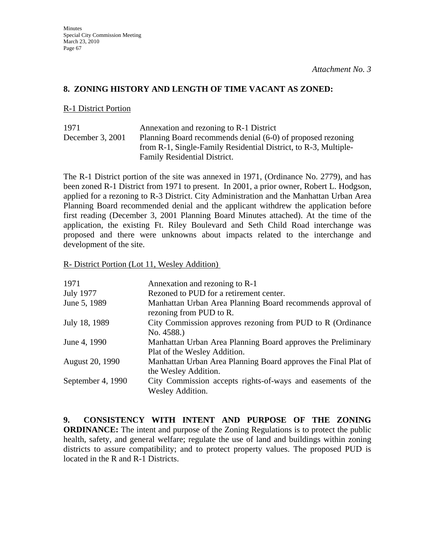### **8. ZONING HISTORY AND LENGTH OF TIME VACANT AS ZONED:**

#### R-1 District Portion

| 1971             | Annexation and rezoning to R-1 District                         |
|------------------|-----------------------------------------------------------------|
| December 3, 2001 | Planning Board recommends denial (6-0) of proposed rezoning     |
|                  | from R-1, Single-Family Residential District, to R-3, Multiple- |
|                  | Family Residential District.                                    |

The R-1 District portion of the site was annexed in 1971, (Ordinance No. 2779), and has been zoned R-1 District from 1971 to present. In 2001, a prior owner, Robert L. Hodgson, applied for a rezoning to R-3 District. City Administration and the Manhattan Urban Area Planning Board recommended denial and the applicant withdrew the application before first reading (December 3, 2001 Planning Board Minutes attached). At the time of the application, the existing Ft. Riley Boulevard and Seth Child Road interchange was proposed and there were unknowns about impacts related to the interchange and development of the site.

#### R- District Portion (Lot 11, Wesley Addition)

| 1971              | Annexation and rezoning to R-1                                                        |
|-------------------|---------------------------------------------------------------------------------------|
| <b>July 1977</b>  | Rezoned to PUD for a retirement center.                                               |
| June 5, 1989      | Manhattan Urban Area Planning Board recommends approval of<br>rezoning from PUD to R. |
| July 18, 1989     | City Commission approves rezoning from PUD to R (Ordinance)                           |
|                   | No. 4588.)                                                                            |
| June 4, 1990      | Manhattan Urban Area Planning Board approves the Preliminary                          |
|                   | Plat of the Wesley Addition.                                                          |
| August 20, 1990   | Manhattan Urban Area Planning Board approves the Final Plat of                        |
|                   | the Wesley Addition.                                                                  |
| September 4, 1990 | City Commission accepts rights-of-ways and easements of the                           |
|                   | <b>Wesley Addition.</b>                                                               |

**9. CONSISTENCY WITH INTENT AND PURPOSE OF THE ZONING ORDINANCE:** The intent and purpose of the Zoning Regulations is to protect the public health, safety, and general welfare; regulate the use of land and buildings within zoning districts to assure compatibility; and to protect property values. The proposed PUD is located in the R and R-1 Districts.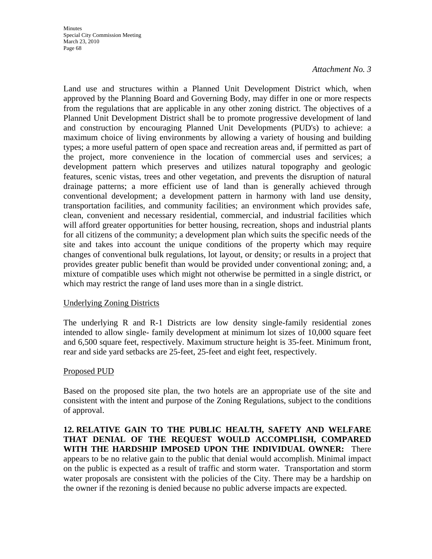Land use and structures within a Planned Unit Development District which, when approved by the Planning Board and Governing Body, may differ in one or more respects from the regulations that are applicable in any other zoning district. The objectives of a Planned Unit Development District shall be to promote progressive development of land and construction by encouraging Planned Unit Developments (PUD's) to achieve: a maximum choice of living environments by allowing a variety of housing and building types; a more useful pattern of open space and recreation areas and, if permitted as part of the project, more convenience in the location of commercial uses and services; a development pattern which preserves and utilizes natural topography and geologic features, scenic vistas, trees and other vegetation, and prevents the disruption of natural drainage patterns; a more efficient use of land than is generally achieved through conventional development; a development pattern in harmony with land use density, transportation facilities, and community facilities; an environment which provides safe, clean, convenient and necessary residential, commercial, and industrial facilities which will afford greater opportunities for better housing, recreation, shops and industrial plants for all citizens of the community; a development plan which suits the specific needs of the site and takes into account the unique conditions of the property which may require changes of conventional bulk regulations, lot layout, or density; or results in a project that provides greater public benefit than would be provided under conventional zoning; and, a mixture of compatible uses which might not otherwise be permitted in a single district, or which may restrict the range of land uses more than in a single district.

### Underlying Zoning Districts

The underlying R and R-1 Districts are low density single-family residential zones intended to allow single- family development at minimum lot sizes of 10,000 square feet and 6,500 square feet, respectively. Maximum structure height is 35-feet. Minimum front, rear and side yard setbacks are 25-feet, 25-feet and eight feet, respectively.

### Proposed PUD

Based on the proposed site plan, the two hotels are an appropriate use of the site and consistent with the intent and purpose of the Zoning Regulations, subject to the conditions of approval.

**12. RELATIVE GAIN TO THE PUBLIC HEALTH, SAFETY AND WELFARE THAT DENIAL OF THE REQUEST WOULD ACCOMPLISH, COMPARED WITH THE HARDSHIP IMPOSED UPON THE INDIVIDUAL OWNER:** There appears to be no relative gain to the public that denial would accomplish. Minimal impact on the public is expected as a result of traffic and storm water. Transportation and storm water proposals are consistent with the policies of the City. There may be a hardship on the owner if the rezoning is denied because no public adverse impacts are expected.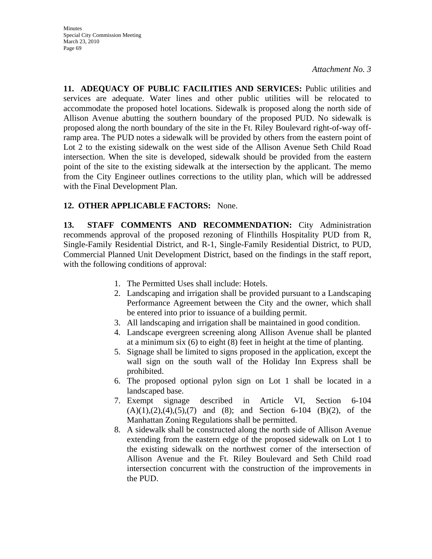**11. ADEQUACY OF PUBLIC FACILITIES AND SERVICES:** Public utilities and services are adequate. Water lines and other public utilities will be relocated to accommodate the proposed hotel locations. Sidewalk is proposed along the north side of Allison Avenue abutting the southern boundary of the proposed PUD. No sidewalk is proposed along the north boundary of the site in the Ft. Riley Boulevard right-of-way offramp area. The PUD notes a sidewalk will be provided by others from the eastern point of Lot 2 to the existing sidewalk on the west side of the Allison Avenue Seth Child Road intersection. When the site is developed, sidewalk should be provided from the eastern point of the site to the existing sidewalk at the intersection by the applicant. The memo from the City Engineer outlines corrections to the utility plan, which will be addressed with the Final Development Plan.

### **12. OTHER APPLICABLE FACTORS:** None.

**13. STAFF COMMENTS AND RECOMMENDATION:** City Administration recommends approval of the proposed rezoning of Flinthills Hospitality PUD from R, Single-Family Residential District, and R-1, Single-Family Residential District, to PUD, Commercial Planned Unit Development District, based on the findings in the staff report, with the following conditions of approval:

- 1. The Permitted Uses shall include: Hotels.
- 2. Landscaping and irrigation shall be provided pursuant to a Landscaping Performance Agreement between the City and the owner, which shall be entered into prior to issuance of a building permit.
- 3. All landscaping and irrigation shall be maintained in good condition.
- 4. Landscape evergreen screening along Allison Avenue shall be planted at a minimum six (6) to eight (8) feet in height at the time of planting.
- 5. Signage shall be limited to signs proposed in the application, except the wall sign on the south wall of the Holiday Inn Express shall be prohibited.
- 6. The proposed optional pylon sign on Lot 1 shall be located in a landscaped base.
- 7. Exempt signage described in Article VI, Section 6-104  $(A)(1),(2),(4),(5),(7)$  and  $(8)$ ; and Section 6-104  $(B)(2)$ , of the Manhattan Zoning Regulations shall be permitted.
- 8. A sidewalk shall be constructed along the north side of Allison Avenue extending from the eastern edge of the proposed sidewalk on Lot 1 to the existing sidewalk on the northwest corner of the intersection of Allison Avenue and the Ft. Riley Boulevard and Seth Child road intersection concurrent with the construction of the improvements in the PUD.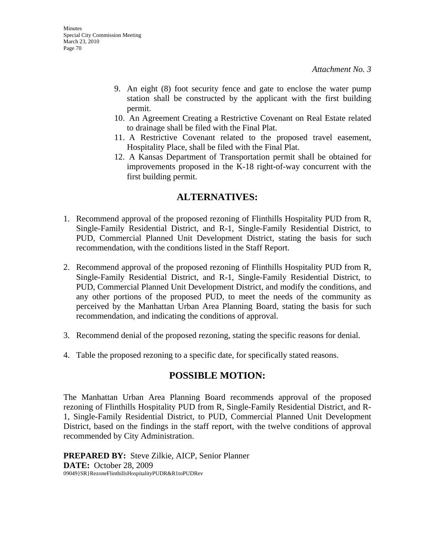- 9. An eight (8) foot security fence and gate to enclose the water pump station shall be constructed by the applicant with the first building permit.
- 10. An Agreement Creating a Restrictive Covenant on Real Estate related to drainage shall be filed with the Final Plat.
- 11. A Restrictive Covenant related to the proposed travel easement, Hospitality Place, shall be filed with the Final Plat.
- 12. A Kansas Department of Transportation permit shall be obtained for improvements proposed in the K-18 right-of-way concurrent with the first building permit.

## **ALTERNATIVES:**

- 1. Recommend approval of the proposed rezoning of Flinthills Hospitality PUD from R, Single-Family Residential District, and R-1, Single-Family Residential District, to PUD, Commercial Planned Unit Development District, stating the basis for such recommendation, with the conditions listed in the Staff Report.
- 2. Recommend approval of the proposed rezoning of Flinthills Hospitality PUD from R, Single-Family Residential District, and R-1, Single-Family Residential District, to PUD, Commercial Planned Unit Development District, and modify the conditions, and any other portions of the proposed PUD, to meet the needs of the community as perceived by the Manhattan Urban Area Planning Board, stating the basis for such recommendation, and indicating the conditions of approval.
- 3. Recommend denial of the proposed rezoning, stating the specific reasons for denial.
- 4. Table the proposed rezoning to a specific date, for specifically stated reasons.

## **POSSIBLE MOTION:**

The Manhattan Urban Area Planning Board recommends approval of the proposed rezoning of Flinthills Hospitality PUD from R, Single-Family Residential District, and R-1, Single-Family Residential District, to PUD, Commercial Planned Unit Development District, based on the findings in the staff report, with the twelve conditions of approval recommended by City Administration.

**PREPARED BY:** Steve Zilkie, AICP, Senior Planner **DATE:** October 28, 2009 09049}SR}RezoneFlinthillsHospitalityPUDR&R1toPUDRev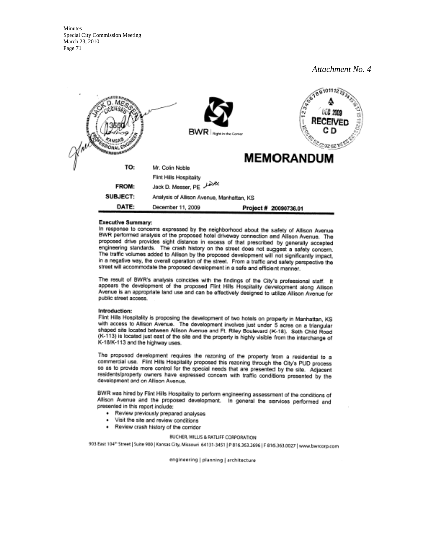**Minutes** Special City Commission Meeting March 23, 2010 Page 71

*Attachment No. 4*



#### **Executive Summary:**

In response to concerns expressed by the neighborhood about the safety of Allison Avenue BWR performed analysis of the proposed hotel driveway connection and Allison Avenue. The proposed drive provides sight distance in excess of that prescribed by generally accepted engineering standards. The crash history on the street does not suggest a safety concern. The traffic volumes added to Allison by the proposed development will not significantly impact. in a negative way, the overall operation of the street. From a traffic and safety perspective the street will accommodate the proposed development in a safe and efficient manner.

The result of BWR's analysis coincides with the findings of the City's professional staff. It appears the development of the proposed Flint Hills Hospitality development along Allison Avenue is an appropriate land use and can be effectively designed to utilize Allison Avenue for public street access.

#### Introduction:

Flint Hills Hospitality is proposing the development of two hotels on property in Manhattan, KS with access to Allison Avenue. The development involves just under 5 acres on a triangular shaped site located between Allison Avenue and Ft. Riley Boulevard (K-18). Seth Child Road (K-113) is located just east of the site and the property is highly visible from the interchange of K-18/K-113 and the highway uses.

The proposed development requires the rezoning of the property from a residential to a commercial use. Fint Hills Hospitality proposed this rezoning through the City's PUD process so as to provide more control for the special needs that are presented by the site. Adjacent residents/property owners have expressed concern with traffic conditions presented by the development and on Allison Avenue.

BWR was hired by Flint Hills Hospitality to perform engineering assessment of the conditions of Allison Avenue and the proposed development. In general the services performed and presented in this report include:

- · Review previously prepared analyses
- Visit the site and review conditions ٠
- Review crash history of the corridor

#### BUCHER, WILLIS & RATLIFF CORPORATION

903 East 104<sup>th</sup> Street | Suite 900 | Kansas City, Missouri 64131-3451 | P 816.363.2696 | F 816.363.0027 | www.bwrcorp.com

engineering | planning | architecture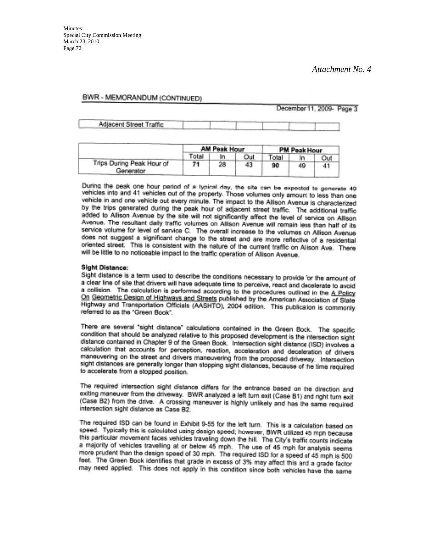#### BWR - MEMORANDUM (CONTINUED)

December 11, 2009- Page 3

Adjacent Street Traffic

|                                        | <b>AM Peak Hour</b> |    |     | PM Peak Hour |     |  |
|----------------------------------------|---------------------|----|-----|--------------|-----|--|
|                                        | Total               |    | Out | Total.       |     |  |
| Trips During Peak Hour of<br>Generator |                     | 28 | 43  | 90           | 49. |  |

During the peak one hour parted of a typical day, the site can be expected to gonerate 49 vehicles into and 41 vehicles out of the property. Those volumes only amount to less than one vehicle in and one vehicle out every minute. The impact to the Allison Avenue is characterized by the trips generated during the peak hour of adjacent street traffic. The additional traffic added to Altison Avenue by the site will not significantly affect the level of service on Allison Avenue. The resultant daily traffic volumes on Allison Avenue will remain less than half of its service volume for level of service C. The overall increase to the volumes on Allison Avenue does not suggest a significant change to the street and are more reflective of a residential oriented street. This is consistent with the nature of the current traffic on Alison Ave. There will be little to no noticeable impact to the traffic operation of Allison Avenue.

#### **Sight Distance:**

Sight distance is a term used to describe the conditions necessary to provide or the amount of a clear line of site that drivers will have adequate time to perceive, react and decelerate to avoid a collision. The calculation is performed according to the procedures outlined in the A Policy On Geometric Design of Highways and Streets published by the American Association of State Highway and Transportation Officials (AASHTO), 2004 edition. This publication is commonly referred to as the "Green Book".

There are several "sight distance" calculations contained in the Green Bock. The specific condition that should be analyzed relative to this proposed development is the intersection sight distance contained in Chapter 9 of the Green Book. Intersection sight distance (ISD) involves a calculation that accounts for perception, reaction, acceleration and deceleration of drivers maneuvering on the street and drivers maneuvering from the proposed driveway. Intersection sight distances are generally longer than stopping sight distances, because of the time required to accelerate from a stopped position.

The required intersection sight distance differs for the entrance based on the direction and exiting maneuver from the driveway. BWR analyzed a left turn exit (Case B1) and right turn exit (Case B2) from the drive. A crossing maneuver is highly unlikely and has the same required intersection sight distance as Case B2.

The required ISD can be found in Exhibit 9-55 for the left turn. This is a calculation based on speed. Typically this is calculated using design speed; however, BWR utilized 45 mph because this particular movement faces vehicles traveling down the hill. The City's traffic counts indicate a majority of vehicles travelling at or below 45 mph. The use of 45 mph for analysis seems more prudent than the design speed of 30 mph. The required ISD for a speed of 45 mph is 500 feet. The Green Book identifies that grade in excess of 3% may affect this and a grade factor may need applied. This does not apply in this condition since both vehicles have the same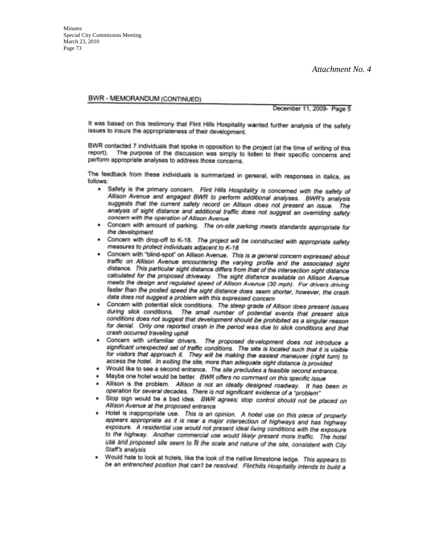*Attachment No. 4*

#### BWR - MEMORANDUM (CONTINUED)

December 11, 2009 - Page 5

It was based on this testimony that Flint Hills Hospitality wanted further analysis of the safety issues to insure the appropriateness of their development.

BWR contacted 7 individuals that spoke in opposition to the project (at the time of writing of this The purpose of the discussion was simply to listen to their specific concerns and report). perform appropriate analyses to address those concerns.

The feedback from these individuals is summarized in general, with responses in italics, as follows:

- . Safety is the primary concern. Flint Hills Hospitality is concerned with the safety of Allson Avenue and angaged BWR to perform additional analyses. BWR's analysis suggests that the current safety record on Allison does not present an issue. The analysis of sight distance and additional traffic does not suggest an overriding safety concern with the operation of Allison Avenue
- . Concern with amount of parking. The on-site parking meets standards appropriate for the development
- . Concern with drop-off to K-18. The project will be constructed with appropriate safety measures to protect individuals adjacent to K-18
- . Concern with "blind-spot" on Allison Avenue. This is a general concern expressed about traffic on Alison Avenue encountering the varying profile and the associated sight distance. This particular sight distance differs from that of the intersection sight distance calculated for the proposed driveway. The sight distance available on Allison Avenue meets the design and regulated speed of Allison Avenue (30 mph). For drivers driving faster than the posted speed the sight distance does seem shorter, however, the crash data does not suggest a problem with this expressed concern
- Concern with potential slick conditions. The steep grade of Allison does present issues during slick conditions. The small number of potential events that present slick conditions does not suggest that development should be prohibited as a singular reason for denial. Only one reported crash in the period was due to slick conditions and that crash occurred traveling uphill
- Concern with unfamiliar drivers. The proposed development does not introduce a significant unexpected set of traffic conditions. The site is located such that it is visible for visitors that approach it. They will be making the easiest maneuver (right turn) to access the hotel. In exiting the site, more than adequate sight distance is provided
- Would like to see a second entrance. The site precludes a feasible second entrance.
- Maybe one hotel would be better. BWR offers no comment on this specific issue
- Allison is the problem. Allison is not an ideally designed roadway. It has been in operation for several decades. There is not significant evidence of a "problem"
- Stop sign would be a bad idea. BWR agrees; stop control should not be placed on Allison Avenue at the proposed entrance
- Hotel is inappropriate use. This is an opinion. A hotel use on this piece of property appears appropriate as it is near a major intersection of highways and has highway exposure. A residential use would not present ideal living conditions with the exposure to the highway. Another commercial use would likely present more traffic. The hotel use and proposed alle seem to fit the scale and nature of the site, consistent with City Staff's analysis
- Would hate to look at hotels, like the look of the native limestone ledge. This appears to  $\bullet$ be an entrenched position that can't be resolved. Flinthills Hospitality intends to build a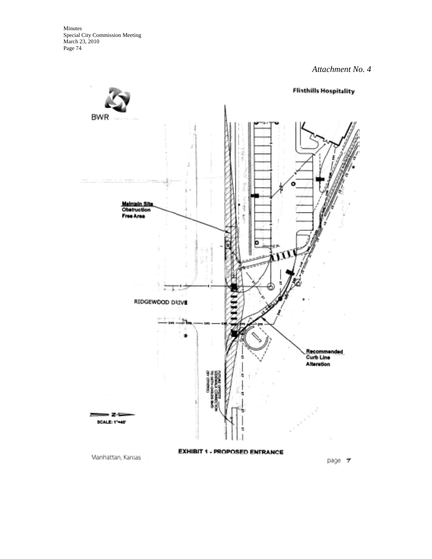*Attachment No. 4*

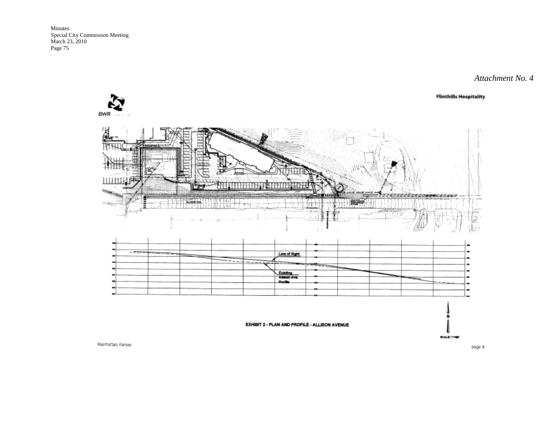### *Attachment No. 4*

**Flinthills Hospitality** 





Manhattan, Kansas

page 8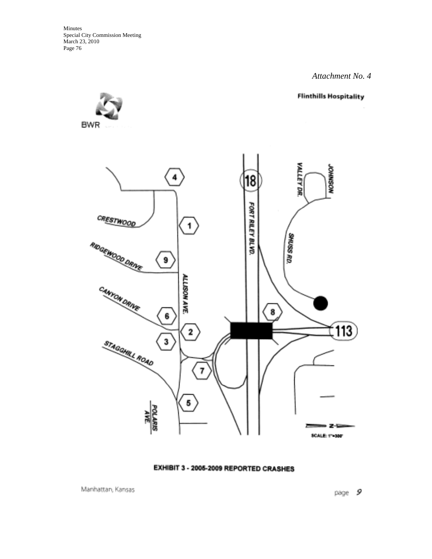> **Flinthills Hospitality VALLEY DR. MOSNIKO**  $\ddot{4}$ 18 FORT RILEY BLVD. **CRESTWOOL**  $\mathbf 1$ **SHUSS RD.** RIDGEWOOD DRIVE  $9$ ALLISON AVE. CANYON DRINE 8 6 113  $\boldsymbol{2}$ STAGGHILL ROAD  $\overline{\mathbf{3}}$ 7 5 POLARIS 38-3 SCALE: 174300°

> > EXHIBIT 3 - 2005-2009 REPORTED CRASHES

Manhattan, Kansas

page  $9$ 

**BWR** 

*Attachment No. 4*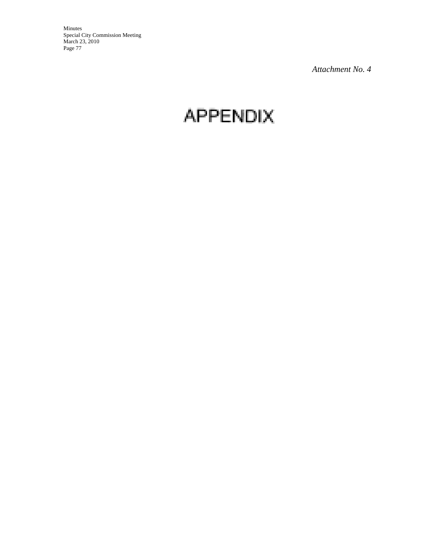*Attachment No. 4*

# **APPENDIX**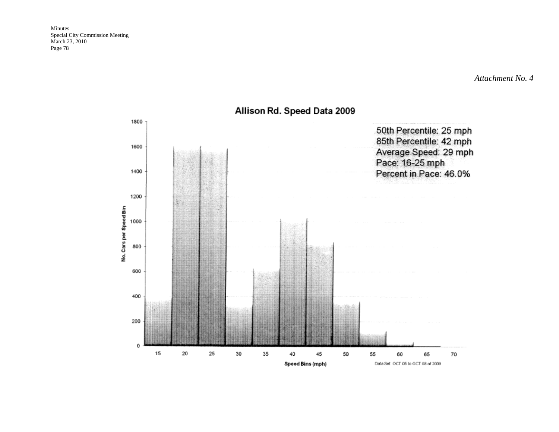*Attachment No. 4*



Allison Rd. Speed Data 2009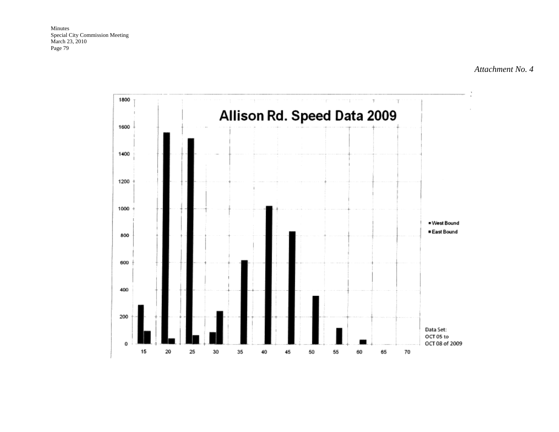*Attachment No. 4*

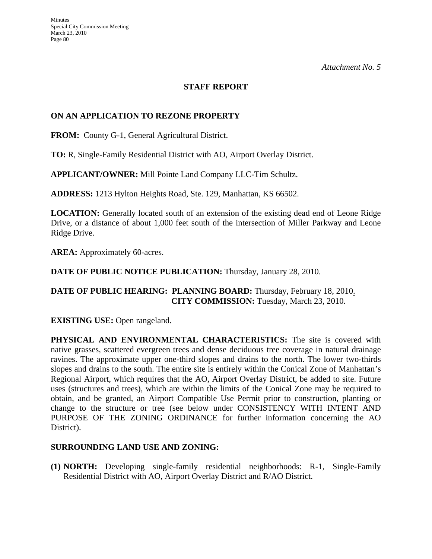*Attachment No. 5*

# **STAFF REPORT**

# **ON AN APPLICATION TO REZONE PROPERTY**

**FROM:** County G-1, General Agricultural District.

**TO:** R, Single-Family Residential District with AO, Airport Overlay District.

**APPLICANT/OWNER:** Mill Pointe Land Company LLC-Tim Schultz.

**ADDRESS:** 1213 Hylton Heights Road, Ste. 129, Manhattan, KS 66502.

**LOCATION:** Generally located south of an extension of the existing dead end of Leone Ridge Drive, or a distance of about 1,000 feet south of the intersection of Miller Parkway and Leone Ridge Drive.

AREA: Approximately 60-acres.

**DATE OF PUBLIC NOTICE PUBLICATION:** Thursday, January 28, 2010.

# **DATE OF PUBLIC HEARING: PLANNING BOARD:** Thursday, February 18, 2010. **CITY COMMISSION:** Tuesday, March 23, 2010.

**EXISTING USE:** Open rangeland.

**PHYSICAL AND ENVIRONMENTAL CHARACTERISTICS:** The site is covered with native grasses, scattered evergreen trees and dense deciduous tree coverage in natural drainage ravines. The approximate upper one-third slopes and drains to the north. The lower two-thirds slopes and drains to the south. The entire site is entirely within the Conical Zone of Manhattan's Regional Airport, which requires that the AO, Airport Overlay District, be added to site. Future uses (structures and trees), which are within the limits of the Conical Zone may be required to obtain, and be granted, an Airport Compatible Use Permit prior to construction, planting or change to the structure or tree (see below under CONSISTENCY WITH INTENT AND PURPOSE OF THE ZONING ORDINANCE for further information concerning the AO District).

#### **SURROUNDING LAND USE AND ZONING:**

**(1) NORTH:** Developing single-family residential neighborhoods: R-1, Single-Family Residential District with AO, Airport Overlay District and R/AO District.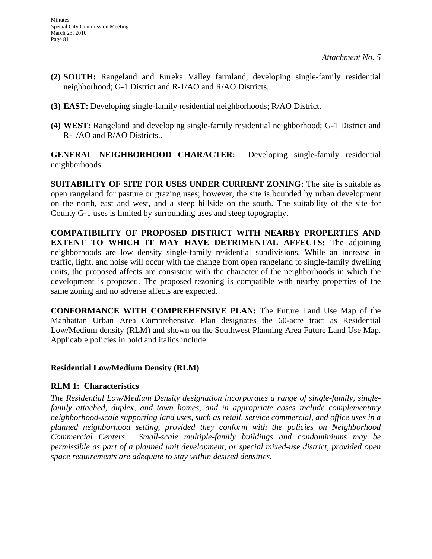- **(2) SOUTH:** Rangeland and Eureka Valley farmland, developing single-family residential neighborhood; G-1 District and R-1/AO and R/AO Districts..
- **(3) EAST:** Developing single-family residential neighborhoods; R/AO District.
- **(4) WEST:** Rangeland and developing single-family residential neighborhood; G-1 District and R-1/AO and R/AO Districts..

**GENERAL NEIGHBORHOOD CHARACTER:** Developing single-family residential neighborhoods.

**SUITABILITY OF SITE FOR USES UNDER CURRENT ZONING:** The site is suitable as open rangeland for pasture or grazing uses; however, the site is bounded by urban development on the north, east and west, and a steep hillside on the south. The suitability of the site for County G-1 uses is limited by surrounding uses and steep topography.

**COMPATIBILITY OF PROPOSED DISTRICT WITH NEARBY PROPERTIES AND EXTENT TO WHICH IT MAY HAVE DETRIMENTAL AFFECTS:** The adjoining neighborhoods are low density single-family residential subdivisions. While an increase in traffic, light, and noise will occur with the change from open rangeland to single-family dwelling units, the proposed affects are consistent with the character of the neighborhoods in which the development is proposed. The proposed rezoning is compatible with nearby properties of the same zoning and no adverse affects are expected.

**CONFORMANCE WITH COMPREHENSIVE PLAN:** The Future Land Use Map of the Manhattan Urban Area Comprehensive Plan designates the 60-acre tract as Residential Low/Medium density (RLM) and shown on the Southwest Planning Area Future Land Use Map. Applicable policies in bold and italics include:

#### **Residential Low/Medium Density (RLM)**

#### **RLM 1: Characteristics**

*The Residential Low/Medium Density designation incorporates a range of single-family, singlefamily attached, duplex, and town homes, and in appropriate cases include complementary neighborhood-scale supporting land uses, such as retail, service commercial, and office uses in a planned neighborhood setting, provided they conform with the policies on Neighborhood Commercial Centers. Small-scale multiple-family buildings and condominiums may be permissible as part of a planned unit development, or special mixed-use district, provided open space requirements are adequate to stay within desired densities.*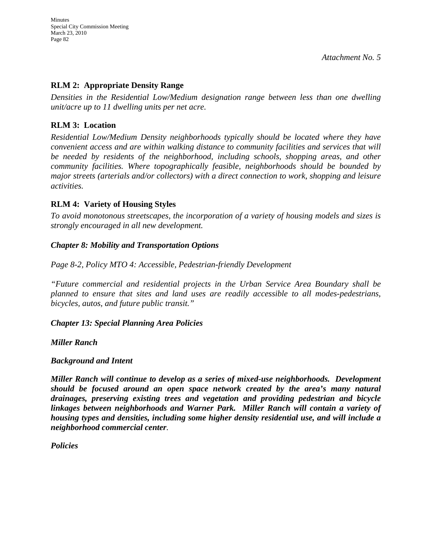# **RLM 2: Appropriate Density Range**

*Densities in the Residential Low/Medium designation range between less than one dwelling unit/acre up to 11 dwelling units per net acre.* 

# **RLM 3: Location**

*Residential Low/Medium Density neighborhoods typically should be located where they have convenient access and are within walking distance to community facilities and services that will be needed by residents of the neighborhood, including schools, shopping areas, and other community facilities. Where topographically feasible, neighborhoods should be bounded by major streets (arterials and/or collectors) with a direct connection to work, shopping and leisure activities.* 

### **RLM 4: Variety of Housing Styles**

*To avoid monotonous streetscapes, the incorporation of a variety of housing models and sizes is strongly encouraged in all new development.* 

### *Chapter 8: Mobility and Transportation Options*

*Page 8-2, Policy MTO 4: Accessible, Pedestrian-friendly Development* 

*"Future commercial and residential projects in the Urban Service Area Boundary shall be planned to ensure that sites and land uses are readily accessible to all modes-pedestrians, bicycles, autos, and future public transit."* 

#### *Chapter 13: Special Planning Area Policies*

*Miller Ranch* 

#### *Background and Intent*

*Miller Ranch will continue to develop as a series of mixed-use neighborhoods. Development should be focused around an open space network created by the area's many natural drainages, preserving existing trees and vegetation and providing pedestrian and bicycle linkages between neighborhoods and Warner Park. Miller Ranch will contain a variety of housing types and densities, including some higher density residential use, and will include a neighborhood commercial center.* 

*Policies*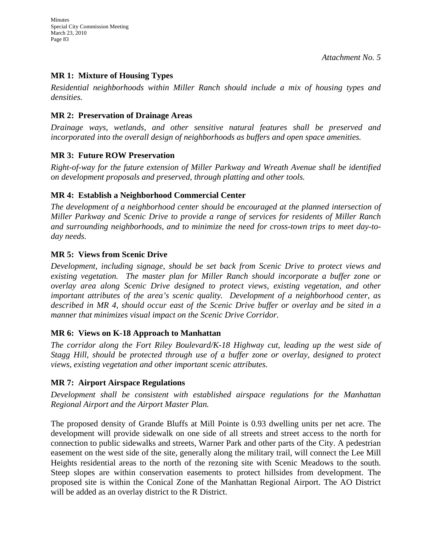# **MR 1: Mixture of Housing Types**

*Residential neighborhoods within Miller Ranch should include a mix of housing types and densities.* 

# **MR 2: Preservation of Drainage Areas**

*Drainage ways, wetlands, and other sensitive natural features shall be preserved and incorporated into the overall design of neighborhoods as buffers and open space amenities.* 

# **MR 3: Future ROW Preservation**

*Right-of-way for the future extension of Miller Parkway and Wreath Avenue shall be identified on development proposals and preserved, through platting and other tools.* 

# **MR 4: Establish a Neighborhood Commercial Center**

*The development of a neighborhood center should be encouraged at the planned intersection of Miller Parkway and Scenic Drive to provide a range of services for residents of Miller Ranch and surrounding neighborhoods, and to minimize the need for cross-town trips to meet day-today needs.* 

# **MR 5: Views from Scenic Drive**

*Development, including signage, should be set back from Scenic Drive to protect views and existing vegetation. The master plan for Miller Ranch should incorporate a buffer zone or overlay area along Scenic Drive designed to protect views, existing vegetation, and other important attributes of the area's scenic quality. Development of a neighborhood center, as described in MR 4, should occur east of the Scenic Drive buffer or overlay and be sited in a manner that minimizes visual impact on the Scenic Drive Corridor.* 

# **MR 6: Views on K-18 Approach to Manhattan**

*The corridor along the Fort Riley Boulevard/K-18 Highway cut, leading up the west side of Stagg Hill, should be protected through use of a buffer zone or overlay, designed to protect views, existing vegetation and other important scenic attributes.* 

# **MR 7: Airport Airspace Regulations**

*Development shall be consistent with established airspace regulations for the Manhattan Regional Airport and the Airport Master Plan.* 

The proposed density of Grande Bluffs at Mill Pointe is 0.93 dwelling units per net acre. The development will provide sidewalk on one side of all streets and street access to the north for connection to public sidewalks and streets, Warner Park and other parts of the City. A pedestrian easement on the west side of the site, generally along the military trail, will connect the Lee Mill Heights residential areas to the north of the rezoning site with Scenic Meadows to the south. Steep slopes are within conservation easements to protect hillsides from development. The proposed site is within the Conical Zone of the Manhattan Regional Airport. The AO District will be added as an overlay district to the R District.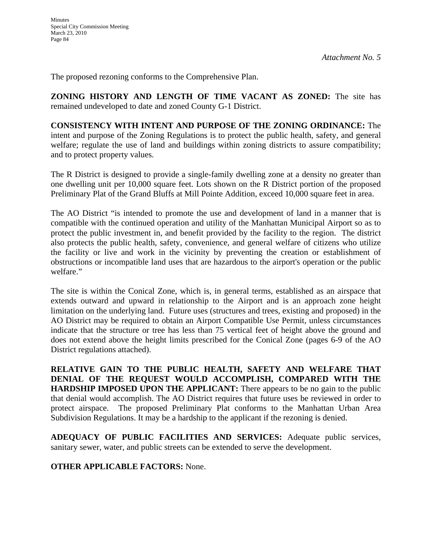The proposed rezoning conforms to the Comprehensive Plan.

**ZONING HISTORY AND LENGTH OF TIME VACANT AS ZONED:** The site has remained undeveloped to date and zoned County G-1 District.

**CONSISTENCY WITH INTENT AND PURPOSE OF THE ZONING ORDINANCE:** The intent and purpose of the Zoning Regulations is to protect the public health, safety, and general welfare; regulate the use of land and buildings within zoning districts to assure compatibility; and to protect property values.

The R District is designed to provide a single-family dwelling zone at a density no greater than one dwelling unit per 10,000 square feet. Lots shown on the R District portion of the proposed Preliminary Plat of the Grand Bluffs at Mill Pointe Addition, exceed 10,000 square feet in area.

The AO District "is intended to promote the use and development of land in a manner that is compatible with the continued operation and utility of the Manhattan Municipal Airport so as to protect the public investment in, and benefit provided by the facility to the region. The district also protects the public health, safety, convenience, and general welfare of citizens who utilize the facility or live and work in the vicinity by preventing the creation or establishment of obstructions or incompatible land uses that are hazardous to the airport's operation or the public welfare."

The site is within the Conical Zone, which is, in general terms, established as an airspace that extends outward and upward in relationship to the Airport and is an approach zone height limitation on the underlying land. Future uses (structures and trees, existing and proposed) in the AO District may be required to obtain an Airport Compatible Use Permit, unless circumstances indicate that the structure or tree has less than 75 vertical feet of height above the ground and does not extend above the height limits prescribed for the Conical Zone (pages 6-9 of the AO District regulations attached).

**RELATIVE GAIN TO THE PUBLIC HEALTH, SAFETY AND WELFARE THAT DENIAL OF THE REQUEST WOULD ACCOMPLISH, COMPARED WITH THE HARDSHIP IMPOSED UPON THE APPLICANT:** There appears to be no gain to the public that denial would accomplish. The AO District requires that future uses be reviewed in order to protect airspace. The proposed Preliminary Plat conforms to the Manhattan Urban Area Subdivision Regulations. It may be a hardship to the applicant if the rezoning is denied.

**ADEQUACY OF PUBLIC FACILITIES AND SERVICES:** Adequate public services, sanitary sewer, water, and public streets can be extended to serve the development.

# **OTHER APPLICABLE FACTORS:** None.